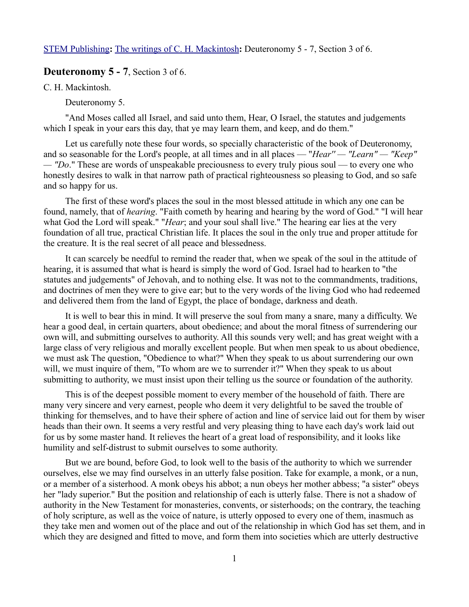[STEM Publishing](http://www.stempublishing.com/)**:** [The writings of C. H. Mackintosh](http://www.stempublishing.com/authors/mackintosh/index.html)**:** Deuteronomy 5 - 7, Section 3 of 6.

## **Deuteronomy 5 - 7**, Section 3 of 6.

C. H. Mackintosh.

Deuteronomy 5.

"And Moses called all Israel, and said unto them, Hear, O Israel, the statutes and judgements which I speak in your ears this day, that ye may learn them, and keep, and do them."

Let us carefully note these four words, so specially characteristic of the book of Deuteronomy, and so seasonable for the Lord's people, at all times and in all places — "*Hear'' — "Learn" — "Keep" — "Do*." These are words of unspeakable preciousness to every truly pious soul — to every one who honestly desires to walk in that narrow path of practical righteousness so pleasing to God, and so safe and so happy for us.

The first of these word's places the soul in the most blessed attitude in which any one can be found, namely, that of *hearing*. "Faith cometh by hearing and hearing by the word of God." "I will hear what God the Lord will speak." "*Hear*; and your soul shall live." The hearing ear lies at the very foundation of all true, practical Christian life. It places the soul in the only true and proper attitude for the creature. It is the real secret of all peace and blessedness.

It can scarcely be needful to remind the reader that, when we speak of the soul in the attitude of hearing, it is assumed that what is heard is simply the word of God. Israel had to hearken to "the statutes and judgements" of Jehovah, and to nothing else. It was not to the commandments, traditions, and doctrines of men they were to give ear; but to the very words of the living God who had redeemed and delivered them from the land of Egypt, the place of bondage, darkness and death.

It is well to bear this in mind. It will preserve the soul from many a snare, many a difficulty. We hear a good deal, in certain quarters, about obedience; and about the moral fitness of surrendering our own will, and submitting ourselves to authority. All this sounds very well; and has great weight with a large class of very religious and morally excellent people. But when men speak to us about obedience, we must ask The question, "Obedience to what?" When they speak to us about surrendering our own will, we must inquire of them, "To whom are we to surrender it?" When they speak to us about submitting to authority, we must insist upon their telling us the source or foundation of the authority.

This is of the deepest possible moment to every member of the household of faith. There are many very sincere and very earnest, people who deem it very delightful to be saved the trouble of thinking for themselves, and to have their sphere of action and line of service laid out for them by wiser heads than their own. It seems a very restful and very pleasing thing to have each day's work laid out for us by some master hand. It relieves the heart of a great load of responsibility, and it looks like humility and self-distrust to submit ourselves to some authority.

But we are bound, before God, to look well to the basis of the authority to which we surrender ourselves, else we may find ourselves in an utterly false position. Take for example, a monk, or a nun, or a member of a sisterhood. A monk obeys his abbot; a nun obeys her mother abbess; "a sister" obeys her "lady superior." But the position and relationship of each is utterly false. There is not a shadow of authority in the New Testament for monasteries, convents, or sisterhoods; on the contrary, the teaching of holy scripture, as well as the voice of nature, is utterly opposed to every one of them, inasmuch as they take men and women out of the place and out of the relationship in which God has set them, and in which they are designed and fitted to move, and form them into societies which are utterly destructive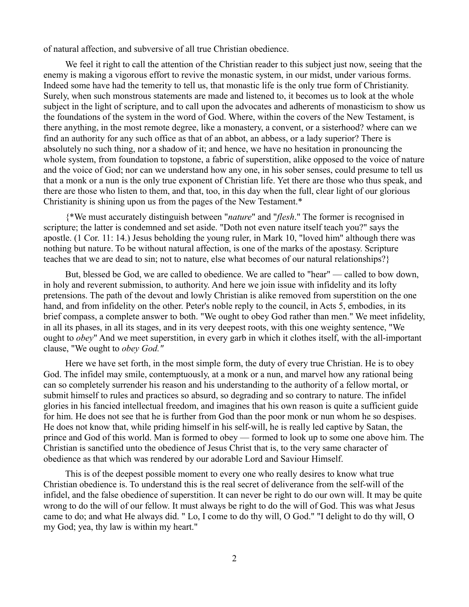of natural affection, and subversive of all true Christian obedience.

We feel it right to call the attention of the Christian reader to this subject just now, seeing that the enemy is making a vigorous effort to revive the monastic system, in our midst, under various forms. Indeed some have had the temerity to tell us, that monastic life is the only true form of Christianity. Surely, when such monstrous statements are made and listened to, it becomes us to look at the whole subject in the light of scripture, and to call upon the advocates and adherents of monasticism to show us the foundations of the system in the word of God. Where, within the covers of the New Testament, is there anything, in the most remote degree, like a monastery, a convent, or a sisterhood? where can we find an authority for any such office as that of an abbot, an abbess, or a lady superior? There is absolutely no such thing, nor a shadow of it; and hence, we have no hesitation in pronouncing the whole system, from foundation to topstone, a fabric of superstition, alike opposed to the voice of nature and the voice of God; nor can we understand how any one, in his sober senses, could presume to tell us that a monk or a nun is the only true exponent of Christian life. Yet there are those who thus speak, and there are those who listen to them, and that, too, in this day when the full, clear light of our glorious Christianity is shining upon us from the pages of the New Testament.\*

{\*We must accurately distinguish between "*nature*" and "*flesh*." The former is recognised in scripture; the latter is condemned and set aside. "Doth not even nature itself teach you?" says the apostle. (1 Cor. 11: 14.) Jesus beholding the young ruler, in Mark 10, "loved him" although there was nothing but nature. To be without natural affection, is one of the marks of the apostasy. Scripture teaches that we are dead to sin; not to nature, else what becomes of our natural relationships?}

But, blessed be God, we are called to obedience. We are called to "hear" — called to bow down, in holy and reverent submission, to authority. And here we join issue with infidelity and its lofty pretensions. The path of the devout and lowly Christian is alike removed from superstition on the one hand, and from infidelity on the other. Peter's noble reply to the council, in Acts 5, embodies, in its brief compass, a complete answer to both. "We ought to obey God rather than men." We meet infidelity, in all its phases, in all its stages, and in its very deepest roots, with this one weighty sentence, "We ought to *obey*" And we meet superstition, in every garb in which it clothes itself, with the all-important clause, "We ought to *obey God."*

Here we have set forth, in the most simple form, the duty of every true Christian. He is to obey God. The infidel may smile, contemptuously, at a monk or a nun, and marvel how any rational being can so completely surrender his reason and his understanding to the authority of a fellow mortal, or submit himself to rules and practices so absurd, so degrading and so contrary to nature. The infidel glories in his fancied intellectual freedom, and imagines that his own reason is quite a sufficient guide for him. He does not see that he is further from God than the poor monk or nun whom he so despises. He does not know that, while priding himself in his self-will, he is really led captive by Satan, the prince and God of this world. Man is formed to obey — formed to look up to some one above him. The Christian is sanctified unto the obedience of Jesus Christ that is, to the very same character of obedience as that which was rendered by our adorable Lord and Saviour Himself.

This is of the deepest possible moment to every one who really desires to know what true Christian obedience is. To understand this is the real secret of deliverance from the self-will of the infidel, and the false obedience of superstition. It can never be right to do our own will. It may be quite wrong to do the will of our fellow. It must always be right to do the will of God. This was what Jesus came to do; and what He always did. " Lo, I come to do thy will, O God." "I delight to do thy will, O my God; yea, thy law is within my heart."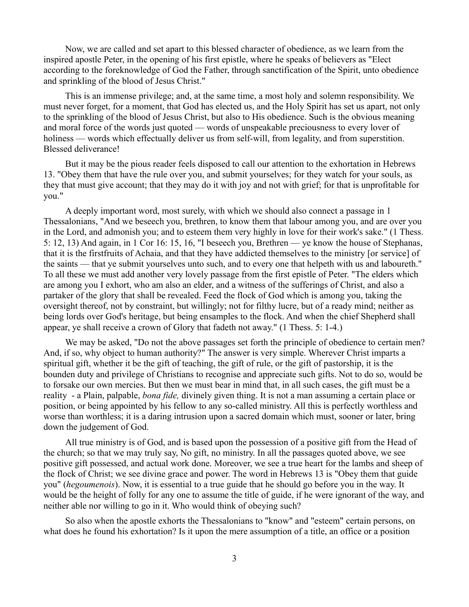Now, we are called and set apart to this blessed character of obedience, as we learn from the inspired apostle Peter, in the opening of his first epistle, where he speaks of believers as "Elect according to the foreknowledge of God the Father, through sanctification of the Spirit, unto obedience and sprinkling of the blood of Jesus Christ."

This is an immense privilege; and, at the same time, a most holy and solemn responsibility. We must never forget, for a moment, that God has elected us, and the Holy Spirit has set us apart, not only to the sprinkling of the blood of Jesus Christ, but also to His obedience. Such is the obvious meaning and moral force of the words just quoted — words of unspeakable preciousness to every lover of holiness — words which effectually deliver us from self-will, from legality, and from superstition. Blessed deliverance!

But it may be the pious reader feels disposed to call our attention to the exhortation in Hebrews 13. "Obey them that have the rule over you, and submit yourselves; for they watch for your souls, as they that must give account; that they may do it with joy and not with grief; for that is unprofitable for you."

A deeply important word, most surely, with which we should also connect a passage in 1 Thessalonians, "And we beseech you, brethren, to know them that labour among you, and are over you in the Lord, and admonish you; and to esteem them very highly in love for their work's sake." (1 Thess. 5: 12, 13) And again, in 1 Cor 16: 15, 16, "I beseech you, Brethren — ye know the house of Stephanas, that it is the firstfruits of Achaia, and that they have addicted themselves to the ministry [or service] of the saints — that ye submit yourselves unto such, and to every one that helpeth with us and laboureth." To all these we must add another very lovely passage from the first epistle of Peter. "The elders which are among you I exhort, who am also an elder, and a witness of the sufferings of Christ, and also a partaker of the glory that shall be revealed. Feed the flock of God which is among you, taking the oversight thereof, not by constraint, but willingly; not for filthy lucre, but of a ready mind; neither as being lords over God's heritage, but being ensamples to the flock. And when the chief Shepherd shall appear, ye shall receive a crown of Glory that fadeth not away." (1 Thess. 5: 1-4.)

We may be asked, "Do not the above passages set forth the principle of obedience to certain men? And, if so, why object to human authority?" The answer is very simple. Wherever Christ imparts a spiritual gift, whether it be the gift of teaching, the gift of rule, or the gift of pastorship, it is the bounden duty and privilege of Christians to recognise and appreciate such gifts. Not to do so, would be to forsake our own mercies. But then we must bear in mind that, in all such cases, the gift must be a reality - a Plain, palpable, *bona fide,* divinely given thing. It is not a man assuming a certain place or position, or being appointed by his fellow to any so-called ministry. All this is perfectly worthless and worse than worthless; it is a daring intrusion upon a sacred domain which must, sooner or later, bring down the judgement of God.

All true ministry is of God, and is based upon the possession of a positive gift from the Head of the church; so that we may truly say, No gift, no ministry. In all the passages quoted above, we see positive gift possessed, and actual work done. Moreover, we see a true heart for the lambs and sheep of the flock of Christ; we see divine grace and power. The word in Hebrews 13 is "Obey them that guide you" (*hegoumenois*). Now, it is essential to a true guide that he should go before you in the way. It would be the height of folly for any one to assume the title of guide, if he were ignorant of the way, and neither able nor willing to go in it. Who would think of obeying such?

So also when the apostle exhorts the Thessalonians to "know" and "esteem" certain persons, on what does he found his exhortation? Is it upon the mere assumption of a title, an office or a position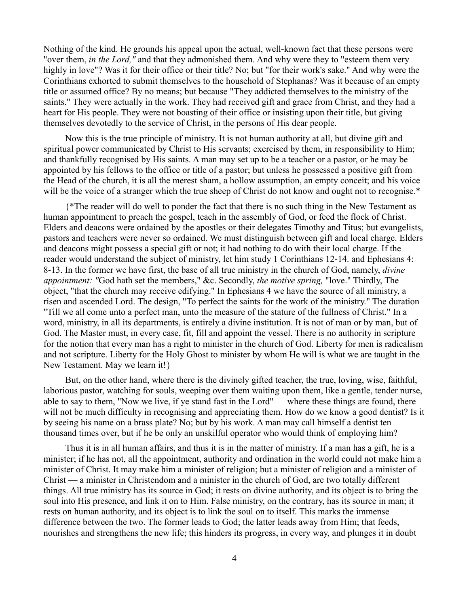Nothing of the kind. He grounds his appeal upon the actual, well-known fact that these persons were "over them, *in the Lord,"* and that they admonished them. And why were they to "esteem them very highly in love"? Was it for their office or their title? No; but "for their work's sake." And why were the Corinthians exhorted to submit themselves to the household of Stephanas? Was it because of an empty title or assumed office? By no means; but because "They addicted themselves to the ministry of the saints." They were actually in the work. They had received gift and grace from Christ, and they had a heart for His people. They were not boasting of their office or insisting upon their title, but giving themselves devotedly to the service of Christ, in the persons of His dear people.

Now this is the true principle of ministry. It is not human authority at all, but divine gift and spiritual power communicated by Christ to His servants; exercised by them, in responsibility to Him; and thankfully recognised by His saints. A man may set up to be a teacher or a pastor, or he may be appointed by his fellows to the office or title of a pastor; but unless he possessed a positive gift from the Head of the church, it is all the merest sham, a hollow assumption, an empty conceit; and his voice will be the voice of a stranger which the true sheep of Christ do not know and ought not to recognise.\*

{\*The reader will do well to ponder the fact that there is no such thing in the New Testament as human appointment to preach the gospel, teach in the assembly of God, or feed the flock of Christ. Elders and deacons were ordained by the apostles or their delegates Timothy and Titus; but evangelists, pastors and teachers were never so ordained. We must distinguish between gift and local charge. Elders and deacons might possess a special gift or not; it had nothing to do with their local charge. If the reader would understand the subject of ministry, let him study 1 Corinthians 12-14. and Ephesians 4: 8-13. In the former we have first, the base of all true ministry in the church of God, namely, *divine appointment: "*God hath set the members," &c. Secondly, *the motive spring,* "love." Thirdly, The object, "that the church may receive edifying." In Ephesians 4 we have the source of all ministry, a risen and ascended Lord. The design, "To perfect the saints for the work of the ministry." The duration "Till we all come unto a perfect man, unto the measure of the stature of the fullness of Christ." In a word, ministry, in all its departments, is entirely a divine institution. It is not of man or by man, but of God. The Master must, in every case, fit, fill and appoint the vessel. There is no authority in scripture for the notion that every man has a right to minister in the church of God. Liberty for men is radicalism and not scripture. Liberty for the Holy Ghost to minister by whom He will is what we are taught in the New Testament. May we learn it!}

But, on the other hand, where there is the divinely gifted teacher, the true, loving, wise, faithful, laborious pastor, watching for souls, weeping over them waiting upon them, like a gentle, tender nurse, able to say to them, "Now we live, if ye stand fast in the Lord" — where these things are found, there will not be much difficulty in recognising and appreciating them. How do we know a good dentist? Is it by seeing his name on a brass plate? No; but by his work. A man may call himself a dentist ten thousand times over, but if he be only an unskilful operator who would think of employing him?

Thus it is in all human affairs, and thus it is in the matter of ministry. If a man has a gift, he is a minister; if he has not, all the appointment, authority and ordination in the world could not make him a minister of Christ. It may make him a minister of religion; but a minister of religion and a minister of Christ — a minister in Christendom and a minister in the church of God, are two totally different things. All true ministry has its source in God; it rests on divine authority, and its object is to bring the soul into His presence, and link it on to Him. False ministry, on the contrary, has its source in man; it rests on human authority, and its object is to link the soul on to itself. This marks the immense difference between the two. The former leads to God; the latter leads away from Him; that feeds, nourishes and strengthens the new life; this hinders its progress, in every way, and plunges it in doubt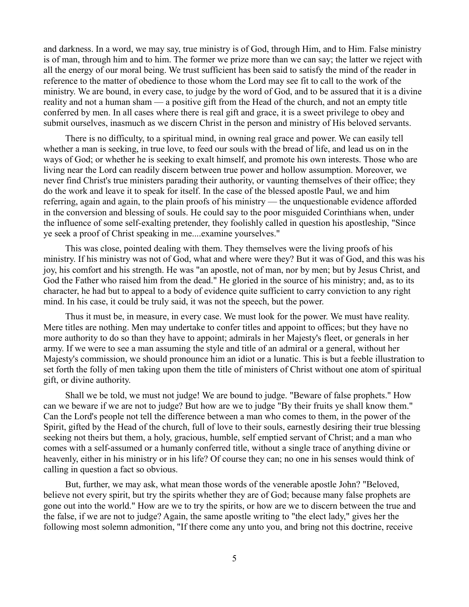and darkness. In a word, we may say, true ministry is of God, through Him, and to Him. False ministry is of man, through him and to him. The former we prize more than we can say; the latter we reject with all the energy of our moral being. We trust sufficient has been said to satisfy the mind of the reader in reference to the matter of obedience to those whom the Lord may see fit to call to the work of the ministry. We are bound, in every case, to judge by the word of God, and to be assured that it is a divine reality and not a human sham — a positive gift from the Head of the church, and not an empty title conferred by men. In all cases where there is real gift and grace, it is a sweet privilege to obey and submit ourselves, inasmuch as we discern Christ in the person and ministry of His beloved servants.

There is no difficulty, to a spiritual mind, in owning real grace and power. We can easily tell whether a man is seeking, in true love, to feed our souls with the bread of life, and lead us on in the ways of God; or whether he is seeking to exalt himself, and promote his own interests. Those who are living near the Lord can readily discern between true power and hollow assumption. Moreover, we never find Christ's true ministers parading their authority, or vaunting themselves of their office; they do the work and leave it to speak for itself. In the case of the blessed apostle Paul, we and him referring, again and again, to the plain proofs of his ministry — the unquestionable evidence afforded in the conversion and blessing of souls. He could say to the poor misguided Corinthians when, under the influence of some self-exalting pretender, they foolishly called in question his apostleship, "Since ye seek a proof of Christ speaking in me....examine yourselves."

This was close, pointed dealing with them. They themselves were the living proofs of his ministry. If his ministry was not of God, what and where were they? But it was of God, and this was his joy, his comfort and his strength. He was "an apostle, not of man, nor by men; but by Jesus Christ, and God the Father who raised him from the dead." He gloried in the source of his ministry; and, as to its character, he had but to appeal to a body of evidence quite sufficient to carry conviction to any right mind. In his case, it could be truly said, it was not the speech, but the power.

Thus it must be, in measure, in every case. We must look for the power. We must have reality. Mere titles are nothing. Men may undertake to confer titles and appoint to offices; but they have no more authority to do so than they have to appoint; admirals in her Majesty's fleet, or generals in her army. If we were to see a man assuming the style and title of an admiral or a general, without her Majesty's commission, we should pronounce him an idiot or a lunatic. This is but a feeble illustration to set forth the folly of men taking upon them the title of ministers of Christ without one atom of spiritual gift, or divine authority.

Shall we be told, we must not judge! We are bound to judge. "Beware of false prophets." How can we beware if we are not to judge? But how are we to judge "By their fruits ye shall know them." Can the Lord's people not tell the difference between a man who comes to them, in the power of the Spirit, gifted by the Head of the church, full of love to their souls, earnestly desiring their true blessing seeking not theirs but them, a holy, gracious, humble, self emptied servant of Christ; and a man who comes with a self-assumed or a humanly conferred title, without a single trace of anything divine or heavenly, either in his ministry or in his life? Of course they can; no one in his senses would think of calling in question a fact so obvious.

But, further, we may ask, what mean those words of the venerable apostle John? "Beloved, believe not every spirit, but try the spirits whether they are of God; because many false prophets are gone out into the world." How are we to try the spirits, or how are we to discern between the true and the false, if we are not to judge? Again, the same apostle writing to "the elect lady," gives her the following most solemn admonition, "If there come any unto you, and bring not this doctrine, receive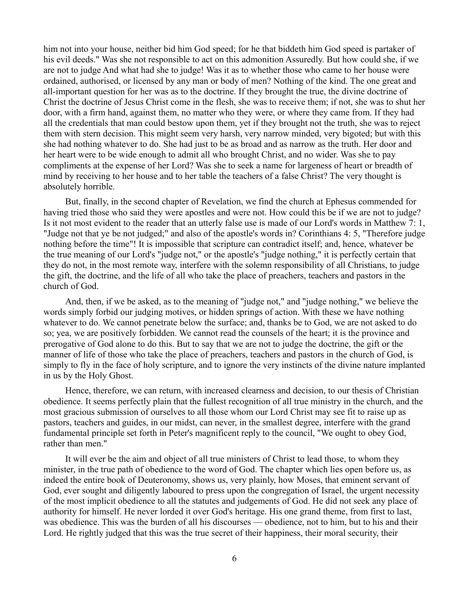him not into your house, neither bid him God speed; for he that biddeth him God speed is partaker of his evil deeds." Was she not responsible to act on this admonition Assuredly. But how could she, if we are not to judge And what had she to judge! Was it as to whether those who came to her house were ordained, authorised, or licensed by any man or body of men? Nothing of the kind. The one great and all-important question for her was as to the doctrine. If they brought the true, the divine doctrine of Christ the doctrine of Jesus Christ come in the flesh, she was to receive them; if not, she was to shut her door, with a firm hand, against them, no matter who they were, or where they came from. If they had all the credentials that man could bestow upon them, yet if they brought not the truth, she was to reject them with stern decision. This might seem very harsh, very narrow minded, very bigoted; but with this she had nothing whatever to do. She had just to be as broad and as narrow as the truth. Her door and her heart were to be wide enough to admit all who brought Christ, and no wider. Was she to pay compliments at the expense of her Lord? Was she to seek a name for largeness of heart or breadth of mind by receiving to her house and to her table the teachers of a false Christ? The very thought is absolutely horrible.

But, finally, in the second chapter of Revelation, we find the church at Ephesus commended for having tried those who said they were apostles and were not. How could this be if we are not to judge? Is it not most evident to the reader that an utterly false use is made of our Lord's words in Matthew 7: 1, "Judge not that ye be not judged;" and also of the apostle's words in? Corinthians 4: 5, "Therefore judge nothing before the time"! It is impossible that scripture can contradict itself; and, hence, whatever be the true meaning of our Lord's "judge not," or the apostle's "judge nothing," it is perfectly certain that they do not, in the most remote way, interfere with the solemn responsibility of all Christians, to judge the gift, the doctrine, and the life of all who take the place of preachers, teachers and pastors in the church of God.

And, then, if we be asked, as to the meaning of "judge not," and "judge nothing," we believe the words simply forbid our judging motives, or hidden springs of action. With these we have nothing whatever to do. We cannot penetrate below the surface; and, thanks be to God, we are not asked to do so; yea, we are positively forbidden. We cannot read the counsels of the heart; it is the province and prerogative of God alone to do this. But to say that we are not to judge the doctrine, the gift or the manner of life of those who take the place of preachers, teachers and pastors in the church of God, is simply to fly in the face of holy scripture, and to ignore the very instincts of the divine nature implanted in us by the Holy Ghost.

Hence, therefore, we can return, with increased clearness and decision, to our thesis of Christian obedience. It seems perfectly plain that the fullest recognition of all true ministry in the church, and the most gracious submission of ourselves to all those whom our Lord Christ may see fit to raise up as pastors, teachers and guides, in our midst, can never, in the smallest degree, interfere with the grand fundamental principle set forth in Peter's magnificent reply to the council, "We ought to obey God, rather than men."

It will ever be the aim and object of all true ministers of Christ to lead those, to whom they minister, in the true path of obedience to the word of God. The chapter which lies open before us, as indeed the entire book of Deuteronomy, shows us, very plainly, how Moses, that eminent servant of God, ever sought and diligently laboured to press upon the congregation of Israel, the urgent necessity of the most implicit obedience to all the statutes and judgements of God. He did not seek any place of authority for himself. He never lorded it over God's heritage. His one grand theme, from first to last, was obedience. This was the burden of all his discourses — obedience, not to him, but to his and their Lord. He rightly judged that this was the true secret of their happiness, their moral security, their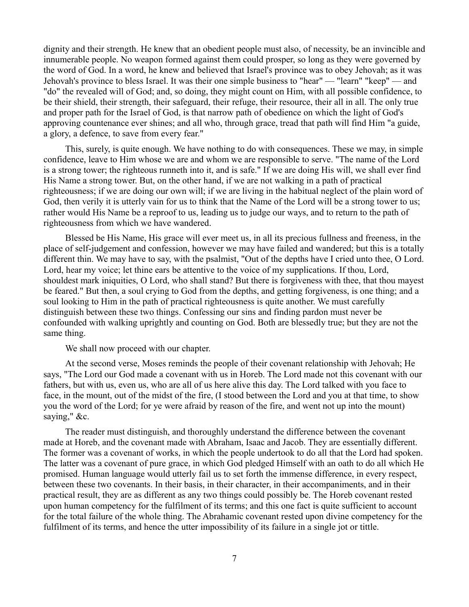dignity and their strength. He knew that an obedient people must also, of necessity, be an invincible and innumerable people. No weapon formed against them could prosper, so long as they were governed by the word of God. In a word, he knew and believed that Israel's province was to obey Jehovah; as it was Jehovah's province to bless Israel. It was their one simple business to "hear" — "learn" "keep" — and "do" the revealed will of God; and, so doing, they might count on Him, with all possible confidence, to be their shield, their strength, their safeguard, their refuge, their resource, their all in all. The only true and proper path for the Israel of God, is that narrow path of obedience on which the light of God's approving countenance ever shines; and all who, through grace, tread that path will find Him "a guide, a glory, a defence, to save from every fear."

This, surely, is quite enough. We have nothing to do with consequences. These we may, in simple confidence, leave to Him whose we are and whom we are responsible to serve. "The name of the Lord is a strong tower; the righteous runneth into it, and is safe." If we are doing His will, we shall ever find His Name a strong tower. But, on the other hand, if we are not walking in a path of practical righteousness; if we are doing our own will; if we are living in the habitual neglect of the plain word of God, then verily it is utterly vain for us to think that the Name of the Lord will be a strong tower to us; rather would His Name be a reproof to us, leading us to judge our ways, and to return to the path of righteousness from which we have wandered.

Blessed be His Name, His grace will ever meet us, in all its precious fullness and freeness, in the place of self-judgement and confession, however we may have failed and wandered; but this is a totally different thin. We may have to say, with the psalmist, "Out of the depths have I cried unto thee, O Lord. Lord, hear my voice; let thine ears be attentive to the voice of my supplications. If thou, Lord, shouldest mark iniquities, O Lord, who shall stand? But there is forgiveness with thee, that thou mayest be feared." But then, a soul crying to God from the depths, and getting forgiveness, is one thing; and a soul looking to Him in the path of practical righteousness is quite another. We must carefully distinguish between these two things. Confessing our sins and finding pardon must never be confounded with walking uprightly and counting on God. Both are blessedly true; but they are not the same thing.

We shall now proceed with our chapter.

At the second verse, Moses reminds the people of their covenant relationship with Jehovah; He says, "The Lord our God made a covenant with us in Horeb. The Lord made not this covenant with our fathers, but with us, even us, who are all of us here alive this day. The Lord talked with you face to face, in the mount, out of the midst of the fire, (I stood between the Lord and you at that time, to show you the word of the Lord; for ye were afraid by reason of the fire, and went not up into the mount) saying," &c.

The reader must distinguish, and thoroughly understand the difference between the covenant made at Horeb, and the covenant made with Abraham, Isaac and Jacob. They are essentially different. The former was a covenant of works, in which the people undertook to do all that the Lord had spoken. The latter was a covenant of pure grace, in which God pledged Himself with an oath to do all which He promised. Human language would utterly fail us to set forth the immense difference, in every respect, between these two covenants. In their basis, in their character, in their accompaniments, and in their practical result, they are as different as any two things could possibly be. The Horeb covenant rested upon human competency for the fulfilment of its terms; and this one fact is quite sufficient to account for the total failure of the whole thing. The Abrahamic covenant rested upon divine competency for the fulfilment of its terms, and hence the utter impossibility of its failure in a single jot or tittle.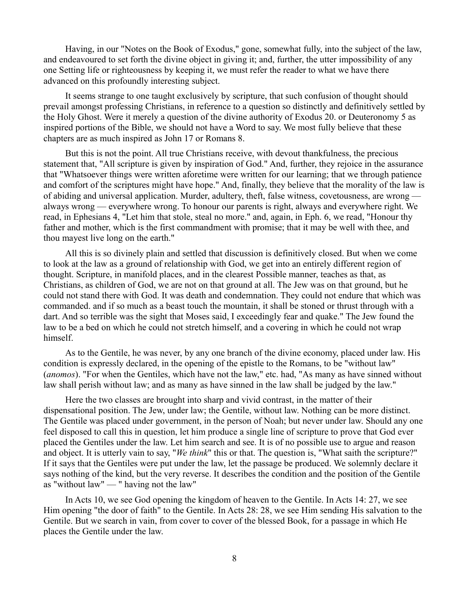Having, in our "Notes on the Book of Exodus," gone, somewhat fully, into the subject of the law, and endeavoured to set forth the divine object in giving it; and, further, the utter impossibility of any one Setting life or righteousness by keeping it, we must refer the reader to what we have there advanced on this profoundly interesting subject.

It seems strange to one taught exclusively by scripture, that such confusion of thought should prevail amongst professing Christians, in reference to a question so distinctly and definitively settled by the Holy Ghost. Were it merely a question of the divine authority of Exodus 20. or Deuteronomy 5 as inspired portions of the Bible, we should not have a Word to say. We most fully believe that these chapters are as much inspired as John 17 or Romans 8.

But this is not the point. All true Christians receive, with devout thankfulness, the precious statement that, "All scripture is given by inspiration of God." And, further, they rejoice in the assurance that "Whatsoever things were written aforetime were written for our learning; that we through patience and comfort of the scriptures might have hope." And, finally, they believe that the morality of the law is of abiding and universal application. Murder, adultery, theft, false witness, covetousness, are wrong always wrong — everywhere wrong. To honour our parents is right, always and everywhere right. We read, in Ephesians 4, "Let him that stole, steal no more." and, again, in Eph. 6, we read, "Honour thy father and mother, which is the first commandment with promise; that it may be well with thee, and thou mayest live long on the earth."

All this is so divinely plain and settled that discussion is definitively closed. But when we come to look at the law as a ground of relationship with God, we get into an entirely different region of thought. Scripture, in manifold places, and in the clearest Possible manner, teaches as that, as Christians, as children of God, we are not on that ground at all. The Jew was on that ground, but he could not stand there with God. It was death and condemnation. They could not endure that which was commanded. and if so much as a beast touch the mountain, it shall be stoned or thrust through with a dart. And so terrible was the sight that Moses said, I exceedingly fear and quake." The Jew found the law to be a bed on which he could not stretch himself, and a covering in which he could not wrap himself.

As to the Gentile, he was never, by any one branch of the divine economy, placed under law. His condition is expressly declared, in the opening of the epistle to the Romans, to be "without law" (*anomos*). "For when the Gentiles, which have not the law," etc. had, "As many as have sinned without law shall perish without law; and as many as have sinned in the law shall be judged by the law."

Here the two classes are brought into sharp and vivid contrast, in the matter of their dispensational position. The Jew, under law; the Gentile, without law. Nothing can be more distinct. The Gentile was placed under government, in the person of Noah; but never under law. Should any one feel disposed to call this in question, let him produce a single line of scripture to prove that God ever placed the Gentiles under the law. Let him search and see. It is of no possible use to argue and reason and object. It is utterly vain to say, "*We think*" this or that. The question is, "What saith the scripture?" If it says that the Gentiles were put under the law, let the passage be produced. We solemnly declare it says nothing of the kind, but the very reverse. It describes the condition and the position of the Gentile as "without law" — " having not the law"

In Acts 10, we see God opening the kingdom of heaven to the Gentile. In Acts 14: 27, we see Him opening "the door of faith" to the Gentile. In Acts 28: 28, we see Him sending His salvation to the Gentile. But we search in vain, from cover to cover of the blessed Book, for a passage in which He places the Gentile under the law.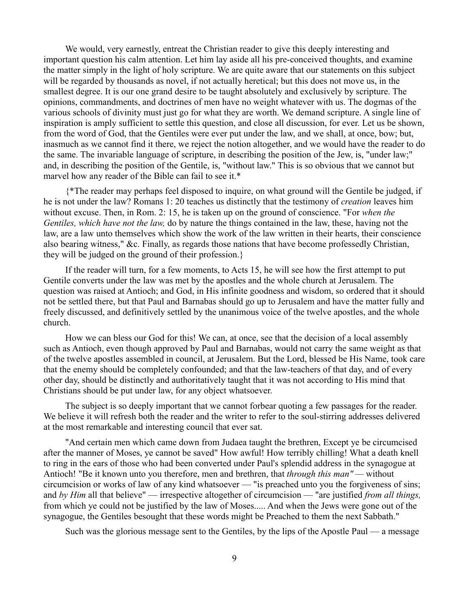We would, very earnestly, entreat the Christian reader to give this deeply interesting and important question his calm attention. Let him lay aside all his pre-conceived thoughts, and examine the matter simply in the light of holy scripture. We are quite aware that our statements on this subject will be regarded by thousands as novel, if not actually heretical; but this does not move us, in the smallest degree. It is our one grand desire to be taught absolutely and exclusively by scripture. The opinions, commandments, and doctrines of men have no weight whatever with us. The dogmas of the various schools of divinity must just go for what they are worth. We demand scripture. A single line of inspiration is amply sufficient to settle this question, and close all discussion, for ever. Let us be shown, from the word of God, that the Gentiles were ever put under the law, and we shall, at once, bow; but, inasmuch as we cannot find it there, we reject the notion altogether, and we would have the reader to do the same. The invariable language of scripture, in describing the position of the Jew, is, "under law;" and, in describing the position of the Gentile, is, "without law." This is so obvious that we cannot but marvel how any reader of the Bible can fail to see it.\*

{\*The reader may perhaps feel disposed to inquire, on what ground will the Gentile be judged, if he is not under the law? Romans 1: 20 teaches us distinctly that the testimony of *creation* leaves him without excuse. Then, in Rom. 2: 15, he is taken up on the ground of conscience. "For *when the Gentiles, which have not the law,* do by nature the things contained in the law, these, having not the law, are a law unto themselves which show the work of the law written in their hearts, their conscience also bearing witness," &c. Finally, as regards those nations that have become professedly Christian, they will be judged on the ground of their profession.}

If the reader will turn, for a few moments, to Acts 15, he will see how the first attempt to put Gentile converts under the law was met by the apostles and the whole church at Jerusalem. The question was raised at Antioch; and God, in His infinite goodness and wisdom, so ordered that it should not be settled there, but that Paul and Barnabas should go up to Jerusalem and have the matter fully and freely discussed, and definitively settled by the unanimous voice of the twelve apostles, and the whole church.

How we can bless our God for this! We can, at once, see that the decision of a local assembly such as Antioch, even though approved by Paul and Barnabas, would not carry the same weight as that of the twelve apostles assembled in council, at Jerusalem. But the Lord, blessed be His Name, took care that the enemy should be completely confounded; and that the law-teachers of that day, and of every other day, should be distinctly and authoritatively taught that it was not according to His mind that Christians should be put under law, for any object whatsoever.

The subject is so deeply important that we cannot forbear quoting a few passages for the reader. We believe it will refresh both the reader and the writer to refer to the soul-stirring addresses delivered at the most remarkable and interesting council that ever sat.

"And certain men which came down from Judaea taught the brethren, Except ye be circumcised after the manner of Moses, ye cannot be saved" How awful! How terribly chilling! What a death knell to ring in the ears of those who had been converted under Paul's splendid address in the synagogue at Antioch! "Be it known unto you therefore, men and brethren, that *through this man" —* without circumcision or works of law of any kind whatsoever — "is preached unto you the forgiveness of sins; and *by Him* all that believe" — irrespective altogether of circumcision — "are justified *from all things,* from which ye could not be justified by the law of Moses..... And when the Jews were gone out of the synagogue, the Gentiles besought that these words might be Preached to them the next Sabbath."

Such was the glorious message sent to the Gentiles, by the lips of the Apostle Paul — a message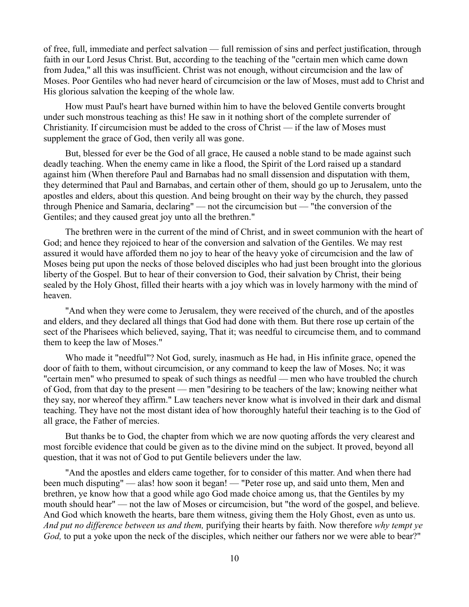of free, full, immediate and perfect salvation — full remission of sins and perfect justification, through faith in our Lord Jesus Christ. But, according to the teaching of the "certain men which came down from Judea," all this was insufficient. Christ was not enough, without circumcision and the law of Moses. Poor Gentiles who had never heard of circumcision or the law of Moses, must add to Christ and His glorious salvation the keeping of the whole law.

How must Paul's heart have burned within him to have the beloved Gentile converts brought under such monstrous teaching as this! He saw in it nothing short of the complete surrender of Christianity. If circumcision must be added to the cross of Christ — if the law of Moses must supplement the grace of God, then verily all was gone.

But, blessed for ever be the God of all grace, He caused a noble stand to be made against such deadly teaching. When the enemy came in like a flood, the Spirit of the Lord raised up a standard against him (When therefore Paul and Barnabas had no small dissension and disputation with them, they determined that Paul and Barnabas, and certain other of them, should go up to Jerusalem, unto the apostles and elders, about this question. And being brought on their way by the church, they passed through Phenice and Samaria, declaring" — not the circumcision but — "the conversion of the Gentiles; and they caused great joy unto all the brethren."

The brethren were in the current of the mind of Christ, and in sweet communion with the heart of God; and hence they rejoiced to hear of the conversion and salvation of the Gentiles. We may rest assured it would have afforded them no joy to hear of the heavy yoke of circumcision and the law of Moses being put upon the necks of those beloved disciples who had just been brought into the glorious liberty of the Gospel. But to hear of their conversion to God, their salvation by Christ, their being sealed by the Holy Ghost, filled their hearts with a joy which was in lovely harmony with the mind of heaven.

"And when they were come to Jerusalem, they were received of the church, and of the apostles and elders, and they declared all things that God had done with them. But there rose up certain of the sect of the Pharisees which believed, saying, That it; was needful to circumcise them, and to command them to keep the law of Moses."

Who made it "needful"? Not God, surely, inasmuch as He had, in His infinite grace, opened the door of faith to them, without circumcision, or any command to keep the law of Moses. No; it was "certain men" who presumed to speak of such things as needful — men who have troubled the church of God, from that day to the present — men "desiring to be teachers of the law; knowing neither what they say, nor whereof they affirm." Law teachers never know what is involved in their dark and dismal teaching. They have not the most distant idea of how thoroughly hateful their teaching is to the God of all grace, the Father of mercies.

But thanks be to God, the chapter from which we are now quoting affords the very clearest and most forcible evidence that could be given as to the divine mind on the subject. It proved, beyond all question, that it was not of God to put Gentile believers under the law.

"And the apostles and elders came together, for to consider of this matter. And when there had been much disputing" — alas! how soon it began! — "Peter rose up, and said unto them, Men and brethren, ye know how that a good while ago God made choice among us, that the Gentiles by my mouth should hear" — not the law of Moses or circumcision, but "the word of the gospel, and believe. And God which knoweth the hearts, bare them witness, giving them the Holy Ghost, even as unto us. *And put no difference between us and them,* purifying their hearts by faith. Now therefore *why tempt ye God,* to put a yoke upon the neck of the disciples, which neither our fathers nor we were able to bear?"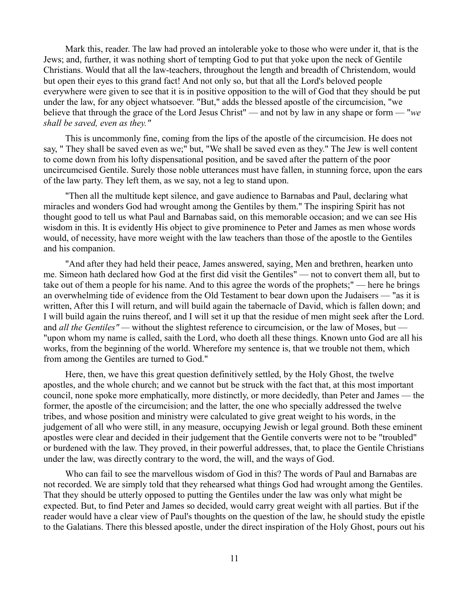Mark this, reader. The law had proved an intolerable yoke to those who were under it, that is the Jews; and, further, it was nothing short of tempting God to put that yoke upon the neck of Gentile Christians. Would that all the law-teachers, throughout the length and breadth of Christendom, would but open their eyes to this grand fact! And not only so, but that all the Lord's beloved people everywhere were given to see that it is in positive opposition to the will of God that they should be put under the law, for any object whatsoever. "But," adds the blessed apostle of the circumcision, "we believe that through the grace of the Lord Jesus Christ" — and not by law in any shape or form — "*we shall be saved, even as they."*

This is uncommonly fine, coming from the lips of the apostle of the circumcision. He does not say, " They shall be saved even as we;" but, "We shall be saved even as they." The Jew is well content to come down from his lofty dispensational position, and be saved after the pattern of the poor uncircumcised Gentile. Surely those noble utterances must have fallen, in stunning force, upon the ears of the law party. They left them, as we say, not a leg to stand upon.

"Then all the multitude kept silence, and gave audience to Barnabas and Paul, declaring what miracles and wonders God had wrought among the Gentiles by them." The inspiring Spirit has not thought good to tell us what Paul and Barnabas said, on this memorable occasion; and we can see His wisdom in this. It is evidently His object to give prominence to Peter and James as men whose words would, of necessity, have more weight with the law teachers than those of the apostle to the Gentiles and his companion.

"And after they had held their peace, James answered, saying, Men and brethren, hearken unto me. Simeon hath declared how God at the first did visit the Gentiles" — not to convert them all, but to take out of them a people for his name. And to this agree the words of the prophets;" — here he brings an overwhelming tide of evidence from the Old Testament to bear down upon the Judaisers — "as it is written, After this I will return, and will build again the tabernacle of David, which is fallen down; and I will build again the ruins thereof, and I will set it up that the residue of men might seek after the Lord. and *all the Gentiles" —* without the slightest reference to circumcision, or the law of Moses, but — "upon whom my name is called, saith the Lord, who doeth all these things. Known unto God are all his works, from the beginning of the world. Wherefore my sentence is, that we trouble not them, which from among the Gentiles are turned to God."

Here, then, we have this great question definitively settled, by the Holy Ghost, the twelve apostles, and the whole church; and we cannot but be struck with the fact that, at this most important council, none spoke more emphatically, more distinctly, or more decidedly, than Peter and James — the former, the apostle of the circumcision; and the latter, the one who specially addressed the twelve tribes, and whose position and ministry were calculated to give great weight to his words, in the judgement of all who were still, in any measure, occupying Jewish or legal ground. Both these eminent apostles were clear and decided in their judgement that the Gentile converts were not to be "troubled" or burdened with the law. They proved, in their powerful addresses, that, to place the Gentile Christians under the law, was directly contrary to the word, the will, and the ways of God.

Who can fail to see the marvellous wisdom of God in this? The words of Paul and Barnabas are not recorded. We are simply told that they rehearsed what things God had wrought among the Gentiles. That they should be utterly opposed to putting the Gentiles under the law was only what might be expected. But, to find Peter and James so decided, would carry great weight with all parties. But if the reader would have a clear view of Paul's thoughts on the question of the law, he should study the epistle to the Galatians. There this blessed apostle, under the direct inspiration of the Holy Ghost, pours out his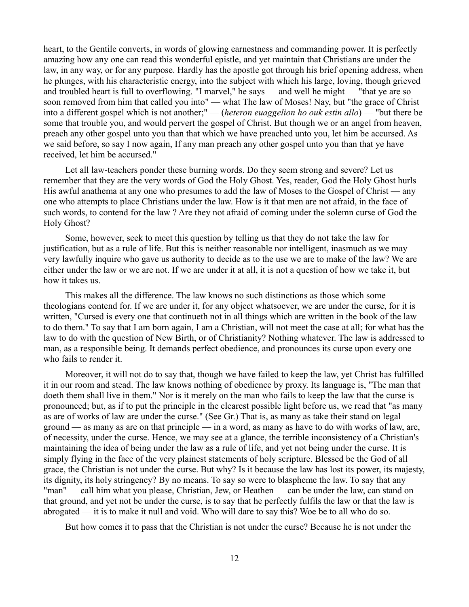heart, to the Gentile converts, in words of glowing earnestness and commanding power. It is perfectly amazing how any one can read this wonderful epistle, and yet maintain that Christians are under the law, in any way, or for any purpose. Hardly has the apostle got through his brief opening address, when he plunges, with his characteristic energy, into the subject with which his large, loving, though grieved and troubled heart is full to overflowing. "I marvel," he says — and well he might — "that ye are so soon removed from him that called you into" — what The law of Moses! Nay, but "the grace of Christ into a different gospel which is not another;" — (*heteron euaggelion ho ouk estin allo*) — "but there be some that trouble you, and would pervert the gospel of Christ. But though we or an angel from heaven, preach any other gospel unto you than that which we have preached unto you, let him be accursed. As we said before, so say I now again, If any man preach any other gospel unto you than that ye have received, let him be accursed."

Let all law-teachers ponder these burning words. Do they seem strong and severe? Let us remember that they are the very words of God the Holy Ghost. Yes, reader, God the Holy Ghost hurls His awful anathema at any one who presumes to add the law of Moses to the Gospel of Christ — any one who attempts to place Christians under the law. How is it that men are not afraid, in the face of such words, to contend for the law ? Are they not afraid of coming under the solemn curse of God the Holy Ghost?

Some, however, seek to meet this question by telling us that they do not take the law for justification, but as a rule of life. But this is neither reasonable nor intelligent, inasmuch as we may very lawfully inquire who gave us authority to decide as to the use we are to make of the law? We are either under the law or we are not. If we are under it at all, it is not a question of how we take it, but how it takes us.

This makes all the difference. The law knows no such distinctions as those which some theologians contend for. If we are under it, for any object whatsoever, we are under the curse, for it is written, "Cursed is every one that continueth not in all things which are written in the book of the law to do them." To say that I am born again, I am a Christian, will not meet the case at all; for what has the law to do with the question of New Birth, or of Christianity? Nothing whatever. The law is addressed to man, as a responsible being. It demands perfect obedience, and pronounces its curse upon every one who fails to render it.

Moreover, it will not do to say that, though we have failed to keep the law, yet Christ has fulfilled it in our room and stead. The law knows nothing of obedience by proxy. Its language is, "The man that doeth them shall live in them." Nor is it merely on the man who fails to keep the law that the curse is pronounced; but, as if to put the principle in the clearest possible light before us, we read that "as many as are of works of law are under the curse." (See Gr.) That is, as many as take their stand on legal ground — as many as are on that principle — in a word, as many as have to do with works of law, are, of necessity, under the curse. Hence, we may see at a glance, the terrible inconsistency of a Christian's maintaining the idea of being under the law as a rule of life, and yet not being under the curse. It is simply flying in the face of the very plainest statements of holy scripture. Blessed be the God of all grace, the Christian is not under the curse. But why? Is it because the law has lost its power, its majesty, its dignity, its holy stringency? By no means. To say so were to blaspheme the law. To say that any "man" — call him what you please, Christian, Jew, or Heathen — can be under the law, can stand on that ground, and yet not be under the curse, is to say that he perfectly fulfils the law or that the law is abrogated — it is to make it null and void. Who will dare to say this? Woe be to all who do so.

But how comes it to pass that the Christian is not under the curse? Because he is not under the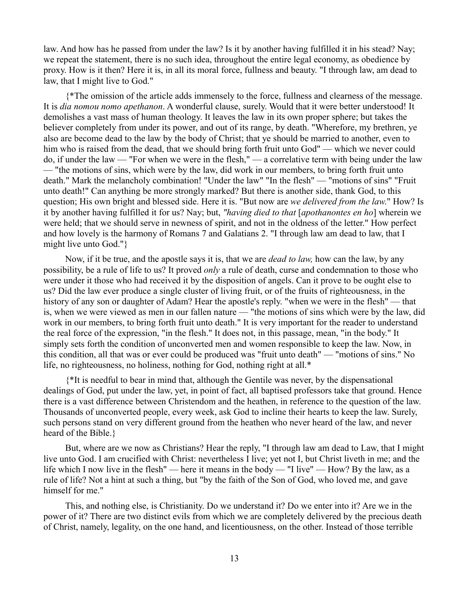law. And how has he passed from under the law? Is it by another having fulfilled it in his stead? Nay; we repeat the statement, there is no such idea, throughout the entire legal economy, as obedience by proxy. How is it then? Here it is, in all its moral force, fullness and beauty. "I through law, am dead to law, that I might live to God."

{\*The omission of the article adds immensely to the force, fullness and clearness of the message. It is *dia nomou nomo apethanon*. A wonderful clause, surely. Would that it were better understood! It demolishes a vast mass of human theology. It leaves the law in its own proper sphere; but takes the believer completely from under its power, and out of its range, by death. "Wherefore, my brethren, ye also are become dead to the law by the body of Christ; that ye should be married to another, even to him who is raised from the dead, that we should bring forth fruit unto God" — which we never could do, if under the law — "For when we were in the flesh," — a correlative term with being under the law — "the motions of sins, which were by the law, did work in our members, to bring forth fruit unto death." Mark the melancholy combination! "Under the law" "In the flesh" — "motions of sins" "Fruit unto death!" Can anything be more strongly marked? But there is another side, thank God, to this question; His own bright and blessed side. Here it is. "But now are *we delivered from the law*." How? Is it by another having fulfilled it for us? Nay; but, *"having died to that* [*apothanontes en ho*] wherein we were held; that we should serve in newness of spirit, and not in the oldness of the letter." How perfect and how lovely is the harmony of Romans 7 and Galatians 2. "I through law am dead to law, that I might live unto God."}

Now, if it be true, and the apostle says it is, that we are *dead to law,* how can the law, by any possibility, be a rule of life to us? It proved *only* a rule of death, curse and condemnation to those who were under it those who had received it by the disposition of angels. Can it prove to be ought else to us? Did the law ever produce a single cluster of living fruit, or of the fruits of righteousness, in the history of any son or daughter of Adam? Hear the apostle's reply. "when we were in the flesh" — that is, when we were viewed as men in our fallen nature — "the motions of sins which were by the law, did work in our members, to bring forth fruit unto death." It is very important for the reader to understand the real force of the expression, "in the flesh." It does not, in this passage, mean, "in the body." It simply sets forth the condition of unconverted men and women responsible to keep the law. Now, in this condition, all that was or ever could be produced was "fruit unto death" — "motions of sins." No life, no righteousness, no holiness, nothing for God, nothing right at all.<sup>\*</sup>

{\*It is needful to bear in mind that, although the Gentile was never, by the dispensational dealings of God, put under the law, yet, in point of fact, all baptised professors take that ground. Hence there is a vast difference between Christendom and the heathen, in reference to the question of the law. Thousands of unconverted people, every week, ask God to incline their hearts to keep the law. Surely, such persons stand on very different ground from the heathen who never heard of the law, and never heard of the Bible.}

But, where are we now as Christians? Hear the reply, "I through law am dead to Law, that I might live unto God. I am crucified with Christ: nevertheless I live; yet not I, but Christ liveth in me; and the life which I now live in the flesh" — here it means in the body — "I live" — How? By the law, as a rule of life? Not a hint at such a thing, but "by the faith of the Son of God, who loved me, and gave himself for me."

This, and nothing else, is Christianity. Do we understand it? Do we enter into it? Are we in the power of it? There are two distinct evils from which we are completely delivered by the precious death of Christ, namely, legality, on the one hand, and licentiousness, on the other. Instead of those terrible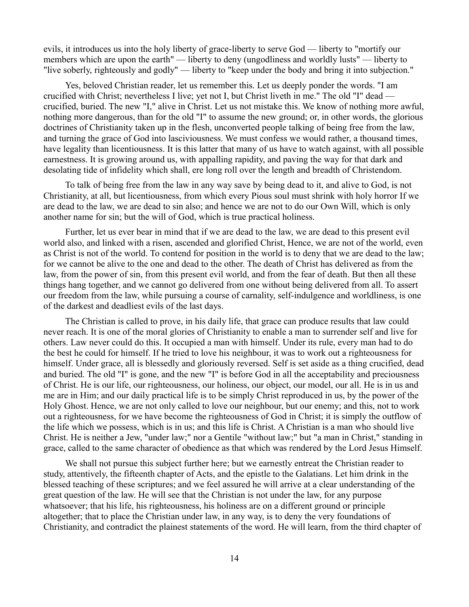evils, it introduces us into the holy liberty of grace-liberty to serve God — liberty to "mortify our members which are upon the earth" — liberty to deny (ungodliness and worldly lusts" — liberty to "live soberly, righteously and godly" — liberty to "keep under the body and bring it into subjection."

Yes, beloved Christian reader, let us remember this. Let us deeply ponder the words. "I am crucified with Christ; nevertheless I live; yet not I, but Christ liveth in me." The old "I" dead crucified, buried. The new "I," alive in Christ. Let us not mistake this. We know of nothing more awful, nothing more dangerous, than for the old "I" to assume the new ground; or, in other words, the glorious doctrines of Christianity taken up in the flesh, unconverted people talking of being free from the law, and turning the grace of God into lasciviousness. We must confess we would rather, a thousand times, have legality than licentiousness. It is this latter that many of us have to watch against, with all possible earnestness. It is growing around us, with appalling rapidity, and paving the way for that dark and desolating tide of infidelity which shall, ere long roll over the length and breadth of Christendom.

To talk of being free from the law in any way save by being dead to it, and alive to God, is not Christianity, at all, but licentiousness, from which every Pious soul must shrink with holy horror If we are dead to the law, we are dead to sin also; and hence we are not to do our Own Will, which is only another name for sin; but the will of God, which is true practical holiness.

Further, let us ever bear in mind that if we are dead to the law, we are dead to this present evil world also, and linked with a risen, ascended and glorified Christ, Hence, we are not of the world, even as Christ is not of the world. To contend for position in the world is to deny that we are dead to the law; for we cannot be alive to the one and dead to the other. The death of Christ has delivered as from the law, from the power of sin, from this present evil world, and from the fear of death. But then all these things hang together, and we cannot go delivered from one without being delivered from all. To assert our freedom from the law, while pursuing a course of carnality, self-indulgence and worldliness, is one of the darkest and deadliest evils of the last days.

The Christian is called to prove, in his daily life, that grace can produce results that law could never reach. It is one of the moral glories of Christianity to enable a man to surrender self and live for others. Law never could do this. It occupied a man with himself. Under its rule, every man had to do the best he could for himself. If he tried to love his neighbour, it was to work out a righteousness for himself. Under grace, all is blessedly and gloriously reversed. Self is set aside as a thing crucified, dead and buried. The old "I" is gone, and the new "I" is before God in all the acceptability and preciousness of Christ. He is our life, our righteousness, our holiness, our object, our model, our all. He is in us and me are in Him; and our daily practical life is to be simply Christ reproduced in us, by the power of the Holy Ghost. Hence, we are not only called to love our neighbour, but our enemy; and this, not to work out a righteousness, for we have become the righteousness of God in Christ; it is simply the outflow of the life which we possess, which is in us; and this life is Christ. A Christian is a man who should live Christ. He is neither a Jew, "under law;" nor a Gentile "without law;" but "a man in Christ," standing in grace, called to the same character of obedience as that which was rendered by the Lord Jesus Himself.

We shall not pursue this subject further here; but we earnestly entreat the Christian reader to study, attentively, the fifteenth chapter of Acts, and the epistle to the Galatians. Let him drink in the blessed teaching of these scriptures; and we feel assured he will arrive at a clear understanding of the great question of the law. He will see that the Christian is not under the law, for any purpose whatsoever; that his life, his righteousness, his holiness are on a different ground or principle altogether; that to place the Christian under law, in any way, is to deny the very foundations of Christianity, and contradict the plainest statements of the word. He will learn, from the third chapter of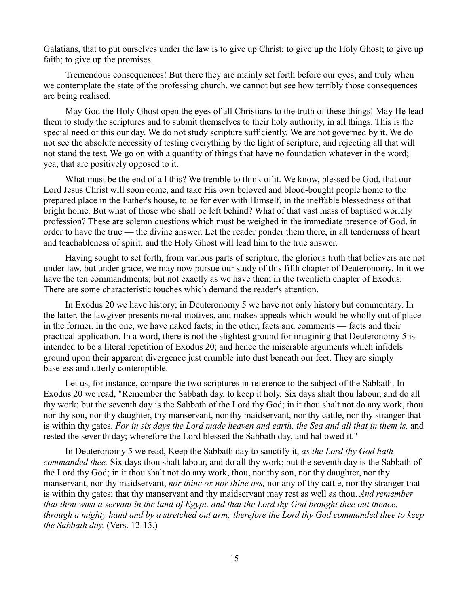Galatians, that to put ourselves under the law is to give up Christ; to give up the Holy Ghost; to give up faith; to give up the promises.

Tremendous consequences! But there they are mainly set forth before our eyes; and truly when we contemplate the state of the professing church, we cannot but see how terribly those consequences are being realised.

May God the Holy Ghost open the eyes of all Christians to the truth of these things! May He lead them to study the scriptures and to submit themselves to their holy authority, in all things. This is the special need of this our day. We do not study scripture sufficiently. We are not governed by it. We do not see the absolute necessity of testing everything by the light of scripture, and rejecting all that will not stand the test. We go on with a quantity of things that have no foundation whatever in the word; yea, that are positively opposed to it.

What must be the end of all this? We tremble to think of it. We know, blessed be God, that our Lord Jesus Christ will soon come, and take His own beloved and blood-bought people home to the prepared place in the Father's house, to be for ever with Himself, in the ineffable blessedness of that bright home. But what of those who shall be left behind? What of that vast mass of baptised worldly profession? These are solemn questions which must be weighed in the immediate presence of God, in order to have the true — the divine answer. Let the reader ponder them there, in all tenderness of heart and teachableness of spirit, and the Holy Ghost will lead him to the true answer.

Having sought to set forth, from various parts of scripture, the glorious truth that believers are not under law, but under grace, we may now pursue our study of this fifth chapter of Deuteronomy. In it we have the ten commandments; but not exactly as we have them in the twentieth chapter of Exodus. There are some characteristic touches which demand the reader's attention.

In Exodus 20 we have history; in Deuteronomy 5 we have not only history but commentary. In the latter, the lawgiver presents moral motives, and makes appeals which would be wholly out of place in the former. In the one, we have naked facts; in the other, facts and comments — facts and their practical application. In a word, there is not the slightest ground for imagining that Deuteronomy 5 is intended to be a literal repetition of Exodus 20; and hence the miserable arguments which infidels ground upon their apparent divergence just crumble into dust beneath our feet. They are simply baseless and utterly contemptible.

Let us, for instance, compare the two scriptures in reference to the subject of the Sabbath. In Exodus 20 we read, "Remember the Sabbath day, to keep it holy. Six days shalt thou labour, and do all thy work; but the seventh day is the Sabbath of the Lord thy God; in it thou shalt not do any work, thou nor thy son, nor thy daughter, thy manservant, nor thy maidservant, nor thy cattle, nor thy stranger that is within thy gates. *For in six days the Lord made heaven and earth, the Sea and all that in them is,* and rested the seventh day; wherefore the Lord blessed the Sabbath day, and hallowed it."

In Deuteronomy 5 we read, Keep the Sabbath day to sanctify it, *as the Lord thy God hath commanded thee.* Six days thou shalt labour, and do all thy work; but the seventh day is the Sabbath of the Lord thy God; in it thou shalt not do any work, thou, nor thy son, nor thy daughter, nor thy manservant, nor thy maidservant, *nor thine ox nor thine ass,* nor any of thy cattle, nor thy stranger that is within thy gates; that thy manservant and thy maidservant may rest as well as thou. *And remember that thou wast a servant in the land of Egypt, and that the Lord thy God brought thee out thence, through a mighty hand and by a stretched out arm; therefore the Lord thy God commanded thee to keep the Sabbath day.* (Vers. 12-15.)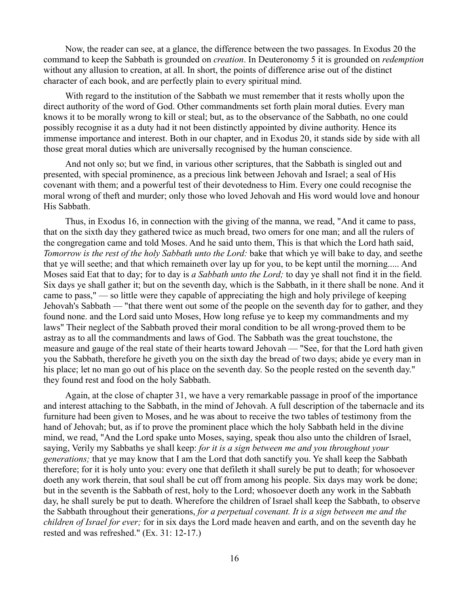Now, the reader can see, at a glance, the difference between the two passages. In Exodus 20 the command to keep the Sabbath is grounded on *creation*. In Deuteronomy 5 it is grounded on *redemption* without any allusion to creation, at all. In short, the points of difference arise out of the distinct character of each book, and are perfectly plain to every spiritual mind.

With regard to the institution of the Sabbath we must remember that it rests wholly upon the direct authority of the word of God. Other commandments set forth plain moral duties. Every man knows it to be morally wrong to kill or steal; but, as to the observance of the Sabbath, no one could possibly recognise it as a duty had it not been distinctly appointed by divine authority. Hence its immense importance and interest. Both in our chapter, and in Exodus 20, it stands side by side with all those great moral duties which are universally recognised by the human conscience.

And not only so; but we find, in various other scriptures, that the Sabbath is singled out and presented, with special prominence, as a precious link between Jehovah and Israel; a seal of His covenant with them; and a powerful test of their devotedness to Him. Every one could recognise the moral wrong of theft and murder; only those who loved Jehovah and His word would love and honour His Sabbath.

Thus, in Exodus 16, in connection with the giving of the manna, we read, "And it came to pass, that on the sixth day they gathered twice as much bread, two omers for one man; and all the rulers of the congregation came and told Moses. And he said unto them, This is that which the Lord hath said, *Tomorrow is the rest of the holy Sabbath unto the Lord:* bake that which ye will bake to day, and seethe that ye will seethe; and that which remaineth over lay up for you, to be kept until the morning..... And Moses said Eat that to day; for to day is *a Sabbath unto the Lord;* to day ye shall not find it in the field. Six days ye shall gather it; but on the seventh day, which is the Sabbath, in it there shall be none. And it came to pass," — so little were they capable of appreciating the high and holy privilege of keeping Jehovah's Sabbath — "that there went out some of the people on the seventh day for to gather, and they found none. and the Lord said unto Moses, How long refuse ye to keep my commandments and my laws" Their neglect of the Sabbath proved their moral condition to be all wrong-proved them to be astray as to all the commandments and laws of God. The Sabbath was the great touchstone, the measure and gauge of the real state of their hearts toward Jehovah — "See, for that the Lord hath given you the Sabbath, therefore he giveth you on the sixth day the bread of two days; abide ye every man in his place; let no man go out of his place on the seventh day. So the people rested on the seventh day." they found rest and food on the holy Sabbath.

Again, at the close of chapter 31, we have a very remarkable passage in proof of the importance and interest attaching to the Sabbath, in the mind of Jehovah. A full description of the tabernacle and its furniture had been given to Moses, and he was about to receive the two tables of testimony from the hand of Jehovah; but, as if to prove the prominent place which the holy Sabbath held in the divine mind, we read, "And the Lord spake unto Moses, saying, speak thou also unto the children of Israel, saying, Verily my Sabbaths ye shall keep: *for it is a sign between me and you throughout your generations;* that ye may know that I am the Lord that doth sanctify you. Ye shall keep the Sabbath therefore; for it is holy unto you: every one that defileth it shall surely be put to death; for whosoever doeth any work therein, that soul shall be cut off from among his people. Six days may work be done; but in the seventh is the Sabbath of rest, holy to the Lord; whosoever doeth any work in the Sabbath day, he shall surely be put to death. Wherefore the children of Israel shall keep the Sabbath, to observe the Sabbath throughout their generations, *for a perpetual covenant. It is a sign between me and the children of Israel for ever;* for in six days the Lord made heaven and earth, and on the seventh day he rested and was refreshed." (Ex. 31: 12-17.)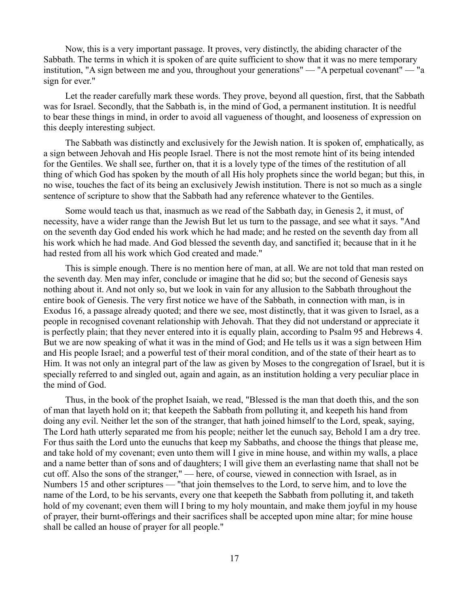Now, this is a very important passage. It proves, very distinctly, the abiding character of the Sabbath. The terms in which it is spoken of are quite sufficient to show that it was no mere temporary institution, "A sign between me and you, throughout your generations" — "A perpetual covenant" — "a sign for ever."

Let the reader carefully mark these words. They prove, beyond all question, first, that the Sabbath was for Israel. Secondly, that the Sabbath is, in the mind of God, a permanent institution. It is needful to bear these things in mind, in order to avoid all vagueness of thought, and looseness of expression on this deeply interesting subject.

The Sabbath was distinctly and exclusively for the Jewish nation. It is spoken of, emphatically, as a sign between Jehovah and His people Israel. There is not the most remote hint of its being intended for the Gentiles. We shall see, further on, that it is a lovely type of the times of the restitution of all thing of which God has spoken by the mouth of all His holy prophets since the world began; but this, in no wise, touches the fact of its being an exclusively Jewish institution. There is not so much as a single sentence of scripture to show that the Sabbath had any reference whatever to the Gentiles.

Some would teach us that, inasmuch as we read of the Sabbath day, in Genesis 2, it must, of necessity, have a wider range than the Jewish But let us turn to the passage, and see what it says. "And on the seventh day God ended his work which he had made; and he rested on the seventh day from all his work which he had made. And God blessed the seventh day, and sanctified it; because that in it he had rested from all his work which God created and made."

This is simple enough. There is no mention here of man, at all. We are not told that man rested on the seventh day. Men may infer, conclude or imagine that he did so; but the second of Genesis says nothing about it. And not only so, but we look in vain for any allusion to the Sabbath throughout the entire book of Genesis. The very first notice we have of the Sabbath, in connection with man, is in Exodus 16, a passage already quoted; and there we see, most distinctly, that it was given to Israel, as a people in recognised covenant relationship with Jehovah. That they did not understand or appreciate it is perfectly plain; that they never entered into it is equally plain, according to Psalm 95 and Hebrews 4. But we are now speaking of what it was in the mind of God; and He tells us it was a sign between Him and His people Israel; and a powerful test of their moral condition, and of the state of their heart as to Him. It was not only an integral part of the law as given by Moses to the congregation of Israel, but it is specially referred to and singled out, again and again, as an institution holding a very peculiar place in the mind of God.

Thus, in the book of the prophet Isaiah, we read, "Blessed is the man that doeth this, and the son of man that layeth hold on it; that keepeth the Sabbath from polluting it, and keepeth his hand from doing any evil. Neither let the son of the stranger, that hath joined himself to the Lord, speak, saying, The Lord hath utterly separated me from his people; neither let the eunuch say, Behold I am a dry tree. For thus saith the Lord unto the eunuchs that keep my Sabbaths, and choose the things that please me, and take hold of my covenant; even unto them will I give in mine house, and within my walls, a place and a name better than of sons and of daughters; I will give them an everlasting name that shall not be cut off. Also the sons of the stranger," — here, of course, viewed in connection with Israel, as in Numbers 15 and other scriptures — "that join themselves to the Lord, to serve him, and to love the name of the Lord, to be his servants, every one that keepeth the Sabbath from polluting it, and taketh hold of my covenant; even them will I bring to my holy mountain, and make them joyful in my house of prayer, their burnt-offerings and their sacrifices shall be accepted upon mine altar; for mine house shall be called an house of prayer for all people."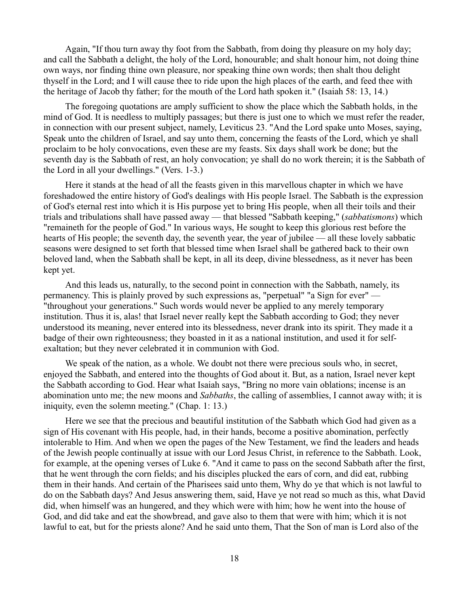Again, "If thou turn away thy foot from the Sabbath, from doing thy pleasure on my holy day; and call the Sabbath a delight, the holy of the Lord, honourable; and shalt honour him, not doing thine own ways, nor finding thine own pleasure, nor speaking thine own words; then shalt thou delight thyself in the Lord; and I will cause thee to ride upon the high places of the earth, and feed thee with the heritage of Jacob thy father; for the mouth of the Lord hath spoken it." (Isaiah 58: 13, 14.)

The foregoing quotations are amply sufficient to show the place which the Sabbath holds, in the mind of God. It is needless to multiply passages; but there is just one to which we must refer the reader, in connection with our present subject, namely, Leviticus 23. "And the Lord spake unto Moses, saying, Speak unto the children of Israel, and say unto them, concerning the feasts of the Lord, which ye shall proclaim to be holy convocations, even these are my feasts. Six days shall work be done; but the seventh day is the Sabbath of rest, an holy convocation; ye shall do no work therein; it is the Sabbath of the Lord in all your dwellings." (Vers. 1-3.)

Here it stands at the head of all the feasts given in this marvellous chapter in which we have foreshadowed the entire history of God's dealings with His people Israel. The Sabbath is the expression of God's eternal rest into which it is His purpose yet to bring His people, when all their toils and their trials and tribulations shall have passed away — that blessed "Sabbath keeping," (*sabbatismons*) which "remaineth for the people of God." In various ways, He sought to keep this glorious rest before the hearts of His people; the seventh day, the seventh year, the year of jubilee — all these lovely sabbatic seasons were designed to set forth that blessed time when Israel shall be gathered back to their own beloved land, when the Sabbath shall be kept, in all its deep, divine blessedness, as it never has been kept yet.

And this leads us, naturally, to the second point in connection with the Sabbath, namely, its permanency. This is plainly proved by such expressions as, "perpetual" "a Sign for ever" — "throughout your generations." Such words would never be applied to any merely temporary institution. Thus it is, alas! that Israel never really kept the Sabbath according to God; they never understood its meaning, never entered into its blessedness, never drank into its spirit. They made it a badge of their own righteousness; they boasted in it as a national institution, and used it for selfexaltation; but they never celebrated it in communion with God.

We speak of the nation, as a whole. We doubt not there were precious souls who, in secret, enjoyed the Sabbath, and entered into the thoughts of God about it. But, as a nation, Israel never kept the Sabbath according to God. Hear what Isaiah says, "Bring no more vain oblations; incense is an abomination unto me; the new moons and *Sabbaths*, the calling of assemblies, I cannot away with; it is iniquity, even the solemn meeting." (Chap. 1: 13.)

Here we see that the precious and beautiful institution of the Sabbath which God had given as a sign of His covenant with His people, had, in their hands, become a positive abomination, perfectly intolerable to Him. And when we open the pages of the New Testament, we find the leaders and heads of the Jewish people continually at issue with our Lord Jesus Christ, in reference to the Sabbath. Look, for example, at the opening verses of Luke 6. "And it came to pass on the second Sabbath after the first, that he went through the corn fields; and his disciples plucked the ears of corn, and did eat, rubbing them in their hands. And certain of the Pharisees said unto them, Why do ye that which is not lawful to do on the Sabbath days? And Jesus answering them, said, Have ye not read so much as this, what David did, when himself was an hungered, and they which were with him; how he went into the house of God, and did take and eat the showbread, and gave also to them that were with him; which it is not lawful to eat, but for the priests alone? And he said unto them, That the Son of man is Lord also of the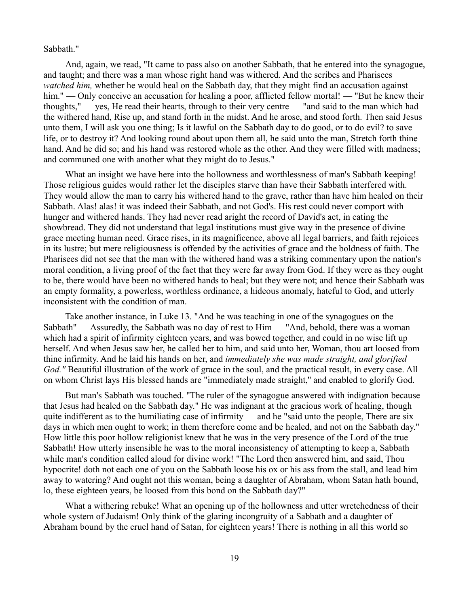Sabbath."

And, again, we read, "It came to pass also on another Sabbath, that he entered into the synagogue, and taught; and there was a man whose right hand was withered. And the scribes and Pharisees *watched him,* whether he would heal on the Sabbath day, that they might find an accusation against him." — Only conceive an accusation for healing a poor, afflicted fellow mortal! — "But he knew their" thoughts," — yes, He read their hearts, through to their very centre — "and said to the man which had the withered hand, Rise up, and stand forth in the midst. And he arose, and stood forth. Then said Jesus unto them, I will ask you one thing; Is it lawful on the Sabbath day to do good, or to do evil? to save life, or to destroy it? And looking round about upon them all, he said unto the man, Stretch forth thine hand. And he did so; and his hand was restored whole as the other. And they were filled with madness; and communed one with another what they might do to Jesus."

What an insight we have here into the hollowness and worthlessness of man's Sabbath keeping! Those religious guides would rather let the disciples starve than have their Sabbath interfered with. They would allow the man to carry his withered hand to the grave, rather than have him healed on their Sabbath. Alas! alas! it was indeed their Sabbath, and not God's. His rest could never comport with hunger and withered hands. They had never read aright the record of David's act, in eating the showbread. They did not understand that legal institutions must give way in the presence of divine grace meeting human need. Grace rises, in its magnificence, above all legal barriers, and faith rejoices in its lustre; but mere religiousness is offended by the activities of grace and the boldness of faith. The Pharisees did not see that the man with the withered hand was a striking commentary upon the nation's moral condition, a living proof of the fact that they were far away from God. If they were as they ought to be, there would have been no withered hands to heal; but they were not; and hence their Sabbath was an empty formality, a powerless, worthless ordinance, a hideous anomaly, hateful to God, and utterly inconsistent with the condition of man.

Take another instance, in Luke 13. "And he was teaching in one of the synagogues on the Sabbath" — Assuredly, the Sabbath was no day of rest to Him — "And, behold, there was a woman which had a spirit of infirmity eighteen years, and was bowed together, and could in no wise lift up herself. And when Jesus saw her, he called her to him, and said unto her, Woman, thou art loosed from thine infirmity. And he laid his hands on her, and *immediately she was made straight, and glorified God."* Beautiful illustration of the work of grace in the soul, and the practical result, in every case. All on whom Christ lays His blessed hands are "immediately made straight,'' and enabled to glorify God.

But man's Sabbath was touched. "The ruler of the synagogue answered with indignation because that Jesus had healed on the Sabbath day." He was indignant at the gracious work of healing, though quite indifferent as to the humiliating case of infirmity — and he "said unto the people, There are six days in which men ought to work; in them therefore come and be healed, and not on the Sabbath day." How little this poor hollow religionist knew that he was in the very presence of the Lord of the true Sabbath! How utterly insensible he was to the moral inconsistency of attempting to keep a, Sabbath while man's condition called aloud for divine work! "The Lord then answered him, and said, Thou hypocrite! doth not each one of you on the Sabbath loose his ox or his ass from the stall, and lead him away to watering? And ought not this woman, being a daughter of Abraham, whom Satan hath bound, lo, these eighteen years, be loosed from this bond on the Sabbath day?"

What a withering rebuke! What an opening up of the hollowness and utter wretchedness of their whole system of Judaism! Only think of the glaring incongruity of a Sabbath and a daughter of Abraham bound by the cruel hand of Satan, for eighteen years! There is nothing in all this world so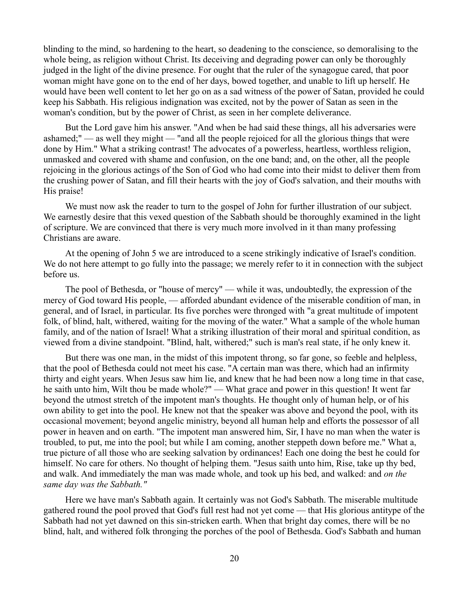blinding to the mind, so hardening to the heart, so deadening to the conscience, so demoralising to the whole being, as religion without Christ. Its deceiving and degrading power can only be thoroughly judged in the light of the divine presence. For ought that the ruler of the synagogue cared, that poor woman might have gone on to the end of her days, bowed together, and unable to lift up herself. He would have been well content to let her go on as a sad witness of the power of Satan, provided he could keep his Sabbath. His religious indignation was excited, not by the power of Satan as seen in the woman's condition, but by the power of Christ, as seen in her complete deliverance.

But the Lord gave him his answer. "And when be had said these things, all his adversaries were ashamed;" — as well they might — "and all the people rejoiced for all the glorious things that were done by Him." What a striking contrast! The advocates of a powerless, heartless, worthless religion, unmasked and covered with shame and confusion, on the one band; and, on the other, all the people rejoicing in the glorious actings of the Son of God who had come into their midst to deliver them from the crushing power of Satan, and fill their hearts with the joy of God's salvation, and their mouths with His praise!

We must now ask the reader to turn to the gospel of John for further illustration of our subject. We earnestly desire that this vexed question of the Sabbath should be thoroughly examined in the light of scripture. We are convinced that there is very much more involved in it than many professing Christians are aware.

At the opening of John 5 we are introduced to a scene strikingly indicative of Israel's condition. We do not here attempt to go fully into the passage; we merely refer to it in connection with the subject before us.

The pool of Bethesda, or "house of mercy" — while it was, undoubtedly, the expression of the mercy of God toward His people, — afforded abundant evidence of the miserable condition of man, in general, and of Israel, in particular. Its five porches were thronged with "a great multitude of impotent folk, of blind, halt, withered, waiting for the moving of the water." What a sample of the whole human family, and of the nation of Israel! What a striking illustration of their moral and spiritual condition, as viewed from a divine standpoint. "Blind, halt, withered;" such is man's real state, if he only knew it.

But there was one man, in the midst of this impotent throng, so far gone, so feeble and helpless, that the pool of Bethesda could not meet his case. "A certain man was there, which had an infirmity thirty and eight years. When Jesus saw him lie, and knew that he had been now a long time in that case, he saith unto him, Wilt thou be made whole?" — What grace and power in this question! It went far beyond the utmost stretch of the impotent man's thoughts. He thought only of human help, or of his own ability to get into the pool. He knew not that the speaker was above and beyond the pool, with its occasional movement; beyond angelic ministry, beyond all human help and efforts the possessor of all power in heaven and on earth. "The impotent man answered him, Sir, I have no man when the water is troubled, to put, me into the pool; but while I am coming, another steppeth down before me." What a, true picture of all those who are seeking salvation by ordinances! Each one doing the best he could for himself. No care for others. No thought of helping them. "Jesus saith unto him, Rise, take up thy bed, and walk. And immediately the man was made whole, and took up his bed, and walked: and *on the same day was the Sabbath."*

Here we have man's Sabbath again. It certainly was not God's Sabbath. The miserable multitude gathered round the pool proved that God's full rest had not yet come — that His glorious antitype of the Sabbath had not yet dawned on this sin-stricken earth. When that bright day comes, there will be no blind, halt, and withered folk thronging the porches of the pool of Bethesda. God's Sabbath and human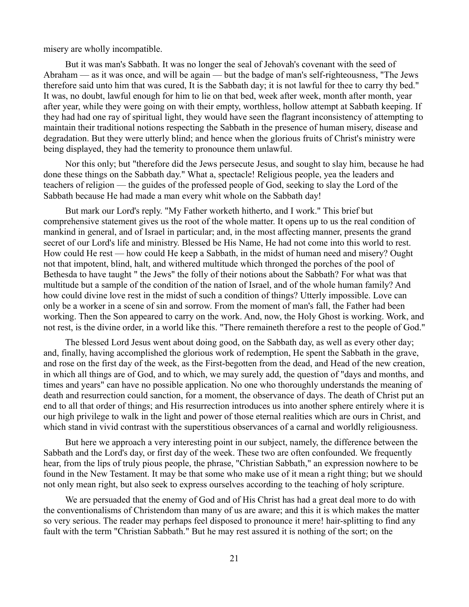misery are wholly incompatible.

But it was man's Sabbath. It was no longer the seal of Jehovah's covenant with the seed of Abraham — as it was once, and will be again — but the badge of man's self-righteousness, "The Jews therefore said unto him that was cured, It is the Sabbath day; it is not lawful for thee to carry thy bed." It was, no doubt, lawful enough for him to lie on that bed, week after week, month after month, year after year, while they were going on with their empty, worthless, hollow attempt at Sabbath keeping. If they had had one ray of spiritual light, they would have seen the flagrant inconsistency of attempting to maintain their traditional notions respecting the Sabbath in the presence of human misery, disease and degradation. But they were utterly blind; and hence when the glorious fruits of Christ's ministry were being displayed, they had the temerity to pronounce them unlawful.

Nor this only; but "therefore did the Jews persecute Jesus, and sought to slay him, because he had done these things on the Sabbath day." What a, spectacle! Religious people, yea the leaders and teachers of religion — the guides of the professed people of God, seeking to slay the Lord of the Sabbath because He had made a man every whit whole on the Sabbath day!

But mark our Lord's reply. "My Father worketh hitherto, and I work." This brief but comprehensive statement gives us the root of the whole matter. It opens up to us the real condition of mankind in general, and of Israel in particular; and, in the most affecting manner, presents the grand secret of our Lord's life and ministry. Blessed be His Name, He had not come into this world to rest. How could He rest — how could He keep a Sabbath, in the midst of human need and misery? Ought not that impotent, blind, halt, and withered multitude which thronged the porches of the pool of Bethesda to have taught " the Jews" the folly of their notions about the Sabbath? For what was that multitude but a sample of the condition of the nation of Israel, and of the whole human family? And how could divine love rest in the midst of such a condition of things? Utterly impossible. Love can only be a worker in a scene of sin and sorrow. From the moment of man's fall, the Father had been working. Then the Son appeared to carry on the work. And, now, the Holy Ghost is working. Work, and not rest, is the divine order, in a world like this. "There remaineth therefore a rest to the people of God."

The blessed Lord Jesus went about doing good, on the Sabbath day, as well as every other day; and, finally, having accomplished the glorious work of redemption, He spent the Sabbath in the grave, and rose on the first day of the week, as the First-begotten from the dead, and Head of the new creation, in which all things are of God, and to which, we may surely add, the question of "days and months, and times and years" can have no possible application. No one who thoroughly understands the meaning of death and resurrection could sanction, for a moment, the observance of days. The death of Christ put an end to all that order of things; and His resurrection introduces us into another sphere entirely where it is our high privilege to walk in the light and power of those eternal realities which are ours in Christ, and which stand in vivid contrast with the superstitious observances of a carnal and worldly religiousness.

But here we approach a very interesting point in our subject, namely, the difference between the Sabbath and the Lord's day, or first day of the week. These two are often confounded. We frequently hear, from the lips of truly pious people, the phrase, "Christian Sabbath," an expression nowhere to be found in the New Testament. It may be that some who make use of it mean a right thing; but we should not only mean right, but also seek to express ourselves according to the teaching of holy scripture.

We are persuaded that the enemy of God and of His Christ has had a great deal more to do with the conventionalisms of Christendom than many of us are aware; and this it is which makes the matter so very serious. The reader may perhaps feel disposed to pronounce it mere! hair-splitting to find any fault with the term "Christian Sabbath." But he may rest assured it is nothing of the sort; on the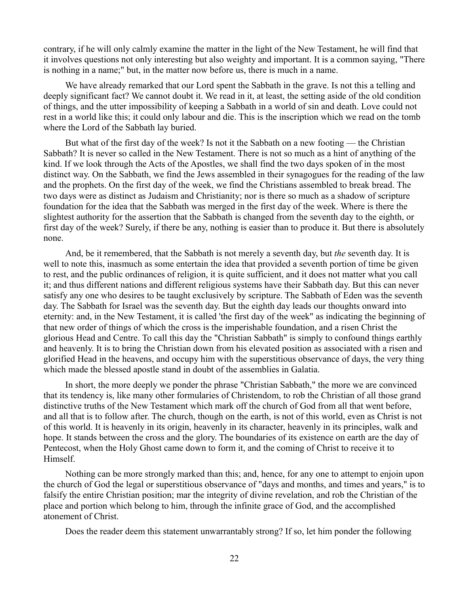contrary, if he will only calmly examine the matter in the light of the New Testament, he will find that it involves questions not only interesting but also weighty and important. It is a common saying, "There is nothing in a name;" but, in the matter now before us, there is much in a name.

We have already remarked that our Lord spent the Sabbath in the grave. Is not this a telling and deeply significant fact? We cannot doubt it. We read in it, at least, the setting aside of the old condition of things, and the utter impossibility of keeping a Sabbath in a world of sin and death. Love could not rest in a world like this; it could only labour and die. This is the inscription which we read on the tomb where the Lord of the Sabbath lay buried.

But what of the first day of the week? Is not it the Sabbath on a new footing — the Christian Sabbath? It is never so called in the New Testament. There is not so much as a hint of anything of the kind. If we look through the Acts of the Apostles, we shall find the two days spoken of in the most distinct way. On the Sabbath, we find the Jews assembled in their synagogues for the reading of the law and the prophets. On the first day of the week, we find the Christians assembled to break bread. The two days were as distinct as Judaism and Christianity; nor is there so much as a shadow of scripture foundation for the idea that the Sabbath was merged in the first day of the week. Where is there the slightest authority for the assertion that the Sabbath is changed from the seventh day to the eighth, or first day of the week? Surely, if there be any, nothing is easier than to produce it. But there is absolutely none.

And, be it remembered, that the Sabbath is not merely a seventh day, but *the* seventh day. It is well to note this, inasmuch as some entertain the idea that provided a seventh portion of time be given to rest, and the public ordinances of religion, it is quite sufficient, and it does not matter what you call it; and thus different nations and different religious systems have their Sabbath day. But this can never satisfy any one who desires to be taught exclusively by scripture. The Sabbath of Eden was the seventh day. The Sabbath for Israel was the seventh day. But the eighth day leads our thoughts onward into eternity: and, in the New Testament, it is called 'the first day of the week" as indicating the beginning of that new order of things of which the cross is the imperishable foundation, and a risen Christ the glorious Head and Centre. To call this day the "Christian Sabbath" is simply to confound things earthly and heavenly. It is to bring the Christian down from his elevated position as associated with a risen and glorified Head in the heavens, and occupy him with the superstitious observance of days, the very thing which made the blessed apostle stand in doubt of the assemblies in Galatia.

In short, the more deeply we ponder the phrase "Christian Sabbath," the more we are convinced that its tendency is, like many other formularies of Christendom, to rob the Christian of all those grand distinctive truths of the New Testament which mark off the church of God from all that went before, and all that is to follow after. The church, though on the earth, is not of this world, even as Christ is not of this world. It is heavenly in its origin, heavenly in its character, heavenly in its principles, walk and hope. It stands between the cross and the glory. The boundaries of its existence on earth are the day of Pentecost, when the Holy Ghost came down to form it, and the coming of Christ to receive it to Himself.

Nothing can be more strongly marked than this; and, hence, for any one to attempt to enjoin upon the church of God the legal or superstitious observance of "days and months, and times and years," is to falsify the entire Christian position; mar the integrity of divine revelation, and rob the Christian of the place and portion which belong to him, through the infinite grace of God, and the accomplished atonement of Christ.

Does the reader deem this statement unwarrantably strong? If so, let him ponder the following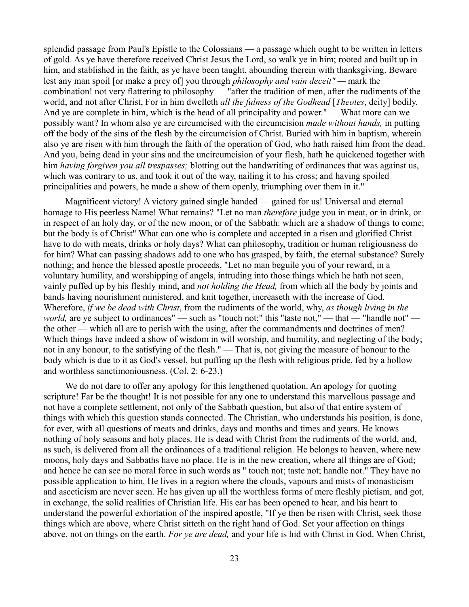splendid passage from Paul's Epistle to the Colossians — a passage which ought to be written in letters of gold. As ye have therefore received Christ Jesus the Lord, so walk ye in him; rooted and built up in him, and stablished in the faith, as ye have been taught, abounding therein with thanksgiving. Beware lest any man spoil [or make a prey of] you through *philosophy and vain deceit" —* mark the combination! not very flattering to philosophy — "after the tradition of men, after the rudiments of the world, and not after Christ, For in him dwelleth *all the fulness of the Godhead* [*Theotes*, deity] bodily. And ye are complete in him, which is the head of all principality and power." — What more can we possibly want? In whom also ye are circumcised with the circumcision *made without hands,* in putting off the body of the sins of the flesh by the circumcision of Christ. Buried with him in baptism, wherein also ye are risen with him through the faith of the operation of God, who hath raised him from the dead. And you, being dead in your sins and the uncircumcision of your flesh, hath he quickened together with him *having forgiven you all trespasses;* blotting out the handwriting of ordinances that was against us, which was contrary to us, and took it out of the way, nailing it to his cross; and having spoiled principalities and powers, he made a show of them openly, triumphing over them in it."

Magnificent victory! A victory gained single handed — gained for us! Universal and eternal homage to His peerless Name! What remains? "Let no man *therefore* judge you in meat, or in drink, or in respect of an holy day, or of the new moon, or of the Sabbath: which are a shadow of things to come; but the body is of Christ" What can one who is complete and accepted in a risen and glorified Christ have to do with meats, drinks or holy days? What can philosophy, tradition or human religiousness do for him? What can passing shadows add to one who has grasped, by faith, the eternal substance? Surely nothing; and hence the blessed apostle proceeds, "Let no man beguile you of your reward, in a voluntary humility, and worshipping of angels, intruding into those things which he hath not seen, vainly puffed up by his fleshly mind, and *not holding the Head,* from which all the body by joints and bands having nourishment ministered, and knit together, increaseth with the increase of God. Wherefore, *if we be dead with Christ*, from the rudiments of the world, why, *as though living in the world*, are ye subject to ordinances" — such as "touch not;" this "taste not," — that — "handle not" the other — which all are to perish with the using, after the commandments and doctrines of men? Which things have indeed a show of wisdom in will worship, and humility, and neglecting of the body; not in any honour, to the satisfying of the flesh." — That is, not giving the measure of honour to the body which is due to it as God's vessel, but puffing up the flesh with religious pride, fed by a hollow and worthless sanctimoniousness. (Col. 2: 6-23.)

We do not dare to offer any apology for this lengthened quotation. An apology for quoting scripture! Far be the thought! It is not possible for any one to understand this marvellous passage and not have a complete settlement, not only of the Sabbath question, but also of that entire system of things with which this question stands connected. The Christian, who understands his position, is done, for ever, with all questions of meats and drinks, days and months and times and years. He knows nothing of holy seasons and holy places. He is dead with Christ from the rudiments of the world, and, as such, is delivered from all the ordinances of a traditional religion. He belongs to heaven, where new moons, holy days and Sabbaths have no place. He is in the new creation, where all things are of God; and hence he can see no moral force in such words as " touch not; taste not; handle not." They have no possible application to him. He lives in a region where the clouds, vapours and mists of monasticism and asceticism are never seen. He has given up all the worthless forms of mere fleshly pietism, and got, in exchange, the solid realities of Christian life. His ear has been opened to hear, and his heart to understand the powerful exhortation of the inspired apostle, "If ye then be risen with Christ, seek those things which are above, where Christ sitteth on the right hand of God. Set your affection on things above, not on things on the earth. *For ye are dead,* and your life is hid with Christ in God. When Christ,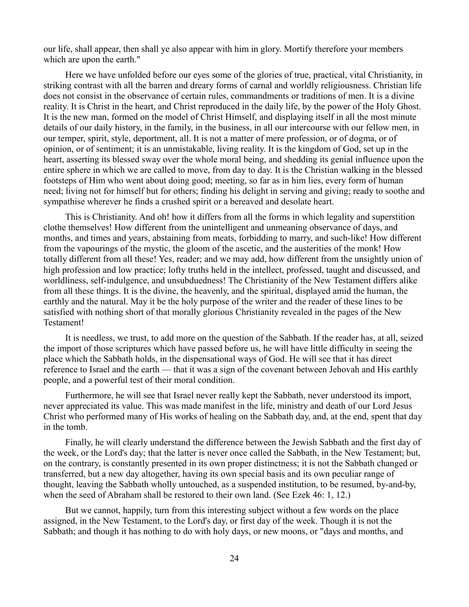our life, shall appear, then shall ye also appear with him in glory. Mortify therefore your members which are upon the earth."

Here we have unfolded before our eyes some of the glories of true, practical, vital Christianity, in striking contrast with all the barren and dreary forms of carnal and worldly religiousness. Christian life does not consist in the observance of certain rules, commandments or traditions of men. It is a divine reality. It is Christ in the heart, and Christ reproduced in the daily life, by the power of the Holy Ghost. It is the new man, formed on the model of Christ Himself, and displaying itself in all the most minute details of our daily history, in the family, in the business, in all our intercourse with our fellow men, in our temper, spirit, style, deportment, all. It is not a matter of mere profession, or of dogma, or of opinion, or of sentiment; it is an unmistakable, living reality. It is the kingdom of God, set up in the heart, asserting its blessed sway over the whole moral being, and shedding its genial influence upon the entire sphere in which we are called to move, from day to day. It is the Christian walking in the blessed footsteps of Him who went about doing good; meeting, so far as in him lies, every form of human need; living not for himself but for others; finding his delight in serving and giving; ready to soothe and sympathise wherever he finds a crushed spirit or a bereaved and desolate heart.

This is Christianity. And oh! how it differs from all the forms in which legality and superstition clothe themselves! How different from the unintelligent and unmeaning observance of days, and months, and times and years, abstaining from meats, forbidding to marry, and such-like! How different from the vapourings of the mystic, the gloom of the ascetic, and the austerities of the monk! How totally different from all these! Yes, reader; and we may add, how different from the unsightly union of high profession and low practice; lofty truths held in the intellect, professed, taught and discussed, and worldliness, self-indulgence, and unsubduedness! The Christianity of the New Testament differs alike from all these things. It is the divine, the heavenly, and the spiritual, displayed amid the human, the earthly and the natural. May it be the holy purpose of the writer and the reader of these lines to be satisfied with nothing short of that morally glorious Christianity revealed in the pages of the New Testament!

It is needless, we trust, to add more on the question of the Sabbath. If the reader has, at all, seized the import of those scriptures which have passed before us, he will have little difficulty in seeing the place which the Sabbath holds, in the dispensational ways of God. He will see that it has direct reference to Israel and the earth — that it was a sign of the covenant between Jehovah and His earthly people, and a powerful test of their moral condition.

Furthermore, he will see that Israel never really kept the Sabbath, never understood its import, never appreciated its value. This was made manifest in the life, ministry and death of our Lord Jesus Christ who performed many of His works of healing on the Sabbath day, and, at the end, spent that day in the tomb.

Finally, he will clearly understand the difference between the Jewish Sabbath and the first day of the week, or the Lord's day; that the latter is never once called the Sabbath, in the New Testament; but, on the contrary, is constantly presented in its own proper distinctness; it is not the Sabbath changed or transferred, but a new day altogether, having its own special basis and its own peculiar range of thought, leaving the Sabbath wholly untouched, as a suspended institution, to be resumed, by-and-by, when the seed of Abraham shall be restored to their own land. (See Ezek 46: 1, 12.)

But we cannot, happily, turn from this interesting subject without a few words on the place assigned, in the New Testament, to the Lord's day, or first day of the week. Though it is not the Sabbath; and though it has nothing to do with holy days, or new moons, or "days and months, and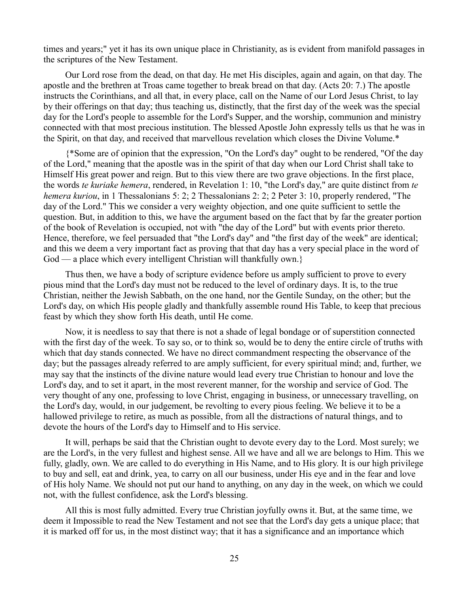times and years;" yet it has its own unique place in Christianity, as is evident from manifold passages in the scriptures of the New Testament.

Our Lord rose from the dead, on that day. He met His disciples, again and again, on that day. The apostle and the brethren at Troas came together to break bread on that day. (Acts 20: 7.) The apostle instructs the Corinthians, and all that, in every place, call on the Name of our Lord Jesus Christ, to lay by their offerings on that day; thus teaching us, distinctly, that the first day of the week was the special day for the Lord's people to assemble for the Lord's Supper, and the worship, communion and ministry connected with that most precious institution. The blessed Apostle John expressly tells us that he was in the Spirit, on that day, and received that marvellous revelation which closes the Divine Volume.\*

{\*Some are of opinion that the expression, "On the Lord's day" ought to be rendered, "Of the day of the Lord," meaning that the apostle was in the spirit of that day when our Lord Christ shall take to Himself His great power and reign. But to this view there are two grave objections. In the first place, the words *te kuriake hemera*, rendered, in Revelation 1: 10, "the Lord's day," are quite distinct from *te hemera kuriou*, in 1 Thessalonians 5: 2; 2 Thessalonians 2: 2; 2 Peter 3: 10, properly rendered, "The day of the Lord." This we consider a very weighty objection, and one quite sufficient to settle the question. But, in addition to this, we have the argument based on the fact that by far the greater portion of the book of Revelation is occupied, not with "the day of the Lord" but with events prior thereto. Hence, therefore, we feel persuaded that "the Lord's day" and "the first day of the week" are identical; and this we deem a very important fact as proving that that day has a very special place in the word of God — a place which every intelligent Christian will thankfully own.}

Thus then, we have a body of scripture evidence before us amply sufficient to prove to every pious mind that the Lord's day must not be reduced to the level of ordinary days. It is, to the true Christian, neither the Jewish Sabbath, on the one hand, nor the Gentile Sunday, on the other; but the Lord's day, on which His people gladly and thankfully assemble round His Table, to keep that precious feast by which they show forth His death, until He come.

Now, it is needless to say that there is not a shade of legal bondage or of superstition connected with the first day of the week. To say so, or to think so, would be to deny the entire circle of truths with which that day stands connected. We have no direct commandment respecting the observance of the day; but the passages already referred to are amply sufficient, for every spiritual mind; and, further, we may say that the instincts of the divine nature would lead every true Christian to honour and love the Lord's day, and to set it apart, in the most reverent manner, for the worship and service of God. The very thought of any one, professing to love Christ, engaging in business, or unnecessary travelling, on the Lord's day, would, in our judgement, be revolting to every pious feeling. We believe it to be a hallowed privilege to retire, as much as possible, from all the distractions of natural things, and to devote the hours of the Lord's day to Himself and to His service.

It will, perhaps be said that the Christian ought to devote every day to the Lord. Most surely; we are the Lord's, in the very fullest and highest sense. All we have and all we are belongs to Him. This we fully, gladly, own. We are called to do everything in His Name, and to His glory. It is our high privilege to buy and sell, eat and drink, yea, to carry on all our business, under His eye and in the fear and love of His holy Name. We should not put our hand to anything, on any day in the week, on which we could not, with the fullest confidence, ask the Lord's blessing.

All this is most fully admitted. Every true Christian joyfully owns it. But, at the same time, we deem it Impossible to read the New Testament and not see that the Lord's day gets a unique place; that it is marked off for us, in the most distinct way; that it has a significance and an importance which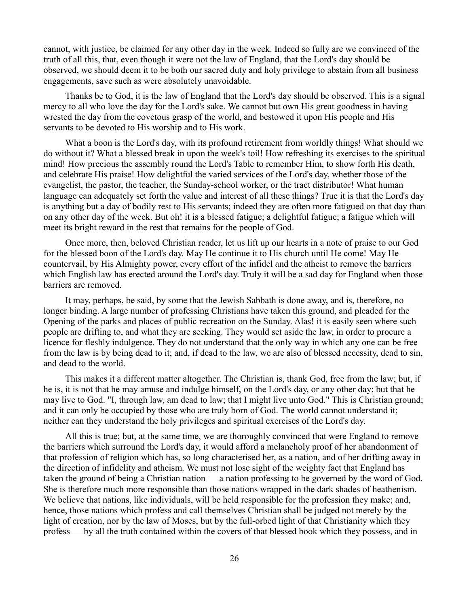cannot, with justice, be claimed for any other day in the week. Indeed so fully are we convinced of the truth of all this, that, even though it were not the law of England, that the Lord's day should be observed, we should deem it to be both our sacred duty and holy privilege to abstain from all business engagements, save such as were absolutely unavoidable.

Thanks be to God, it is the law of England that the Lord's day should be observed. This is a signal mercy to all who love the day for the Lord's sake. We cannot but own His great goodness in having wrested the day from the covetous grasp of the world, and bestowed it upon His people and His servants to be devoted to His worship and to His work.

What a boon is the Lord's day, with its profound retirement from worldly things! What should we do without it? What a blessed break in upon the week's toil! How refreshing its exercises to the spiritual mind! How precious the assembly round the Lord's Table to remember Him, to show forth His death, and celebrate His praise! How delightful the varied services of the Lord's day, whether those of the evangelist, the pastor, the teacher, the Sunday-school worker, or the tract distributor! What human language can adequately set forth the value and interest of all these things? True it is that the Lord's day is anything but a day of bodily rest to His servants; indeed they are often more fatigued on that day than on any other day of the week. But oh! it is a blessed fatigue; a delightful fatigue; a fatigue which will meet its bright reward in the rest that remains for the people of God.

Once more, then, beloved Christian reader, let us lift up our hearts in a note of praise to our God for the blessed boon of the Lord's day. May He continue it to His church until He come! May He countervail, by His Almighty power, every effort of the infidel and the atheist to remove the barriers which English law has erected around the Lord's day. Truly it will be a sad day for England when those barriers are removed.

It may, perhaps, be said, by some that the Jewish Sabbath is done away, and is, therefore, no longer binding. A large number of professing Christians have taken this ground, and pleaded for the Opening of the parks and places of public recreation on the Sunday. Alas! it is easily seen where such people are drifting to, and what they are seeking. They would set aside the law, in order to procure a licence for fleshly indulgence. They do not understand that the only way in which any one can be free from the law is by being dead to it; and, if dead to the law, we are also of blessed necessity, dead to sin, and dead to the world.

This makes it a different matter altogether. The Christian is, thank God, free from the law; but, if he is, it is not that he may amuse and indulge himself, on the Lord's day, or any other day; but that he may live to God. "I, through law, am dead to law; that I might live unto God." This is Christian ground; and it can only be occupied by those who are truly born of God. The world cannot understand it; neither can they understand the holy privileges and spiritual exercises of the Lord's day.

All this is true; but, at the same time, we are thoroughly convinced that were England to remove the barriers which surround the Lord's day, it would afford a melancholy proof of her abandonment of that profession of religion which has, so long characterised her, as a nation, and of her drifting away in the direction of infidelity and atheism. We must not lose sight of the weighty fact that England has taken the ground of being a Christian nation — a nation professing to be governed by the word of God. She is therefore much more responsible than those nations wrapped in the dark shades of heathenism. We believe that nations, like individuals, will be held responsible for the profession they make; and, hence, those nations which profess and call themselves Christian shall be judged not merely by the light of creation, nor by the law of Moses, but by the full-orbed light of that Christianity which they profess — by all the truth contained within the covers of that blessed book which they possess, and in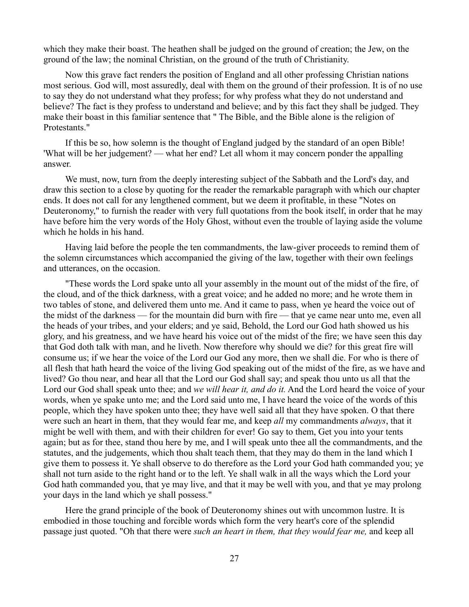which they make their boast. The heathen shall be judged on the ground of creation; the Jew, on the ground of the law; the nominal Christian, on the ground of the truth of Christianity.

Now this grave fact renders the position of England and all other professing Christian nations most serious. God will, most assuredly, deal with them on the ground of their profession. It is of no use to say they do not understand what they profess; for why profess what they do not understand and believe? The fact is they profess to understand and believe; and by this fact they shall be judged. They make their boast in this familiar sentence that " The Bible, and the Bible alone is the religion of Protestants."

If this be so, how solemn is the thought of England judged by the standard of an open Bible! 'What will be her judgement? — what her end? Let all whom it may concern ponder the appalling answer.

We must, now, turn from the deeply interesting subject of the Sabbath and the Lord's day, and draw this section to a close by quoting for the reader the remarkable paragraph with which our chapter ends. It does not call for any lengthened comment, but we deem it profitable, in these "Notes on Deuteronomy," to furnish the reader with very full quotations from the book itself, in order that he may have before him the very words of the Holy Ghost, without even the trouble of laying aside the volume which he holds in his hand.

Having laid before the people the ten commandments, the law-giver proceeds to remind them of the solemn circumstances which accompanied the giving of the law, together with their own feelings and utterances, on the occasion.

"These words the Lord spake unto all your assembly in the mount out of the midst of the fire, of the cloud, and of the thick darkness, with a great voice; and he added no more; and he wrote them in two tables of stone, and delivered them unto me. And it came to pass, when ye heard the voice out of the midst of the darkness — for the mountain did burn with fire — that ye came near unto me, even all the heads of your tribes, and your elders; and ye said, Behold, the Lord our God hath showed us his glory, and his greatness, and we have heard his voice out of the midst of the fire; we have seen this day that God doth talk with man, and he liveth. Now therefore why should we die? for this great fire will consume us; if we hear the voice of the Lord our God any more, then we shall die. For who is there of all flesh that hath heard the voice of the living God speaking out of the midst of the fire, as we have and lived? Go thou near, and hear all that the Lord our God shall say; and speak thou unto us all that the Lord our God shall speak unto thee; and *we will hear it, and do it.* And the Lord heard the voice of your words, when ye spake unto me; and the Lord said unto me, I have heard the voice of the words of this people, which they have spoken unto thee; they have well said all that they have spoken. O that there were such an heart in them, that they would fear me, and keep *all* my commandments *always*, that it might be well with them, and with their children for ever! Go say to them, Get you into your tents again; but as for thee, stand thou here by me, and I will speak unto thee all the commandments, and the statutes, and the judgements, which thou shalt teach them, that they may do them in the land which I give them to possess it. Ye shall observe to do therefore as the Lord your God hath commanded you; ye shall not turn aside to the right hand or to the left. Ye shall walk in all the ways which the Lord your God hath commanded you, that ye may live, and that it may be well with you, and that ye may prolong your days in the land which ye shall possess."

Here the grand principle of the book of Deuteronomy shines out with uncommon lustre. It is embodied in those touching and forcible words which form the very heart's core of the splendid passage just quoted. "Oh that there were *such an heart in them, that they would fear me,* and keep all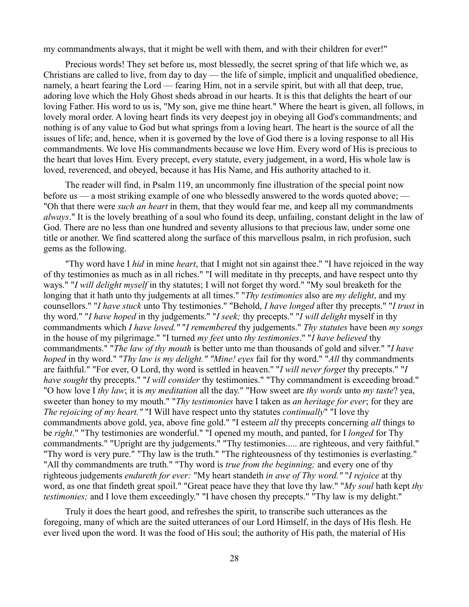my commandments always, that it might be well with them, and with their children for ever!"

Precious words! They set before us, most blessedly, the secret spring of that life which we, as Christians are called to live, from day to day — the life of simple, implicit and unqualified obedience, namely, a heart fearing the Lord — fearing Him, not in a servile spirit, but with all that deep, true, adoring love which the Holy Ghost sheds abroad in our hearts. It is this that delights the heart of our loving Father. His word to us is, "My son, give me thine heart." Where the heart is given, all follows, in lovely moral order. A loving heart finds its very deepest joy in obeying all God's commandments; and nothing is of any value to God but what springs from a loving heart. The heart is the source of all the issues of life; and, hence, when it is governed by the love of God there is a loving response to all His commandments. We love His commandments because we love Him. Every word of His is precious to the heart that loves Him. Every precept, every statute, every judgement, in a word, His whole law is loved, reverenced, and obeyed, because it has His Name, and His authority attached to it.

The reader will find, in Psalm 119, an uncommonly fine illustration of the special point now before us — a most striking example of one who blessedly answered to the words quoted above; — "Oh that there were *such an heart* in them, that they would fear me, and keep all my commandments *always*." It is the lovely breathing of a soul who found its deep, unfailing, constant delight in the law of God. There are no less than one hundred and seventy allusions to that precious law, under some one title or another. We find scattered along the surface of this marvellous psalm, in rich profusion, such gems as the following.

"Thy word have I *hid* in mine *heart*, that I might not sin against thee." "I have rejoiced in the way of thy testimonies as much as in all riches." "I will meditate in thy precepts, and have respect unto thy ways." "*I will delight myself* in thy statutes; I will not forget thy word." "My soul breaketh for the longing that it hath unto thy judgements at all times." "*Thy testimonies* also are *my delight*, and my counsellors." "*I have stuck* unto Thy testimonies." "Behold, *I have longed* after thy precepts." "*I trust* in thy word." "*I have hoped* in thy judgements." "*I seek;* thy precepts." "*I will delight* myself in thy commandments which *I have loved."* "*I remembered* thy judgements." *Thy statutes* have been *my songs* in the house of my pilgrimage." "I turned *my feet* unto *thy testimonies*." "*I have believed* thy commandments." "*The law of thy mouth* is better unto me than thousands of gold and silver." "*I have hoped* in thy word." "*Thy law is my delight." "Mine! eyes* fail for thy word." "*All* thy commandments are faithful." "For ever, O Lord, thy word is settled in heaven.'' "*I will never forget* thy precepts." "*I have sought* thy precepts." "*I will consider* thy testimonies." "Thy commandment is exceeding broad." "O how love I *thy law*; it is *my meditation* all the day." "How sweet are *thy words* unto *my taste*? yea, sweeter than honey to my mouth." "*Thy testimonies* have I taken as *an heritage for ever*; for they are *The rejoicing of my heart."* "I Will have respect unto thy statutes *continually*" "I love thy commandments above gold, yea, above fine gold." "I esteem *all* thy precepts concerning *all* things to be *right*." "Thy testimonies are wonderful." "I opened my mouth, and panted, for I *longed* for Thy commandments." "Upright are thy judgements." "Thy testimonies..... are righteous, and very faithful." "Thy word is very pure." "Thy law is the truth." "The righteousness of thy testimonies is everlasting." "All thy commandments are truth." "Thy word is *true from the beginning;* and every one of thy righteous judgements *endureth for ever:* "My heart standeth *in awe of Thy word."* "*I rejoice* at thy word, as one that findeth great spoil." "Great peace have they that love thy law." "*My soul* hath kept *thy testimonies;* and I love them exceedingly." "I have chosen thy precepts." "Thy law is my delight."

Truly it does the heart good, and refreshes the spirit, to transcribe such utterances as the foregoing, many of which are the suited utterances of our Lord Himself, in the days of His flesh. He ever lived upon the word. It was the food of His soul; the authority of His path, the material of His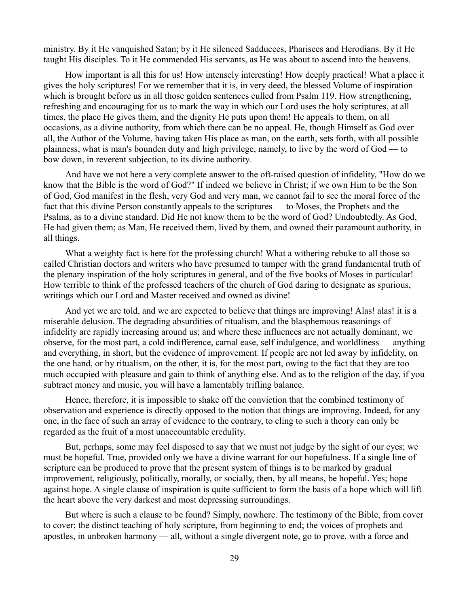ministry. By it He vanquished Satan; by it He silenced Sadducees, Pharisees and Herodians. By it He taught His disciples. To it He commended His servants, as He was about to ascend into the heavens.

How important is all this for us! How intensely interesting! How deeply practical! What a place it gives the holy scriptures! For we remember that it is, in very deed, the blessed Volume of inspiration which is brought before us in all those golden sentences culled from Psalm 119. How strengthening, refreshing and encouraging for us to mark the way in which our Lord uses the holy scriptures, at all times, the place He gives them, and the dignity He puts upon them! He appeals to them, on all occasions, as a divine authority, from which there can be no appeal. He, though Himself as God over all, the Author of the Volume, having taken His place as man, on the earth, sets forth, with all possible plainness, what is man's bounden duty and high privilege, namely, to live by the word of God — to bow down, in reverent subjection, to its divine authority.

And have we not here a very complete answer to the oft-raised question of infidelity, "How do we know that the Bible is the word of God?" If indeed we believe in Christ; if we own Him to be the Son of God, God manifest in the flesh, very God and very man, we cannot fail to see the moral force of the fact that this divine Person constantly appeals to the scriptures — to Moses, the Prophets and the Psalms, as to a divine standard. Did He not know them to be the word of God? Undoubtedly. As God, He had given them; as Man, He received them, lived by them, and owned their paramount authority, in all things.

What a weighty fact is here for the professing church! What a withering rebuke to all those so called Christian doctors and writers who have presumed to tamper with the grand fundamental truth of the plenary inspiration of the holy scriptures in general, and of the five books of Moses in particular! How terrible to think of the professed teachers of the church of God daring to designate as spurious, writings which our Lord and Master received and owned as divine!

And yet we are told, and we are expected to believe that things are improving! Alas! alas! it is a miserable delusion. The degrading absurdities of ritualism, and the blasphemous reasonings of infidelity are rapidly increasing around us; and where these influences are not actually dominant, we observe, for the most part, a cold indifference, carnal ease, self indulgence, and worldliness — anything and everything, in short, but the evidence of improvement. If people are not led away by infidelity, on the one hand, or by ritualism, on the other, it is, for the most part, owing to the fact that they are too much occupied with pleasure and gain to think of anything else. And as to the religion of the day, if you subtract money and music, you will have a lamentably trifling balance.

Hence, therefore, it is impossible to shake off the conviction that the combined testimony of observation and experience is directly opposed to the notion that things are improving. Indeed, for any one, in the face of such an array of evidence to the contrary, to cling to such a theory can only be regarded as the fruit of a most unaccountable credulity.

But, perhaps, some may feel disposed to say that we must not judge by the sight of our eyes; we must be hopeful. True, provided only we have a divine warrant for our hopefulness. If a single line of scripture can be produced to prove that the present system of things is to be marked by gradual improvement, religiously, politically, morally, or socially, then, by all means, be hopeful. Yes; hope against hope. A single clause of inspiration is quite sufficient to form the basis of a hope which will lift the heart above the very darkest and most depressing surroundings.

But where is such a clause to be found? Simply, nowhere. The testimony of the Bible, from cover to cover; the distinct teaching of holy scripture, from beginning to end; the voices of prophets and apostles, in unbroken harmony — all, without a single divergent note, go to prove, with a force and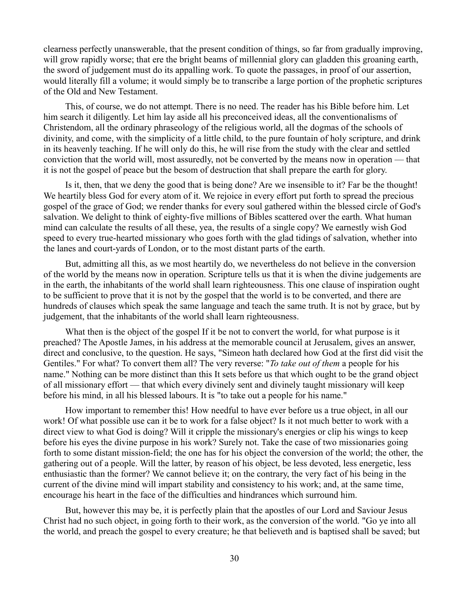clearness perfectly unanswerable, that the present condition of things, so far from gradually improving, will grow rapidly worse; that ere the bright beams of millennial glory can gladden this groaning earth, the sword of judgement must do its appalling work. To quote the passages, in proof of our assertion, would literally fill a volume; it would simply be to transcribe a large portion of the prophetic scriptures of the Old and New Testament.

This, of course, we do not attempt. There is no need. The reader has his Bible before him. Let him search it diligently. Let him lay aside all his preconceived ideas, all the conventionalisms of Christendom, all the ordinary phraseology of the religious world, all the dogmas of the schools of divinity, and come, with the simplicity of a little child, to the pure fountain of holy scripture, and drink in its heavenly teaching. If he will only do this, he will rise from the study with the clear and settled conviction that the world will, most assuredly, not be converted by the means now in operation — that it is not the gospel of peace but the besom of destruction that shall prepare the earth for glory.

Is it, then, that we deny the good that is being done? Are we insensible to it? Far be the thought! We heartily bless God for every atom of it. We rejoice in every effort put forth to spread the precious gospel of the grace of God; we render thanks for every soul gathered within the blessed circle of God's salvation. We delight to think of eighty-five millions of Bibles scattered over the earth. What human mind can calculate the results of all these, yea, the results of a single copy? We earnestly wish God speed to every true-hearted missionary who goes forth with the glad tidings of salvation, whether into the lanes and court-yards of London, or to the most distant parts of the earth.

But, admitting all this, as we most heartily do, we nevertheless do not believe in the conversion of the world by the means now in operation. Scripture tells us that it is when the divine judgements are in the earth, the inhabitants of the world shall learn righteousness. This one clause of inspiration ought to be sufficient to prove that it is not by the gospel that the world is to be converted, and there are hundreds of clauses which speak the same language and teach the same truth. It is not by grace, but by judgement, that the inhabitants of the world shall learn righteousness.

What then is the object of the gospel If it be not to convert the world, for what purpose is it preached? The Apostle James, in his address at the memorable council at Jerusalem, gives an answer, direct and conclusive, to the question. He says, "Simeon hath declared how God at the first did visit the Gentiles." For what? To convert them all? The very reverse: "*To take out of them* a people for his name." Nothing can be more distinct than this It sets before us that which ought to be the grand object of all missionary effort — that which every divinely sent and divinely taught missionary will keep before his mind, in all his blessed labours. It is "to take out a people for his name."

How important to remember this! How needful to have ever before us a true object, in all our work! Of what possible use can it be to work for a false object? Is it not much better to work with a direct view to what God is doing? Will it cripple the missionary's energies or clip his wings to keep before his eyes the divine purpose in his work? Surely not. Take the case of two missionaries going forth to some distant mission-field; the one has for his object the conversion of the world; the other, the gathering out of a people. Will the latter, by reason of his object, be less devoted, less energetic, less enthusiastic than the former? We cannot believe it; on the contrary, the very fact of his being in the current of the divine mind will impart stability and consistency to his work; and, at the same time, encourage his heart in the face of the difficulties and hindrances which surround him.

But, however this may be, it is perfectly plain that the apostles of our Lord and Saviour Jesus Christ had no such object, in going forth to their work, as the conversion of the world. "Go ye into all the world, and preach the gospel to every creature; he that believeth and is baptised shall be saved; but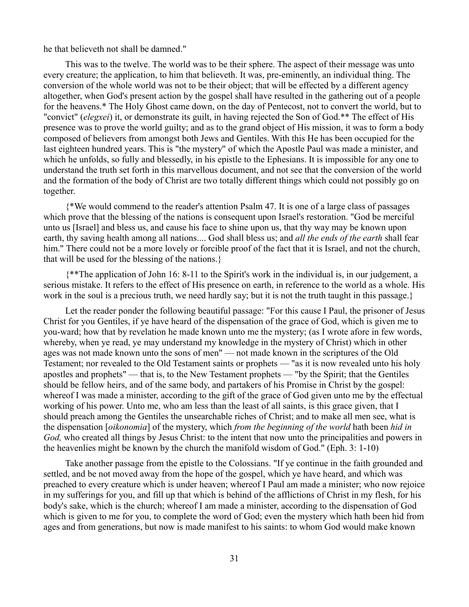he that believeth not shall be damned."

This was to the twelve. The world was to be their sphere. The aspect of their message was unto every creature; the application, to him that believeth. It was, pre-eminently, an individual thing. The conversion of the whole world was not to be their object; that will be effected by a different agency altogether, when God's present action by the gospel shall have resulted in the gathering out of a people for the heavens.\* The Holy Ghost came down, on the day of Pentecost, not to convert the world, but to "convict" (*elegxei*) it, or demonstrate its guilt, in having rejected the Son of God.\*\* The effect of His presence was to prove the world guilty; and as to the grand object of His mission, it was to form a body composed of believers from amongst both Jews and Gentiles. With this He has been occupied for the last eighteen hundred years. This is "the mystery" of which the Apostle Paul was made a minister, and which he unfolds, so fully and blessedly, in his epistle to the Ephesians. It is impossible for any one to understand the truth set forth in this marvellous document, and not see that the conversion of the world and the formation of the body of Christ are two totally different things which could not possibly go on together.

{\*We would commend to the reader's attention Psalm 47. It is one of a large class of passages which prove that the blessing of the nations is consequent upon Israel's restoration. "God be merciful unto us [Israel] and bless us, and cause his face to shine upon us, that thy way may be known upon earth, thy saving health among all nations.... God shall bless us; and *all the ends of the earth* shall fear him." There could not be a more lovely or forcible proof of the fact that it is Israel, and not the church, that will be used for the blessing of the nations.}

{\*\*The application of John 16: 8-11 to the Spirit's work in the individual is, in our judgement, a serious mistake. It refers to the effect of His presence on earth, in reference to the world as a whole. His work in the soul is a precious truth, we need hardly say; but it is not the truth taught in this passage.}

Let the reader ponder the following beautiful passage: "For this cause I Paul, the prisoner of Jesus Christ for you Gentiles, if ye have heard of the dispensation of the grace of God, which is given me to you-ward; how that by revelation he made known unto me the mystery; (as I wrote afore in few words, whereby, when ye read, ye may understand my knowledge in the mystery of Christ) which in other ages was not made known unto the sons of men" — not made known in the scriptures of the Old Testament; nor revealed to the Old Testament saints or prophets — "as it is now revealed unto his holy apostles and prophets" — that is, to the New Testament prophets — "by the Spirit; that the Gentiles should be fellow heirs, and of the same body, and partakers of his Promise in Christ by the gospel: whereof I was made a minister, according to the gift of the grace of God given unto me by the effectual working of his power. Unto me, who am less than the least of all saints, is this grace given, that I should preach among the Gentiles the unsearchable riches of Christ; and to make all men see, what is the dispensation [*oikonomia*] of the mystery, which *from the beginning of the world* hath been *hid in God,* who created all things by Jesus Christ: to the intent that now unto the principalities and powers in the heavenlies might be known by the church the manifold wisdom of God." (Eph. 3: 1-10)

Take another passage from the epistle to the Colossians. "If ye continue in the faith grounded and settled, and be not moved away from the hope of the gospel, which ye have heard, and which was preached to every creature which is under heaven; whereof I Paul am made a minister; who now rejoice in my sufferings for you, and fill up that which is behind of the afflictions of Christ in my flesh, for his body's sake, which is the church; whereof I am made a minister, according to the dispensation of God which is given to me for you, to complete the word of God; even the mystery which hath been hid from ages and from generations, but now is made manifest to his saints: to whom God would make known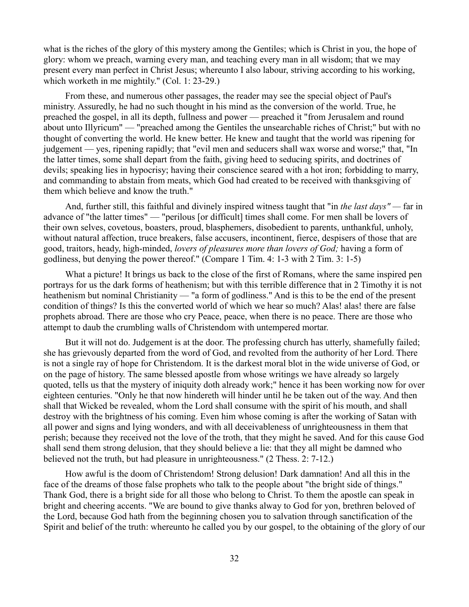what is the riches of the glory of this mystery among the Gentiles; which is Christ in you, the hope of glory: whom we preach, warning every man, and teaching every man in all wisdom; that we may present every man perfect in Christ Jesus; whereunto I also labour, striving according to his working, which worketh in me mightily." (Col. 1: 23-29.)

From these, and numerous other passages, the reader may see the special object of Paul's ministry. Assuredly, he had no such thought in his mind as the conversion of the world. True, he preached the gospel, in all its depth, fullness and power — preached it "from Jerusalem and round about unto Illyricum" — "preached among the Gentiles the unsearchable riches of Christ;" but with no thought of converting the world. He knew better. He knew and taught that the world was ripening for judgement — yes, ripening rapidly; that "evil men and seducers shall wax worse and worse;" that, "In the latter times, some shall depart from the faith, giving heed to seducing spirits, and doctrines of devils; speaking lies in hypocrisy; having their conscience seared with a hot iron; forbidding to marry, and commanding to abstain from meats, which God had created to be received with thanksgiving of them which believe and know the truth."

And, further still, this faithful and divinely inspired witness taught that "in *the last days" —* far in advance of "the latter times" — "perilous [or difficult] times shall come. For men shall be lovers of their own selves, covetous, boasters, proud, blasphemers, disobedient to parents, unthankful, unholy, without natural affection, truce breakers, false accusers, incontinent, fierce, despisers of those that are good, traitors, heady, high-minded, *lovers of pleasures more than lovers of God;* having a form of godliness, but denying the power thereof." (Compare 1 Tim. 4: 1-3 with 2 Tim. 3: 1-5)

What a picture! It brings us back to the close of the first of Romans, where the same inspired pen portrays for us the dark forms of heathenism; but with this terrible difference that in 2 Timothy it is not heathenism but nominal Christianity — "a form of godliness." And is this to be the end of the present condition of things? Is this the converted world of which we hear so much? Alas! alas! there are false prophets abroad. There are those who cry Peace, peace, when there is no peace. There are those who attempt to daub the crumbling walls of Christendom with untempered mortar.

But it will not do. Judgement is at the door. The professing church has utterly, shamefully failed; she has grievously departed from the word of God, and revolted from the authority of her Lord. There is not a single ray of hope for Christendom. It is the darkest moral blot in the wide universe of God, or on the page of history. The same blessed apostle from whose writings we have already so largely quoted, tells us that the mystery of iniquity doth already work;" hence it has been working now for over eighteen centuries. "Only he that now hindereth will hinder until he be taken out of the way. And then shall that Wicked be revealed, whom the Lord shall consume with the spirit of his mouth, and shall destroy with the brightness of his coming. Even him whose coming is after the working of Satan with all power and signs and lying wonders, and with all deceivableness of unrighteousness in them that perish; because they received not the love of the troth, that they might he saved. And for this cause God shall send them strong delusion, that they should believe a lie: that they all might be damned who believed not the truth, but had pleasure in unrighteousness." (2 Thess. 2: 7-12.)

How awful is the doom of Christendom! Strong delusion! Dark damnation! And all this in the face of the dreams of those false prophets who talk to the people about "the bright side of things." Thank God, there is a bright side for all those who belong to Christ. To them the apostle can speak in bright and cheering accents. "We are bound to give thanks alway to God for yon, brethren beloved of the Lord, because God hath from the beginning chosen you to salvation through sanctification of the Spirit and belief of the truth: whereunto he called you by our gospel, to the obtaining of the glory of our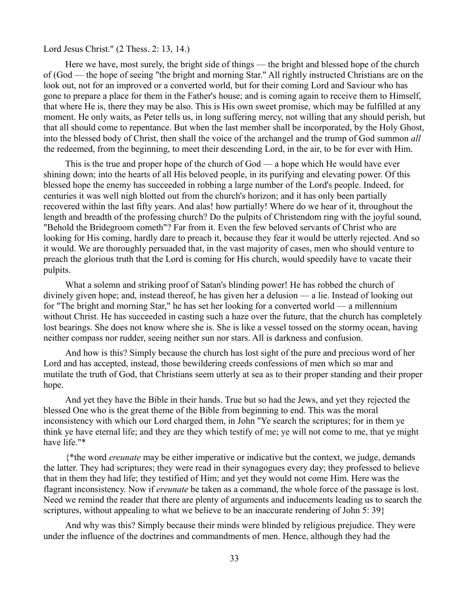Lord Jesus Christ." (2 Thess. 2: 13, 14.)

Here we have, most surely, the bright side of things — the bright and blessed hope of the church of (God — the hope of seeing "the bright and morning Star." All rightly instructed Christians are on the look out, not for an improved or a converted world, but for their coming Lord and Saviour who has gone to prepare a place for them in the Father's house; and is coming again to receive them to Himself, that where He is, there they may be also. This is His own sweet promise, which may be fulfilled at any moment. He only waits, as Peter tells us, in long suffering mercy, not willing that any should perish, but that all should come to repentance. But when the last member shall be incorporated, by the Holy Ghost, into the blessed body of Christ, then shall the voice of the archangel and the trump of God summon *all* the redeemed, from the beginning, to meet their descending Lord, in the air, to be for ever with Him.

This is the true and proper hope of the church of God — a hope which He would have ever shining down; into the hearts of all His beloved people, in its purifying and elevating power. Of this blessed hope the enemy has succeeded in robbing a large number of the Lord's people. Indeed, for centuries it was well nigh blotted out from the church's horizon; and it has only been partially recovered within the last fifty years. And alas! how partially! Where do we hear of it, throughout the length and breadth of the professing church? Do the pulpits of Christendom ring with the joyful sound, "Behold the Bridegroom cometh"? Far from it. Even the few beloved servants of Christ who are looking for His coming, hardly dare to preach it, because they fear it would be utterly rejected. And so it would. We are thoroughly persuaded that, in the vast majority of cases, men who should venture to preach the glorious truth that the Lord is coming for His church, would speedily have to vacate their pulpits.

What a solemn and striking proof of Satan's blinding power! He has robbed the church of divinely given hope; and, instead thereof, he has given her a delusion — a lie. Instead of looking out for "The bright and morning Star," he has set her looking for a converted world — a millennium without Christ. He has succeeded in casting such a haze over the future, that the church has completely lost bearings. She does not know where she is. She is like a vessel tossed on the stormy ocean, having neither compass nor rudder, seeing neither sun nor stars. All is darkness and confusion.

And how is this? Simply because the church has lost sight of the pure and precious word of her Lord and has accepted, instead, those bewildering creeds confessions of men which so mar and mutilate the truth of God, that Christians seem utterly at sea as to their proper standing and their proper hope.

And yet they have the Bible in their hands. True but so had the Jews, and yet they rejected the blessed One who is the great theme of the Bible from beginning to end. This was the moral inconsistency with which our Lord charged them, in John "Ye search the scriptures; for in them ye think ye have eternal life; and they are they which testify of me; ye will not come to me, that ye might have life."\*

{\*the word *ereunate* may be either imperative or indicative but the context, we judge, demands the latter. They had scriptures; they were read in their synagogues every day; they professed to believe that in them they had life; they testified of Him; and yet they would not come Him. Here was the flagrant inconsistency. Now if *ereunate* be taken as a command, the whole force of the passage is lost. Need we remind the reader that there are plenty of arguments and inducements leading us to search the scriptures, without appealing to what we believe to be an inaccurate rendering of John 5: 39}

And why was this? Simply because their minds were blinded by religious prejudice. They were under the influence of the doctrines and commandments of men. Hence, although they had the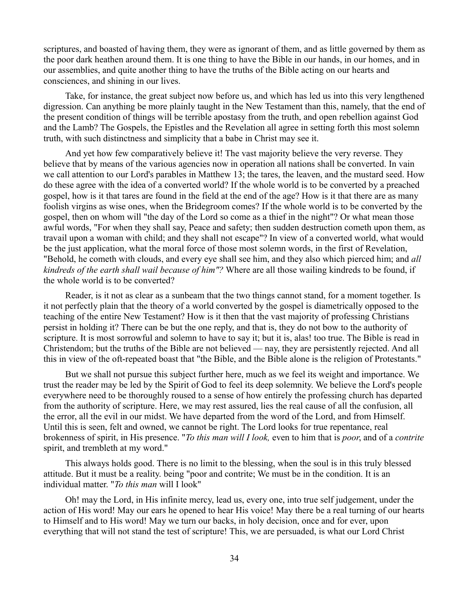scriptures, and boasted of having them, they were as ignorant of them, and as little governed by them as the poor dark heathen around them. It is one thing to have the Bible in our hands, in our homes, and in our assemblies, and quite another thing to have the truths of the Bible acting on our hearts and consciences, and shining in our lives.

Take, for instance, the great subject now before us, and which has led us into this very lengthened digression. Can anything be more plainly taught in the New Testament than this, namely, that the end of the present condition of things will be terrible apostasy from the truth, and open rebellion against God and the Lamb? The Gospels, the Epistles and the Revelation all agree in setting forth this most solemn truth, with such distinctness and simplicity that a babe in Christ may see it.

And yet how few comparatively believe it! The vast majority believe the very reverse. They believe that by means of the various agencies now in operation all nations shall be converted. In vain we call attention to our Lord's parables in Matthew 13; the tares, the leaven, and the mustard seed. How do these agree with the idea of a converted world? If the whole world is to be converted by a preached gospel, how is it that tares are found in the field at the end of the age? How is it that there are as many foolish virgins as wise ones, when the Bridegroom comes? If the whole world is to be converted by the gospel, then on whom will "the day of the Lord so come as a thief in the night"? Or what mean those awful words, "For when they shall say, Peace and safety; then sudden destruction cometh upon them, as travail upon a woman with child; and they shall not escape"? In view of a converted world, what would be the just application, what the moral force of those most solemn words, in the first of Revelation, "Behold, he cometh with clouds, and every eye shall see him, and they also which pierced him; and *all kindreds of the earth shall wail because of him"?* Where are all those wailing kindreds to be found, if the whole world is to be converted?

Reader, is it not as clear as a sunbeam that the two things cannot stand, for a moment together. Is it not perfectly plain that the theory of a world converted by the gospel is diametrically opposed to the teaching of the entire New Testament? How is it then that the vast majority of professing Christians persist in holding it? There can be but the one reply, and that is, they do not bow to the authority of scripture. It is most sorrowful and solemn to have to say it; but it is, alas! too true. The Bible is read in Christendom; but the truths of the Bible are not believed — nay, they are persistently rejected. And all this in view of the oft-repeated boast that "the Bible, and the Bible alone is the religion of Protestants."

But we shall not pursue this subject further here, much as we feel its weight and importance. We trust the reader may be led by the Spirit of God to feel its deep solemnity. We believe the Lord's people everywhere need to be thoroughly roused to a sense of how entirely the professing church has departed from the authority of scripture. Here, we may rest assured, lies the real cause of all the confusion, all the error, all the evil in our midst. We have departed from the word of the Lord, and from Himself. Until this is seen, felt and owned, we cannot be right. The Lord looks for true repentance, real brokenness of spirit, in His presence. "*To this man will I look,* even to him that is *poor*, and of a *contrite* spirit, and trembleth at my word."

This always holds good. There is no limit to the blessing, when the soul is in this truly blessed attitude. But it must be a reality. being "poor and contrite; We must be in the condition. It is an individual matter. "*To this man* will I look"

Oh! may the Lord, in His infinite mercy, lead us, every one, into true self judgement, under the action of His word! May our ears he opened to hear His voice! May there be a real turning of our hearts to Himself and to His word! May we turn our backs, in holy decision, once and for ever, upon everything that will not stand the test of scripture! This, we are persuaded, is what our Lord Christ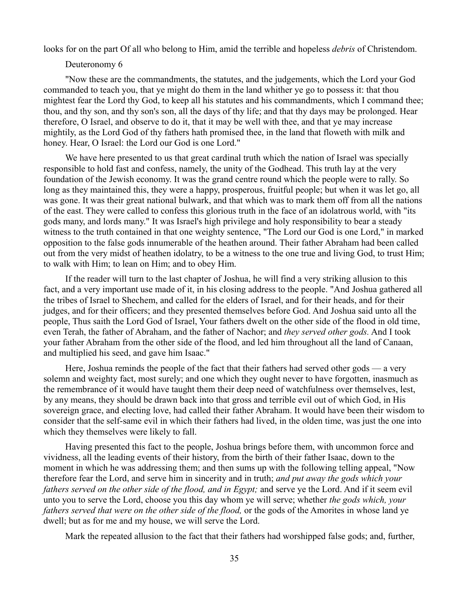looks for on the part Of all who belong to Him, amid the terrible and hopeless *debris* of Christendom.

## Deuteronomy 6

"Now these are the commandments, the statutes, and the judgements, which the Lord your God commanded to teach you, that ye might do them in the land whither ye go to possess it: that thou mightest fear the Lord thy God, to keep all his statutes and his commandments, which I command thee; thou, and thy son, and thy son's son, all the days of thy life; and that thy days may be prolonged. Hear therefore, O Israel, and observe to do it, that it may be well with thee, and that ye may increase mightily, as the Lord God of thy fathers hath promised thee, in the land that floweth with milk and honey. Hear, O Israel: the Lord our God is one Lord."

We have here presented to us that great cardinal truth which the nation of Israel was specially responsible to hold fast and confess, namely, the unity of the Godhead. This truth lay at the very foundation of the Jewish economy. It was the grand centre round which the people were to rally. So long as they maintained this, they were a happy, prosperous, fruitful people; but when it was let go, all was gone. It was their great national bulwark, and that which was to mark them off from all the nations of the east. They were called to confess this glorious truth in the face of an idolatrous world, with "its gods many, and lords many." It was Israel's high privilege and holy responsibility to bear a steady witness to the truth contained in that one weighty sentence, "The Lord our God is one Lord," in marked opposition to the false gods innumerable of the heathen around. Their father Abraham had been called out from the very midst of heathen idolatry, to be a witness to the one true and living God, to trust Him; to walk with Him; to lean on Him; and to obey Him.

If the reader will turn to the last chapter of Joshua, he will find a very striking allusion to this fact, and a very important use made of it, in his closing address to the people. "And Joshua gathered all the tribes of Israel to Shechem, and called for the elders of Israel, and for their heads, and for their judges, and for their officers; and they presented themselves before God. And Joshua said unto all the people, Thus saith the Lord God of Israel, Your fathers dwelt on the other side of the flood in old time, even Terah, the father of Abraham, and the father of Nachor; and *they served other gods.* And I took your father Abraham from the other side of the flood, and led him throughout all the land of Canaan, and multiplied his seed, and gave him Isaac."

Here, Joshua reminds the people of the fact that their fathers had served other gods — a very solemn and weighty fact, most surely; and one which they ought never to have forgotten, inasmuch as the remembrance of it would have taught them their deep need of watchfulness over themselves, lest, by any means, they should be drawn back into that gross and terrible evil out of which God, in His sovereign grace, and electing love, had called their father Abraham. It would have been their wisdom to consider that the self-same evil in which their fathers had lived, in the olden time, was just the one into which they themselves were likely to fall.

Having presented this fact to the people, Joshua brings before them, with uncommon force and vividness, all the leading events of their history, from the birth of their father Isaac, down to the moment in which he was addressing them; and then sums up with the following telling appeal, "Now therefore fear the Lord, and serve him in sincerity and in truth; *and put away the gods which your fathers served on the other side of the flood, and in Egypt;* and serve ye the Lord. And if it seem evil unto you to serve the Lord, choose you this day whom ye will serve; whether *the gods which, your fathers served that were on the other side of the flood,* or the gods of the Amorites in whose land ye dwell; but as for me and my house, we will serve the Lord.

Mark the repeated allusion to the fact that their fathers had worshipped false gods; and, further,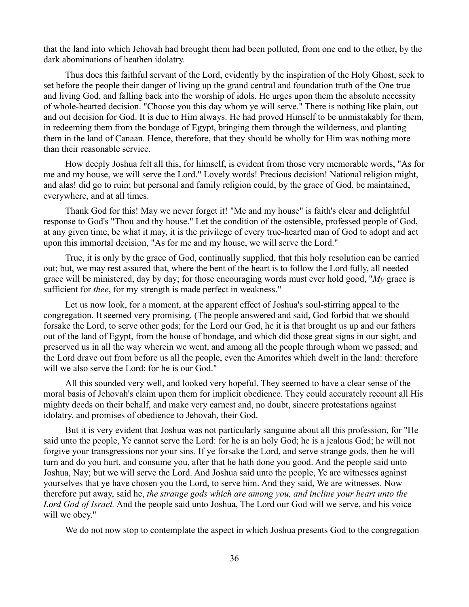that the land into which Jehovah had brought them had been polluted, from one end to the other, by the dark abominations of heathen idolatry.

Thus does this faithful servant of the Lord, evidently by the inspiration of the Holy Ghost, seek to set before the people their danger of living up the grand central and foundation truth of the One true and living God, and falling back into the worship of idols. He urges upon them the absolute necessity of whole-hearted decision. "Choose you this day whom ye will serve." There is nothing like plain, out and out decision for God. It is due to Him always. He had proved Himself to be unmistakably for them, in redeeming them from the bondage of Egypt, bringing them through the wilderness, and planting them in the land of Canaan. Hence, therefore, that they should be wholly for Him was nothing more than their reasonable service.

How deeply Joshua felt all this, for himself, is evident from those very memorable words, "As for me and my house, we will serve the Lord." Lovely words! Precious decision! National religion might, and alas! did go to ruin; but personal and family religion could, by the grace of God, be maintained, everywhere, and at all times.

Thank God for this! May we never forget it! "Me and my house" is faith's clear and delightful response to God's "Thou and thy house." Let the condition of the ostensible, professed people of God, at any given time, be what it may, it is the privilege of every true-hearted man of God to adopt and act upon this immortal decision, "As for me and my house, we will serve the Lord."

True, it is only by the grace of God, continually supplied, that this holy resolution can be carried out; but, we may rest assured that, where the bent of the heart is to follow the Lord fully, all needed grace will be ministered, day by day; for those encouraging words must ever hold good, "*My* grace is sufficient for *thee*, for my strength is made perfect in weakness."

Let us now look, for a moment, at the apparent effect of Joshua's soul-stirring appeal to the congregation. It seemed very promising. (The people answered and said, God forbid that we should forsake the Lord, to serve other gods; for the Lord our God, he it is that brought us up and our fathers out of the land of Egypt, from the house of bondage, and which did those great signs in our sight, and preserved us in all the way wherein we went, and among all the people through whom we passed; and the Lord drave out from before us all the people, even the Amorites which dwelt in the land: therefore will we also serve the Lord; for he is our God."

All this sounded very well, and looked very hopeful. They seemed to have a clear sense of the moral basis of Jehovah's claim upon them for implicit obedience. They could accurately recount all His mighty deeds on their behalf, and make very earnest and, no doubt, sincere protestations against idolatry, and promises of obedience to Jehovah, their God.

But it is very evident that Joshua was not particularly sanguine about all this profession, for "He said unto the people, Ye cannot serve the Lord: for he is an holy God; he is a jealous God; he will not forgive your transgressions nor your sins. If ye forsake the Lord, and serve strange gods, then he will turn and do you hurt, and consume you, after that he hath done you good. And the people said unto Joshua, Nay; but we will serve the Lord. And Joshua said unto the people, Ye are witnesses against yourselves that ye have chosen you the Lord, to serve him. And they said, We are witnesses. Now therefore put away, said he, *the strange gods which are among you, and incline your heart unto the Lord God of Israel.* And the people said unto Joshua, The Lord our God will we serve, and his voice will we obey."

We do not now stop to contemplate the aspect in which Joshua presents God to the congregation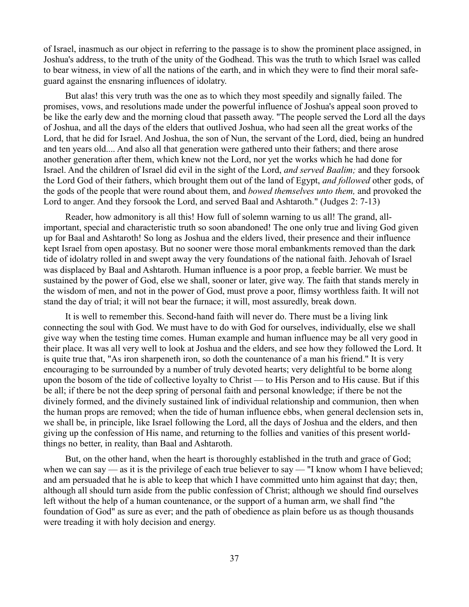of Israel, inasmuch as our object in referring to the passage is to show the prominent place assigned, in Joshua's address, to the truth of the unity of the Godhead. This was the truth to which Israel was called to bear witness, in view of all the nations of the earth, and in which they were to find their moral safeguard against the ensnaring influences of idolatry.

But alas! this very truth was the one as to which they most speedily and signally failed. The promises, vows, and resolutions made under the powerful influence of Joshua's appeal soon proved to be like the early dew and the morning cloud that passeth away. "The people served the Lord all the days of Joshua, and all the days of the elders that outlived Joshua, who had seen all the great works of the Lord, that he did for Israel. And Joshua, the son of Nun, the servant of the Lord, died, being an hundred and ten years old.... And also all that generation were gathered unto their fathers; and there arose another generation after them, which knew not the Lord, nor yet the works which he had done for Israel. And the children of Israel did evil in the sight of the Lord, *and served Baalim;* and they forsook the Lord God of their fathers, which brought them out of the land of Egypt, *and followed* other gods, of the gods of the people that were round about them, and *bowed themselves unto them,* and provoked the Lord to anger. And they forsook the Lord, and served Baal and Ashtaroth." (Judges 2: 7-13)

Reader, how admonitory is all this! How full of solemn warning to us all! The grand, allimportant, special and characteristic truth so soon abandoned! The one only true and living God given up for Baal and Ashtaroth! So long as Joshua and the elders lived, their presence and their influence kept Israel from open apostasy. But no sooner were those moral embankments removed than the dark tide of idolatry rolled in and swept away the very foundations of the national faith. Jehovah of Israel was displaced by Baal and Ashtaroth. Human influence is a poor prop, a feeble barrier. We must be sustained by the power of God, else we shall, sooner or later, give way. The faith that stands merely in the wisdom of men, and not in the power of God, must prove a poor, flimsy worthless faith. It will not stand the day of trial; it will not bear the furnace; it will, most assuredly, break down.

It is well to remember this. Second-hand faith will never do. There must be a living link connecting the soul with God. We must have to do with God for ourselves, individually, else we shall give way when the testing time comes. Human example and human influence may be all very good in their place. It was all very well to look at Joshua and the elders, and see how they followed the Lord. It is quite true that, "As iron sharpeneth iron, so doth the countenance of a man his friend." It is very encouraging to be surrounded by a number of truly devoted hearts; very delightful to be borne along upon the bosom of the tide of collective loyalty to Christ — to His Person and to His cause. But if this be all; if there be not the deep spring of personal faith and personal knowledge; if there be not the divinely formed, and the divinely sustained link of individual relationship and communion, then when the human props are removed; when the tide of human influence ebbs, when general declension sets in, we shall be, in principle, like Israel following the Lord, all the days of Joshua and the elders, and then giving up the confession of His name, and returning to the follies and vanities of this present worldthings no better, in reality, than Baal and Ashtaroth.

But, on the other hand, when the heart is thoroughly established in the truth and grace of God; when we can say — as it is the privilege of each true believer to say — "I know whom I have believed; and am persuaded that he is able to keep that which I have committed unto him against that day; then, although all should turn aside from the public confession of Christ; although we should find ourselves left without the help of a human countenance, or the support of a human arm, we shall find "the foundation of God" as sure as ever; and the path of obedience as plain before us as though thousands were treading it with holy decision and energy.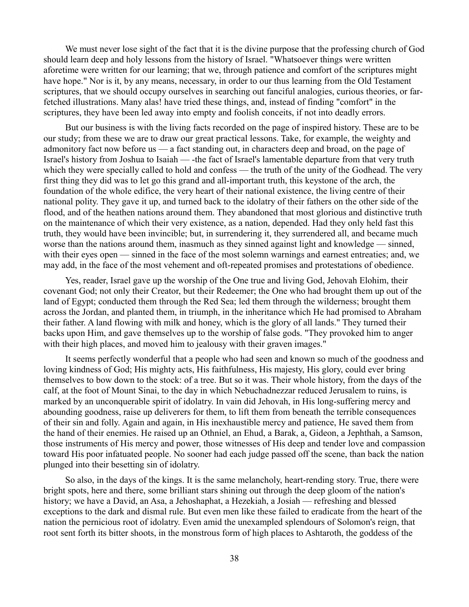We must never lose sight of the fact that it is the divine purpose that the professing church of God should learn deep and holy lessons from the history of Israel. "Whatsoever things were written aforetime were written for our learning; that we, through patience and comfort of the scriptures might have hope." Nor is it, by any means, necessary, in order to our thus learning from the Old Testament scriptures, that we should occupy ourselves in searching out fanciful analogies, curious theories, or farfetched illustrations. Many alas! have tried these things, and, instead of finding "comfort" in the scriptures, they have been led away into empty and foolish conceits, if not into deadly errors.

But our business is with the living facts recorded on the page of inspired history. These are to be our study; from these we are to draw our great practical lessons. Take, for example, the weighty and admonitory fact now before us — a fact standing out, in characters deep and broad, on the page of Israel's history from Joshua to Isaiah — -the fact of Israel's lamentable departure from that very truth which they were specially called to hold and confess — the truth of the unity of the Godhead. The very first thing they did was to let go this grand and all-important truth, this keystone of the arch, the foundation of the whole edifice, the very heart of their national existence, the living centre of their national polity. They gave it up, and turned back to the idolatry of their fathers on the other side of the flood, and of the heathen nations around them. They abandoned that most glorious and distinctive truth on the maintenance of which their very existence, as a nation, depended. Had they only held fast this truth, they would have been invincible; but, in surrendering it, they surrendered all, and became much worse than the nations around them, inasmuch as they sinned against light and knowledge — sinned, with their eyes open — sinned in the face of the most solemn warnings and earnest entreaties; and, we may add, in the face of the most vehement and oft-repeated promises and protestations of obedience.

Yes, reader, Israel gave up the worship of the One true and living God, Jehovah Elohim, their covenant God; not only their Creator, but their Redeemer; the One who had brought them up out of the land of Egypt; conducted them through the Red Sea; led them through the wilderness; brought them across the Jordan, and planted them, in triumph, in the inheritance which He had promised to Abraham their father. A land flowing with milk and honey, which is the glory of all lands." They turned their backs upon Him, and gave themselves up to the worship of false gods. "They provoked him to anger with their high places, and moved him to jealousy with their graven images."

It seems perfectly wonderful that a people who had seen and known so much of the goodness and loving kindness of God; His mighty acts, His faithfulness, His majesty, His glory, could ever bring themselves to bow down to the stock: of a tree. But so it was. Their whole history, from the days of the calf, at the foot of Mount Sinai, to the day in which Nebuchadnezzar reduced Jerusalem to ruins, is marked by an unconquerable spirit of idolatry. In vain did Jehovah, in His long-suffering mercy and abounding goodness, raise up deliverers for them, to lift them from beneath the terrible consequences of their sin and folly. Again and again, in His inexhaustible mercy and patience, He saved them from the hand of their enemies. He raised up an Othniel, an Ehud, a Barak, a, Gideon, a Jephthah, a Samson, those instruments of His mercy and power, those witnesses of His deep and tender love and compassion toward His poor infatuated people. No sooner had each judge passed off the scene, than back the nation plunged into their besetting sin of idolatry.

So also, in the days of the kings. It is the same melancholy, heart-rending story. True, there were bright spots, here and there, some brilliant stars shining out through the deep gloom of the nation's history; we have a David, an Asa, a Jehoshaphat, a Hezekiah, a Josiah — refreshing and blessed exceptions to the dark and dismal rule. But even men like these failed to eradicate from the heart of the nation the pernicious root of idolatry. Even amid the unexampled splendours of Solomon's reign, that root sent forth its bitter shoots, in the monstrous form of high places to Ashtaroth, the goddess of the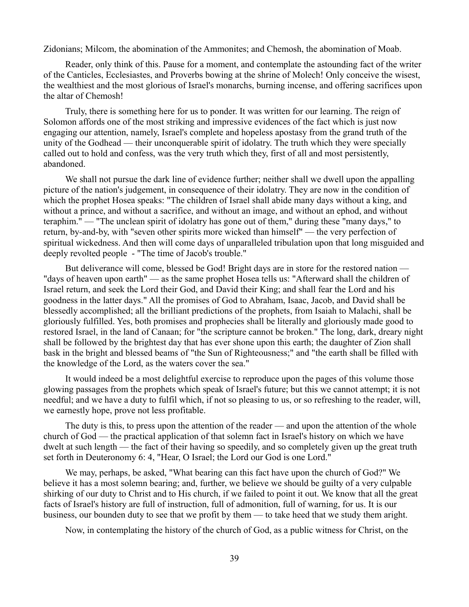Zidonians; Milcom, the abomination of the Ammonites; and Chemosh, the abomination of Moab.

Reader, only think of this. Pause for a moment, and contemplate the astounding fact of the writer of the Canticles, Ecclesiastes, and Proverbs bowing at the shrine of Molech! Only conceive the wisest, the wealthiest and the most glorious of Israel's monarchs, burning incense, and offering sacrifices upon the altar of Chemosh!

Truly, there is something here for us to ponder. It was written for our learning. The reign of Solomon affords one of the most striking and impressive evidences of the fact which is just now engaging our attention, namely, Israel's complete and hopeless apostasy from the grand truth of the unity of the Godhead — their unconquerable spirit of idolatry. The truth which they were specially called out to hold and confess, was the very truth which they, first of all and most persistently, abandoned.

We shall not pursue the dark line of evidence further; neither shall we dwell upon the appalling picture of the nation's judgement, in consequence of their idolatry. They are now in the condition of which the prophet Hosea speaks: "The children of Israel shall abide many days without a king, and without a prince, and without a sacrifice, and without an image, and without an ephod, and without teraphim." — "The unclean spirit of idolatry has gone out of them," during these "many days," to return, by-and-by, with "seven other spirits more wicked than himself" — the very perfection of spiritual wickedness. And then will come days of unparalleled tribulation upon that long misguided and deeply revolted people - "The time of Jacob's trouble."

But deliverance will come, blessed be God! Bright days are in store for the restored nation — "days of heaven upon earth" — as the same prophet Hosea tells us: "Afterward shall the children of Israel return, and seek the Lord their God, and David their King; and shall fear the Lord and his goodness in the latter days." All the promises of God to Abraham, Isaac, Jacob, and David shall be blessedly accomplished; all the brilliant predictions of the prophets, from Isaiah to Malachi, shall be gloriously fulfilled. Yes, both promises and prophecies shall be literally and gloriously made good to restored Israel, in the land of Canaan; for "the scripture cannot be broken." The long, dark, dreary night shall be followed by the brightest day that has ever shone upon this earth; the daughter of Zion shall bask in the bright and blessed beams of "the Sun of Righteousness;" and "the earth shall be filled with the knowledge of the Lord, as the waters cover the sea."

It would indeed be a most delightful exercise to reproduce upon the pages of this volume those glowing passages from the prophets which speak of Israel's future; but this we cannot attempt; it is not needful; and we have a duty to fulfil which, if not so pleasing to us, or so refreshing to the reader, will, we earnestly hope, prove not less profitable.

The duty is this, to press upon the attention of the reader — and upon the attention of the whole church of God — the practical application of that solemn fact in Israel's history on which we have dwelt at such length — the fact of their having so speedily, and so completely given up the great truth set forth in Deuteronomy 6: 4, "Hear, O Israel; the Lord our God is one Lord."

We may, perhaps, be asked, "What bearing can this fact have upon the church of God?" We believe it has a most solemn bearing; and, further, we believe we should be guilty of a very culpable shirking of our duty to Christ and to His church, if we failed to point it out. We know that all the great facts of Israel's history are full of instruction, full of admonition, full of warning, for us. It is our business, our bounden duty to see that we profit by them — to take heed that we study them aright.

Now, in contemplating the history of the church of God, as a public witness for Christ, on the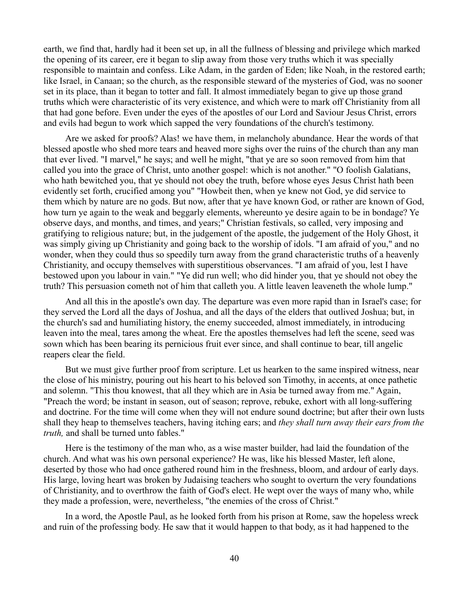earth, we find that, hardly had it been set up, in all the fullness of blessing and privilege which marked the opening of its career, ere it began to slip away from those very truths which it was specially responsible to maintain and confess. Like Adam, in the garden of Eden; like Noah, in the restored earth; like Israel, in Canaan; so the church, as the responsible steward of the mysteries of God, was no sooner set in its place, than it began to totter and fall. It almost immediately began to give up those grand truths which were characteristic of its very existence, and which were to mark off Christianity from all that had gone before. Even under the eyes of the apostles of our Lord and Saviour Jesus Christ, errors and evils had begun to work which sapped the very foundations of the church's testimony.

Are we asked for proofs? Alas! we have them, in melancholy abundance. Hear the words of that blessed apostle who shed more tears and heaved more sighs over the ruins of the church than any man that ever lived. "I marvel," he says; and well he might, "that ye are so soon removed from him that called you into the grace of Christ, unto another gospel: which is not another." "O foolish Galatians, who hath bewitched you, that ye should not obey the truth, before whose eyes Jesus Christ hath been evidently set forth, crucified among you" "Howbeit then, when ye knew not God, ye did service to them which by nature are no gods. But now, after that ye have known God, or rather are known of God, how turn ye again to the weak and beggarly elements, whereunto ye desire again to be in bondage? Ye observe days, and months, and times, and years;" Christian festivals, so called, very imposing and gratifying to religious nature; but, in the judgement of the apostle, the judgement of the Holy Ghost, it was simply giving up Christianity and going back to the worship of idols. "I am afraid of you," and no wonder, when they could thus so speedily turn away from the grand characteristic truths of a heavenly Christianity, and occupy themselves with superstitious observances. "I am afraid of you, lest I have bestowed upon you labour in vain." "Ye did run well; who did hinder you, that ye should not obey the truth? This persuasion cometh not of him that calleth you. A little leaven leaveneth the whole lump."

And all this in the apostle's own day. The departure was even more rapid than in Israel's case; for they served the Lord all the days of Joshua, and all the days of the elders that outlived Joshua; but, in the church's sad and humiliating history, the enemy succeeded, almost immediately, in introducing leaven into the meal, tares among the wheat. Ere the apostles themselves had left the scene, seed was sown which has been bearing its pernicious fruit ever since, and shall continue to bear, till angelic reapers clear the field.

But we must give further proof from scripture. Let us hearken to the same inspired witness, near the close of his ministry, pouring out his heart to his beloved son Timothy, in accents, at once pathetic and solemn. "This thou knowest, that all they which are in Asia be turned away from me." Again, "Preach the word; be instant in season, out of season; reprove, rebuke, exhort with all long-suffering and doctrine. For the time will come when they will not endure sound doctrine; but after their own lusts shall they heap to themselves teachers, having itching ears; and *they shall turn away their ears from the truth,* and shall be turned unto fables."

Here is the testimony of the man who, as a wise master builder, had laid the foundation of the church. And what was his own personal experience? He was, like his blessed Master, left alone, deserted by those who had once gathered round him in the freshness, bloom, and ardour of early days. His large, loving heart was broken by Judaising teachers who sought to overturn the very foundations of Christianity, and to overthrow the faith of God's elect. He wept over the ways of many who, while they made a profession, were, nevertheless, "the enemies of the cross of Christ."

In a word, the Apostle Paul, as he looked forth from his prison at Rome, saw the hopeless wreck and ruin of the professing body. He saw that it would happen to that body, as it had happened to the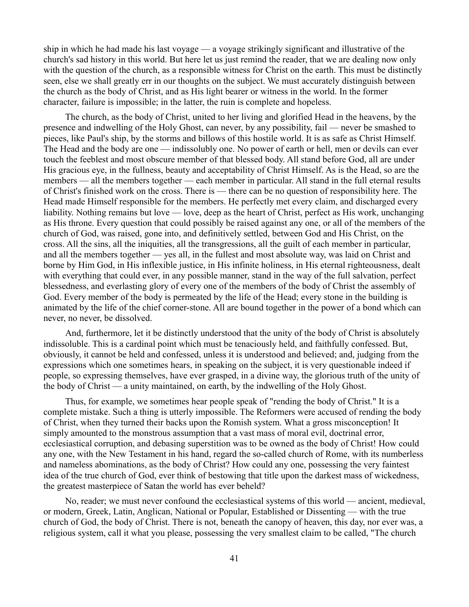ship in which he had made his last voyage — a voyage strikingly significant and illustrative of the church's sad history in this world. But here let us just remind the reader, that we are dealing now only with the question of the church, as a responsible witness for Christ on the earth. This must be distinctly seen, else we shall greatly err in our thoughts on the subject. We must accurately distinguish between the church as the body of Christ, and as His light bearer or witness in the world. In the former character, failure is impossible; in the latter, the ruin is complete and hopeless.

The church, as the body of Christ, united to her living and glorified Head in the heavens, by the presence and indwelling of the Holy Ghost, can never, by any possibility, fail — never be smashed to pieces, like Paul's ship, by the storms and billows of this hostile world. It is as safe as Christ Himself. The Head and the body are one — indissolubly one. No power of earth or hell, men or devils can ever touch the feeblest and most obscure member of that blessed body. All stand before God, all are under His gracious eye, in the fullness, beauty and acceptability of Christ Himself. As is the Head, so are the members — all the members together — each member in particular. All stand in the full eternal results of Christ's finished work on the cross. There is — there can be no question of responsibility here. The Head made Himself responsible for the members. He perfectly met every claim, and discharged every liability. Nothing remains but love — love, deep as the heart of Christ, perfect as His work, unchanging as His throne. Every question that could possibly be raised against any one, or all of the members of the church of God, was raised, gone into, and definitively settled, between God and His Christ, on the cross. All the sins, all the iniquities, all the transgressions, all the guilt of each member in particular, and all the members together — yes all, in the fullest and most absolute way, was laid on Christ and borne by Him God, in His inflexible justice, in His infinite holiness, in His eternal righteousness, dealt with everything that could ever, in any possible manner, stand in the way of the full salvation, perfect blessedness, and everlasting glory of every one of the members of the body of Christ the assembly of God. Every member of the body is permeated by the life of the Head; every stone in the building is animated by the life of the chief corner-stone. All are bound together in the power of a bond which can never, no never, be dissolved.

And, furthermore, let it be distinctly understood that the unity of the body of Christ is absolutely indissoluble. This is a cardinal point which must be tenaciously held, and faithfully confessed. But, obviously, it cannot be held and confessed, unless it is understood and believed; and, judging from the expressions which one sometimes hears, in speaking on the subject, it is very questionable indeed if people, so expressing themselves, have ever grasped, in a divine way, the glorious truth of the unity of the body of Christ — a unity maintained, on earth, by the indwelling of the Holy Ghost.

Thus, for example, we sometimes hear people speak of "rending the body of Christ." It is a complete mistake. Such a thing is utterly impossible. The Reformers were accused of rending the body of Christ, when they turned their backs upon the Romish system. What a gross misconception! It simply amounted to the monstrous assumption that a vast mass of moral evil, doctrinal error, ecclesiastical corruption, and debasing superstition was to be owned as the body of Christ! How could any one, with the New Testament in his hand, regard the so-called church of Rome, with its numberless and nameless abominations, as the body of Christ? How could any one, possessing the very faintest idea of the true church of God, ever think of bestowing that title upon the darkest mass of wickedness, the greatest masterpiece of Satan the world has ever beheld?

No, reader; we must never confound the ecclesiastical systems of this world — ancient, medieval, or modern, Greek, Latin, Anglican, National or Popular, Established or Dissenting — with the true church of God, the body of Christ. There is not, beneath the canopy of heaven, this day, nor ever was, a religious system, call it what you please, possessing the very smallest claim to be called, "The church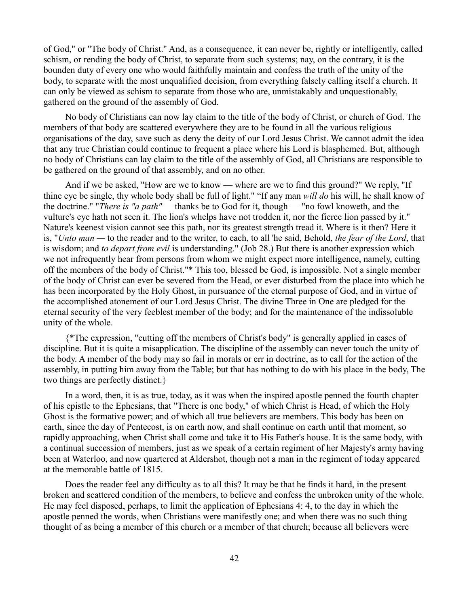of God," or "The body of Christ." And, as a consequence, it can never be, rightly or intelligently, called schism, or rending the body of Christ, to separate from such systems; nay, on the contrary, it is the bounden duty of every one who would faithfully maintain and confess the truth of the unity of the body, to separate with the most unqualified decision, from everything falsely calling itself a church. It can only be viewed as schism to separate from those who are, unmistakably and unquestionably, gathered on the ground of the assembly of God.

No body of Christians can now lay claim to the title of the body of Christ, or church of God. The members of that body are scattered everywhere they are to be found in all the various religious organisations of the day, save such as deny the deity of our Lord Jesus Christ. We cannot admit the idea that any true Christian could continue to frequent a place where his Lord is blasphemed. But, although no body of Christians can lay claim to the title of the assembly of God, all Christians are responsible to be gathered on the ground of that assembly, and on no other.

And if we be asked, "How are we to know — where are we to find this ground?" We reply, "If thine eye be single, thy whole body shall be full of light." "If any man *will do* his will, he shall know of the doctrine." "*There is "a path" —* thanks be to God for it, though — "no fowl knoweth, and the vulture's eye hath not seen it. The lion's whelps have not trodden it, nor the fierce lion passed by it." Nature's keenest vision cannot see this path, nor its greatest strength tread it. Where is it then? Here it is, "*Unto man —* to the reader and to the writer, to each, to all 'he said, Behold, *the fear of the Lord*, that is wisdom; and *to depart from evil* is understanding." (Job 28.) But there is another expression which we not infrequently hear from persons from whom we might expect more intelligence, namely, cutting off the members of the body of Christ."\* This too, blessed be God, is impossible. Not a single member of the body of Christ can ever be severed from the Head, or ever disturbed from the place into which he has been incorporated by the Holy Ghost, in pursuance of the eternal purpose of God, and in virtue of the accomplished atonement of our Lord Jesus Christ. The divine Three in One are pledged for the eternal security of the very feeblest member of the body; and for the maintenance of the indissoluble unity of the whole.

{\*The expression, "cutting off the members of Christ's body" is generally applied in cases of discipline. But it is quite a misapplication. The discipline of the assembly can never touch the unity of the body. A member of the body may so fail in morals or err in doctrine, as to call for the action of the assembly, in putting him away from the Table; but that has nothing to do with his place in the body, The two things are perfectly distinct.}

In a word, then, it is as true, today, as it was when the inspired apostle penned the fourth chapter of his epistle to the Ephesians, that "There is one body," of which Christ is Head, of which the Holy Ghost is the formative power; and of which all true believers are members. This body has been on earth, since the day of Pentecost, is on earth now, and shall continue on earth until that moment, so rapidly approaching, when Christ shall come and take it to His Father's house. It is the same body, with a continual succession of members, just as we speak of a certain regiment of her Majesty's army having been at Waterloo, and now quartered at Aldershot, though not a man in the regiment of today appeared at the memorable battle of 1815.

Does the reader feel any difficulty as to all this? It may be that he finds it hard, in the present broken and scattered condition of the members, to believe and confess the unbroken unity of the whole. He may feel disposed, perhaps, to limit the application of Ephesians 4: 4, to the day in which the apostle penned the words, when Christians were manifestly one; and when there was no such thing thought of as being a member of this church or a member of that church; because all believers were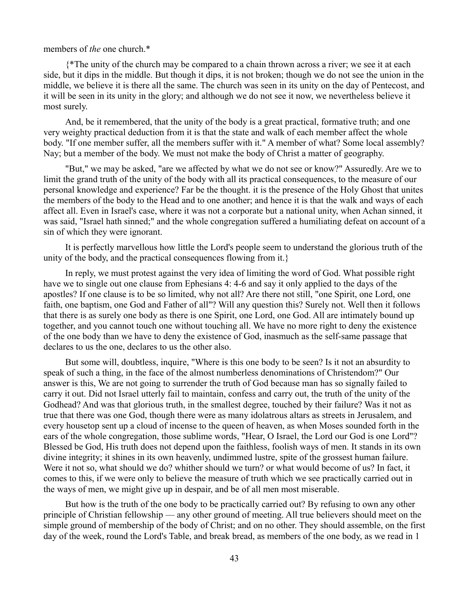## members of *the* one church.\*

{\*The unity of the church may be compared to a chain thrown across a river; we see it at each side, but it dips in the middle. But though it dips, it is not broken; though we do not see the union in the middle, we believe it is there all the same. The church was seen in its unity on the day of Pentecost, and it will be seen in its unity in the glory; and although we do not see it now, we nevertheless believe it most surely.

And, be it remembered, that the unity of the body is a great practical, formative truth; and one very weighty practical deduction from it is that the state and walk of each member affect the whole body. "If one member suffer, all the members suffer with it." A member of what? Some local assembly? Nay; but a member of the body. We must not make the body of Christ a matter of geography.

"But," we may be asked, "are we affected by what we do not see or know?" Assuredly. Are we to limit the grand truth of the unity of the body with all its practical consequences, to the measure of our personal knowledge and experience? Far be the thought. it is the presence of the Holy Ghost that unites the members of the body to the Head and to one another; and hence it is that the walk and ways of each affect all. Even in Israel's case, where it was not a corporate but a national unity, when Achan sinned, it was said, "Israel hath sinned;" and the whole congregation suffered a humiliating defeat on account of a sin of which they were ignorant.

It is perfectly marvellous how little the Lord's people seem to understand the glorious truth of the unity of the body, and the practical consequences flowing from it.}

In reply, we must protest against the very idea of limiting the word of God. What possible right have we to single out one clause from Ephesians 4: 4-6 and say it only applied to the days of the apostles? If one clause is to be so limited, why not all? Are there not still, "one Spirit, one Lord, one faith, one baptism, one God and Father of all"? Will any question this? Surely not. Well then it follows that there is as surely one body as there is one Spirit, one Lord, one God. All are intimately bound up together, and you cannot touch one without touching all. We have no more right to deny the existence of the one body than we have to deny the existence of God, inasmuch as the self-same passage that declares to us the one, declares to us the other also.

But some will, doubtless, inquire, "Where is this one body to be seen? Is it not an absurdity to speak of such a thing, in the face of the almost numberless denominations of Christendom?" Our answer is this, We are not going to surrender the truth of God because man has so signally failed to carry it out. Did not Israel utterly fail to maintain, confess and carry out, the truth of the unity of the Godhead? And was that glorious truth, in the smallest degree, touched by their failure? Was it not as true that there was one God, though there were as many idolatrous altars as streets in Jerusalem, and every housetop sent up a cloud of incense to the queen of heaven, as when Moses sounded forth in the ears of the whole congregation, those sublime words, "Hear, O Israel, the Lord our God is one Lord"? Blessed be God, His truth does not depend upon the faithless, foolish ways of men. It stands in its own divine integrity; it shines in its own heavenly, undimmed lustre, spite of the grossest human failure. Were it not so, what should we do? whither should we turn? or what would become of us? In fact, it comes to this, if we were only to believe the measure of truth which we see practically carried out in the ways of men, we might give up in despair, and be of all men most miserable.

But how is the truth of the one body to be practically carried out? By refusing to own any other principle of Christian fellowship — any other ground of meeting. All true believers should meet on the simple ground of membership of the body of Christ; and on no other. They should assemble, on the first day of the week, round the Lord's Table, and break bread, as members of the one body, as we read in 1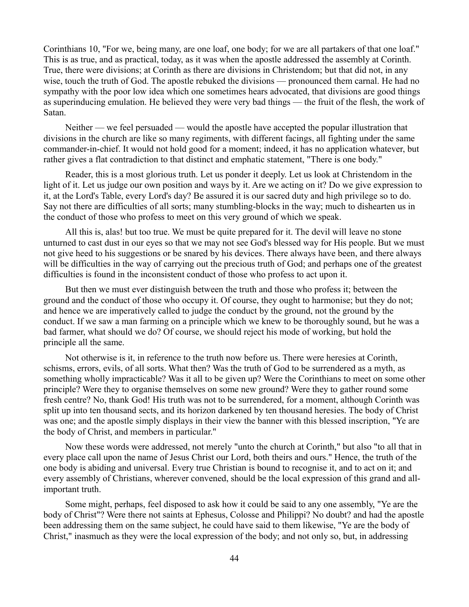Corinthians 10, "For we, being many, are one loaf, one body; for we are all partakers of that one loaf." This is as true, and as practical, today, as it was when the apostle addressed the assembly at Corinth. True, there were divisions; at Corinth as there are divisions in Christendom; but that did not, in any wise, touch the truth of God. The apostle rebuked the divisions — pronounced them carnal. He had no sympathy with the poor low idea which one sometimes hears advocated, that divisions are good things as superinducing emulation. He believed they were very bad things — the fruit of the flesh, the work of Satan.

Neither — we feel persuaded — would the apostle have accepted the popular illustration that divisions in the church are like so many regiments, with different facings, all fighting under the same commander-in-chief. It would not hold good for a moment; indeed, it has no application whatever, but rather gives a flat contradiction to that distinct and emphatic statement, "There is one body."

Reader, this is a most glorious truth. Let us ponder it deeply. Let us look at Christendom in the light of it. Let us judge our own position and ways by it. Are we acting on it? Do we give expression to it, at the Lord's Table, every Lord's day? Be assured it is our sacred duty and high privilege so to do. Say not there are difficulties of all sorts; many stumbling-blocks in the way; much to dishearten us in the conduct of those who profess to meet on this very ground of which we speak.

All this is, alas! but too true. We must be quite prepared for it. The devil will leave no stone unturned to cast dust in our eyes so that we may not see God's blessed way for His people. But we must not give heed to his suggestions or be snared by his devices. There always have been, and there always will be difficulties in the way of carrying out the precious truth of God; and perhaps one of the greatest difficulties is found in the inconsistent conduct of those who profess to act upon it.

But then we must ever distinguish between the truth and those who profess it; between the ground and the conduct of those who occupy it. Of course, they ought to harmonise; but they do not; and hence we are imperatively called to judge the conduct by the ground, not the ground by the conduct. If we saw a man farming on a principle which we knew to be thoroughly sound, but he was a bad farmer, what should we do? Of course, we should reject his mode of working, but hold the principle all the same.

Not otherwise is it, in reference to the truth now before us. There were heresies at Corinth, schisms, errors, evils, of all sorts. What then? Was the truth of God to be surrendered as a myth, as something wholly impracticable? Was it all to be given up? Were the Corinthians to meet on some other principle? Were they to organise themselves on some new ground? Were they to gather round some fresh centre? No, thank God! His truth was not to be surrendered, for a moment, although Corinth was split up into ten thousand sects, and its horizon darkened by ten thousand heresies. The body of Christ was one; and the apostle simply displays in their view the banner with this blessed inscription, "Ye are the body of Christ, and members in particular."

Now these words were addressed, not merely "unto the church at Corinth," but also "to all that in every place call upon the name of Jesus Christ our Lord, both theirs and ours." Hence, the truth of the one body is abiding and universal. Every true Christian is bound to recognise it, and to act on it; and every assembly of Christians, wherever convened, should be the local expression of this grand and allimportant truth.

Some might, perhaps, feel disposed to ask how it could be said to any one assembly, "Ye are the body of Christ"? Were there not saints at Ephesus, Colosse and Philippi? No doubt? and had the apostle been addressing them on the same subject, he could have said to them likewise, "Ye are the body of Christ," inasmuch as they were the local expression of the body; and not only so, but, in addressing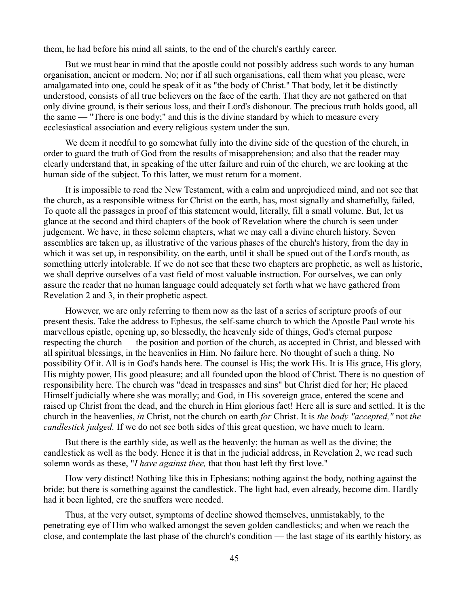them, he had before his mind all saints, to the end of the church's earthly career.

But we must bear in mind that the apostle could not possibly address such words to any human organisation, ancient or modern. No; nor if all such organisations, call them what you please, were amalgamated into one, could he speak of it as "the body of Christ." That body, let it be distinctly understood, consists of all true believers on the face of the earth. That they are not gathered on that only divine ground, is their serious loss, and their Lord's dishonour. The precious truth holds good, all the same — "There is one body;" and this is the divine standard by which to measure every ecclesiastical association and every religious system under the sun.

We deem it needful to go somewhat fully into the divine side of the question of the church, in order to guard the truth of God from the results of misapprehension; and also that the reader may clearly understand that, in speaking of the utter failure and ruin of the church, we are looking at the human side of the subject. To this latter, we must return for a moment.

It is impossible to read the New Testament, with a calm and unprejudiced mind, and not see that the church, as a responsible witness for Christ on the earth, has, most signally and shamefully, failed, To quote all the passages in proof of this statement would, literally, fill a small volume. But, let us glance at the second and third chapters of the book of Revelation where the church is seen under judgement. We have, in these solemn chapters, what we may call a divine church history. Seven assemblies are taken up, as illustrative of the various phases of the church's history, from the day in which it was set up, in responsibility, on the earth, until it shall be spued out of the Lord's mouth, as something utterly intolerable. If we do not see that these two chapters are prophetic, as well as historic, we shall deprive ourselves of a vast field of most valuable instruction. For ourselves, we can only assure the reader that no human language could adequately set forth what we have gathered from Revelation 2 and 3, in their prophetic aspect.

However, we are only referring to them now as the last of a series of scripture proofs of our present thesis. Take the address to Ephesus, the self-same church to which the Apostle Paul wrote his marvellous epistle, opening up, so blessedly, the heavenly side of things, God's eternal purpose respecting the church — the position and portion of the church, as accepted in Christ, and blessed with all spiritual blessings, in the heavenlies in Him. No failure here. No thought of such a thing. No possibility Of it. All is in God's hands here. The counsel is His; the work His. It is His grace, His glory, His mighty power, His good pleasure; and all founded upon the blood of Christ. There is no question of responsibility here. The church was "dead in trespasses and sins" but Christ died for her; He placed Himself judicially where she was morally; and God, in His sovereign grace, entered the scene and raised up Christ from the dead, and the church in Him glorious fact! Here all is sure and settled. It is the church in the heavenlies, *in* Christ, not the church on earth *for* Christ. It is *the body "accepted,"* not *the candlestick judged.* If we do not see both sides of this great question, we have much to learn.

But there is the earthly side, as well as the heavenly; the human as well as the divine; the candlestick as well as the body. Hence it is that in the judicial address, in Revelation 2, we read such solemn words as these, "*I have against thee,* that thou hast left thy first love."

How very distinct! Nothing like this in Ephesians; nothing against the body, nothing against the bride; but there is something against the candlestick. The light had, even already, become dim. Hardly had it been lighted, ere the snuffers were needed.

Thus, at the very outset, symptoms of decline showed themselves, unmistakably, to the penetrating eye of Him who walked amongst the seven golden candlesticks; and when we reach the close, and contemplate the last phase of the church's condition — the last stage of its earthly history, as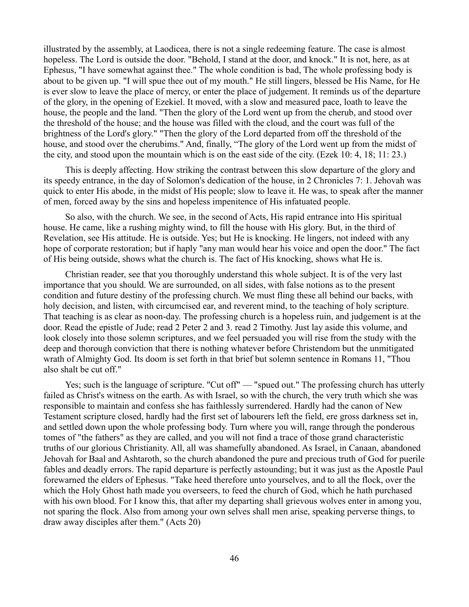illustrated by the assembly, at Laodicea, there is not a single redeeming feature. The case is almost hopeless. The Lord is outside the door. "Behold, I stand at the door, and knock." It is not, here, as at Ephesus, "I have somewhat against thee." The whole condition is bad, The whole professing body is about to be given up. "I will spue thee out of my mouth." He still lingers, blessed be His Name, for He is ever slow to leave the place of mercy, or enter the place of judgement. It reminds us of the departure of the glory, in the opening of Ezekiel. It moved, with a slow and measured pace, loath to leave the house, the people and the land. "Then the glory of the Lord went up from the cherub, and stood over the threshold of the house; and the house was filled with the cloud, and the court was full of the brightness of the Lord's glory." "Then the glory of the Lord departed from off the threshold of the house, and stood over the cherubims." And, finally, "The glory of the Lord went up from the midst of the city, and stood upon the mountain which is on the east side of the city. (Ezek 10: 4, 18; 11: 23.)

This is deeply affecting. How striking the contrast between this slow departure of the glory and its speedy entrance, in the day of Solomon's dedication of the house, in 2 Chronicles 7: 1. Jehovah was quick to enter His abode, in the midst of His people; slow to leave it. He was, to speak after the manner of men, forced away by the sins and hopeless impenitence of His infatuated people.

So also, with the church. We see, in the second of Acts, His rapid entrance into His spiritual house. He came, like a rushing mighty wind, to fill the house with His glory. But, in the third of Revelation, see His attitude. He is outside. Yes; but He is knocking. He lingers, not indeed with any hope of corporate restoration; but if haply "any man would hear his voice and open the door." The fact of His being outside, shows what the church is. The fact of His knocking, shows what He is.

Christian reader, see that you thoroughly understand this whole subject. It is of the very last importance that you should. We are surrounded, on all sides, with false notions as to the present condition and future destiny of the professing church. We must fling these all behind our backs, with holy decision, and listen, with circumcised ear, and reverent mind, to the teaching of holy scripture. That teaching is as clear as noon-day. The professing church is a hopeless ruin, and judgement is at the door. Read the epistle of Jude; read 2 Peter 2 and 3. read 2 Timothy. Just lay aside this volume, and look closely into those solemn scriptures, and we feel persuaded you will rise from the study with the deep and thorough conviction that there is nothing whatever before Christendom but the unmitigated wrath of Almighty God. Its doom is set forth in that brief but solemn sentence in Romans 11, "Thou also shalt be cut off."

Yes; such is the language of scripture. "Cut off" — "spued out." The professing church has utterly failed as Christ's witness on the earth. As with Israel, so with the church, the very truth which she was responsible to maintain and confess she has faithlessly surrendered. Hardly had the canon of New Testament scripture closed, hardly had the first set of labourers left the field, ere gross darkness set in, and settled down upon the whole professing body. Turn where you will, range through the ponderous tomes of "the fathers" as they are called, and you will not find a trace of those grand characteristic truths of our glorious Christianity. All, all was shamefully abandoned. As Israel, in Canaan, abandoned Jehovah for Baal and Ashtaroth, so the church abandoned the pure and precious truth of God for puerile fables and deadly errors. The rapid departure is perfectly astounding; but it was just as the Apostle Paul forewarned the elders of Ephesus. "Take heed therefore unto yourselves, and to all the flock, over the which the Holy Ghost hath made you overseers, to feed the church of God, which he hath purchased with his own blood. For I know this, that after my departing shall grievous wolves enter in among you, not sparing the flock. Also from among your own selves shall men arise, speaking perverse things, to draw away disciples after them." (Acts 20)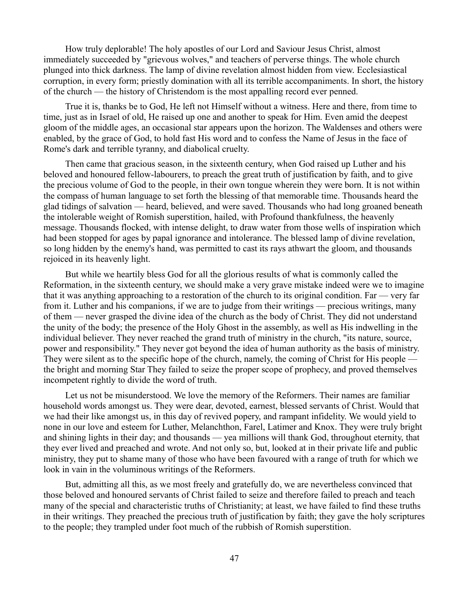How truly deplorable! The holy apostles of our Lord and Saviour Jesus Christ, almost immediately succeeded by "grievous wolves," and teachers of perverse things. The whole church plunged into thick darkness. The lamp of divine revelation almost hidden from view. Ecclesiastical corruption, in every form; priestly domination with all its terrible accompaniments. In short, the history of the church — the history of Christendom is the most appalling record ever penned.

True it is, thanks be to God, He left not Himself without a witness. Here and there, from time to time, just as in Israel of old, He raised up one and another to speak for Him. Even amid the deepest gloom of the middle ages, an occasional star appears upon the horizon. The Waldenses and others were enabled, by the grace of God, to hold fast His word and to confess the Name of Jesus in the face of Rome's dark and terrible tyranny, and diabolical cruelty.

Then came that gracious season, in the sixteenth century, when God raised up Luther and his beloved and honoured fellow-labourers, to preach the great truth of justification by faith, and to give the precious volume of God to the people, in their own tongue wherein they were born. It is not within the compass of human language to set forth the blessing of that memorable time. Thousands heard the glad tidings of salvation — heard, believed, and were saved. Thousands who had long groaned beneath the intolerable weight of Romish superstition, hailed, with Profound thankfulness, the heavenly message. Thousands flocked, with intense delight, to draw water from those wells of inspiration which had been stopped for ages by papal ignorance and intolerance. The blessed lamp of divine revelation, so long hidden by the enemy's hand, was permitted to cast its rays athwart the gloom, and thousands rejoiced in its heavenly light.

But while we heartily bless God for all the glorious results of what is commonly called the Reformation, in the sixteenth century, we should make a very grave mistake indeed were we to imagine that it was anything approaching to a restoration of the church to its original condition. Far — very far from it. Luther and his companions, if we are to judge from their writings — precious writings, many of them — never grasped the divine idea of the church as the body of Christ. They did not understand the unity of the body; the presence of the Holy Ghost in the assembly, as well as His indwelling in the individual believer. They never reached the grand truth of ministry in the church, "its nature, source, power and responsibility." They never got beyond the idea of human authority as the basis of ministry. They were silent as to the specific hope of the church, namely, the coming of Christ for His people the bright and morning Star They failed to seize the proper scope of prophecy, and proved themselves incompetent rightly to divide the word of truth.

Let us not be misunderstood. We love the memory of the Reformers. Their names are familiar household words amongst us. They were dear, devoted, earnest, blessed servants of Christ. Would that we had their like amongst us, in this day of revived popery, and rampant infidelity. We would yield to none in our love and esteem for Luther, Melanchthon, Farel, Latimer and Knox. They were truly bright and shining lights in their day; and thousands — yea millions will thank God, throughout eternity, that they ever lived and preached and wrote. And not only so, but, looked at in their private life and public ministry, they put to shame many of those who have been favoured with a range of truth for which we look in vain in the voluminous writings of the Reformers.

But, admitting all this, as we most freely and gratefully do, we are nevertheless convinced that those beloved and honoured servants of Christ failed to seize and therefore failed to preach and teach many of the special and characteristic truths of Christianity; at least, we have failed to find these truths in their writings. They preached the precious truth of justification by faith; they gave the holy scriptures to the people; they trampled under foot much of the rubbish of Romish superstition.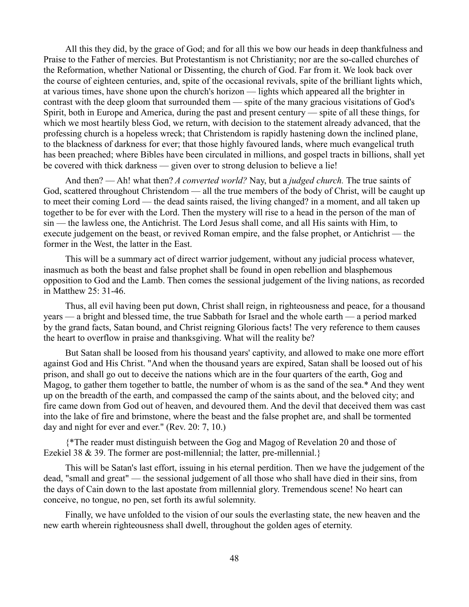All this they did, by the grace of God; and for all this we bow our heads in deep thankfulness and Praise to the Father of mercies. But Protestantism is not Christianity; nor are the so-called churches of the Reformation, whether National or Dissenting, the church of God. Far from it. We look back over the course of eighteen centuries, and, spite of the occasional revivals, spite of the brilliant lights which, at various times, have shone upon the church's horizon — lights which appeared all the brighter in contrast with the deep gloom that surrounded them — spite of the many gracious visitations of God's Spirit, both in Europe and America, during the past and present century — spite of all these things, for which we most heartily bless God, we return, with decision to the statement already advanced, that the professing church is a hopeless wreck; that Christendom is rapidly hastening down the inclined plane, to the blackness of darkness for ever; that those highly favoured lands, where much evangelical truth has been preached; where Bibles have been circulated in millions, and gospel tracts in billions, shall yet be covered with thick darkness — given over to strong delusion to believe a lie!

And then? — Ah! what then? *A converted world?* Nay, but a *judged church.* The true saints of God, scattered throughout Christendom — all the true members of the body of Christ, will be caught up to meet their coming Lord — the dead saints raised, the living changed? in a moment, and all taken up together to be for ever with the Lord. Then the mystery will rise to a head in the person of the man of sin — the lawless one, the Antichrist. The Lord Jesus shall come, and all His saints with Him, to execute judgement on the beast, or revived Roman empire, and the false prophet, or Antichrist — the former in the West, the latter in the East.

This will be a summary act of direct warrior judgement, without any judicial process whatever, inasmuch as both the beast and false prophet shall be found in open rebellion and blasphemous opposition to God and the Lamb. Then comes the sessional judgement of the living nations, as recorded in Matthew 25: 31-46.

Thus, all evil having been put down, Christ shall reign, in righteousness and peace, for a thousand years — a bright and blessed time, the true Sabbath for Israel and the whole earth — a period marked by the grand facts, Satan bound, and Christ reigning Glorious facts! The very reference to them causes the heart to overflow in praise and thanksgiving. What will the reality be?

But Satan shall be loosed from his thousand years' captivity, and allowed to make one more effort against God and His Christ. "And when the thousand years are expired, Satan shall be loosed out of his prison, and shall go out to deceive the nations which are in the four quarters of the earth, Gog and Magog, to gather them together to battle, the number of whom is as the sand of the sea.\* And they went up on the breadth of the earth, and compassed the camp of the saints about, and the beloved city; and fire came down from God out of heaven, and devoured them. And the devil that deceived them was cast into the lake of fire and brimstone, where the beast and the false prophet are, and shall be tormented day and night for ever and ever." (Rev. 20: 7, 10.)

{\*The reader must distinguish between the Gog and Magog of Revelation 20 and those of Ezekiel 38 & 39. The former are post-millennial; the latter, pre-millennial.}

This will be Satan's last effort, issuing in his eternal perdition. Then we have the judgement of the dead, "small and great" — the sessional judgement of all those who shall have died in their sins, from the days of Cain down to the last apostate from millennial glory. Tremendous scene! No heart can conceive, no tongue, no pen, set forth its awful solemnity.

Finally, we have unfolded to the vision of our souls the everlasting state, the new heaven and the new earth wherein righteousness shall dwell, throughout the golden ages of eternity.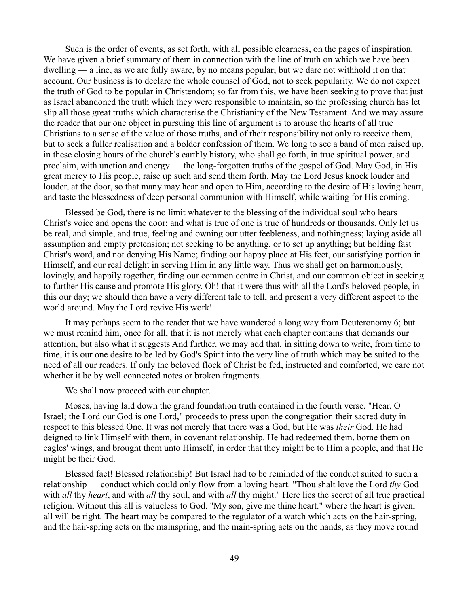Such is the order of events, as set forth, with all possible clearness, on the pages of inspiration. We have given a brief summary of them in connection with the line of truth on which we have been dwelling — a line, as we are fully aware, by no means popular; but we dare not withhold it on that account. Our business is to declare the whole counsel of God, not to seek popularity. We do not expect the truth of God to be popular in Christendom; so far from this, we have been seeking to prove that just as Israel abandoned the truth which they were responsible to maintain, so the professing church has let slip all those great truths which characterise the Christianity of the New Testament. And we may assure the reader that our one object in pursuing this line of argument is to arouse the hearts of all true Christians to a sense of the value of those truths, and of their responsibility not only to receive them, but to seek a fuller realisation and a bolder confession of them. We long to see a band of men raised up, in these closing hours of the church's earthly history, who shall go forth, in true spiritual power, and proclaim, with unction and energy — the long-forgotten truths of the gospel of God. May God, in His great mercy to His people, raise up such and send them forth. May the Lord Jesus knock louder and louder, at the door, so that many may hear and open to Him, according to the desire of His loving heart, and taste the blessedness of deep personal communion with Himself, while waiting for His coming.

Blessed be God, there is no limit whatever to the blessing of the individual soul who hears Christ's voice and opens the door; and what is true of one is true of hundreds or thousands. Only let us be real, and simple, and true, feeling and owning our utter feebleness, and nothingness; laying aside all assumption and empty pretension; not seeking to be anything, or to set up anything; but holding fast Christ's word, and not denying His Name; finding our happy place at His feet, our satisfying portion in Himself, and our real delight in serving Him in any little way. Thus we shall get on harmoniously, lovingly, and happily together, finding our common centre in Christ, and our common object in seeking to further His cause and promote His glory. Oh! that it were thus with all the Lord's beloved people, in this our day; we should then have a very different tale to tell, and present a very different aspect to the world around. May the Lord revive His work!

It may perhaps seem to the reader that we have wandered a long way from Deuteronomy 6; but we must remind him, once for all, that it is not merely what each chapter contains that demands our attention, but also what it suggests And further, we may add that, in sitting down to write, from time to time, it is our one desire to be led by God's Spirit into the very line of truth which may be suited to the need of all our readers. If only the beloved flock of Christ be fed, instructed and comforted, we care not whether it be by well connected notes or broken fragments.

We shall now proceed with our chapter.

Moses, having laid down the grand foundation truth contained in the fourth verse, "Hear, O Israel; the Lord our God is one Lord," proceeds to press upon the congregation their sacred duty in respect to this blessed One. It was not merely that there was a God, but He was *their* God. He had deigned to link Himself with them, in covenant relationship. He had redeemed them, borne them on eagles' wings, and brought them unto Himself, in order that they might be to Him a people, and that He might be their God.

Blessed fact! Blessed relationship! But Israel had to be reminded of the conduct suited to such a relationship — conduct which could only flow from a loving heart. "Thou shalt love the Lord *thy* God with *all* thy *heart*, and with *all* thy soul, and with *all* thy might." Here lies the secret of all true practical religion. Without this all is valueless to God. "My son, give me thine heart." where the heart is given, all will be right. The heart may be compared to the regulator of a watch which acts on the hair-spring, and the hair-spring acts on the mainspring, and the main-spring acts on the hands, as they move round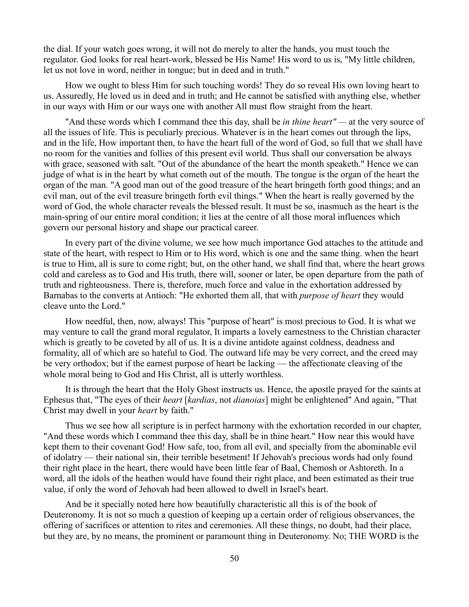the dial. If your watch goes wrong, it will not do merely to alter the hands, you must touch the regulator. God looks for real heart-work, blessed be His Name! His word to us is, "My little children, let us not love in word, neither in tongue; but in deed and in truth."

How we ought to bless Him for such touching words! They do so reveal His own loving heart to us. Assuredly, He loved us in deed and in truth; and He cannot be satisfied with anything else, whether in our ways with Him or our ways one with another All must flow straight from the heart.

"And these words which I command thee this day, shall be *in thine heart" —* at the very source of all the issues of life. This is peculiarly precious. Whatever is in the heart comes out through the lips, and in the life, How important then, to have the heart full of the word of God, so full that we shall have no room for the vanities and follies of this present evil world. Thus shall our conversation be always with grace, seasoned with salt. "Out of the abundance of the heart the month speaketh." Hence we can judge of what is in the heart by what cometh out of the mouth. The tongue is the organ of the heart the organ of the man. "A good man out of the good treasure of the heart bringeth forth good things; and an evil man, out of the evil treasure bringeth forth evil things." When the heart is really governed by the word of God, the whole character reveals the blessed result. It must be so, inasmuch as the heart is the main-spring of our entire moral condition; it lies at the centre of all those moral influences which govern our personal history and shape our practical career.

In every part of the divine volume, we see how much importance God attaches to the attitude and state of the heart, with respect to Him or to His word, which is one and the same thing. when the heart is true to Him, all is sure to come right; but, on the other hand, we shall find that, where the heart grows cold and careless as to God and His truth, there will, sooner or later, be open departure from the path of truth and righteousness. There is, therefore, much force and value in the exhortation addressed by Barnabas to the converts at Antioch: "He exhorted them all, that with *purpose of heart* they would cleave unto the Lord."

How needful, then, now, always! This "purpose of heart" is most precious to God. It is what we may venture to call the grand moral regulator, It imparts a lovely earnestness to the Christian character which is greatly to be coveted by all of us. It is a divine antidote against coldness, deadness and formality, all of which are so hateful to God. The outward life may be very correct, and the creed may be very orthodox; but if the earnest purpose of heart be lacking — the affectionate cleaving of the whole moral being to God and His Christ, all is utterly worthless.

It is through the heart that the Holy Ghost instructs us. Hence, the apostle prayed for the saints at Ephesus that, "The eyes of their *heart* [*kardias*, not *dianoias*] might be enlightened" And again, "That Christ may dwell in your *heart* by faith."

Thus we see how all scripture is in perfect harmony with the exhortation recorded in our chapter, "And these words which I command thee this day, shall be in thine heart." How near this would have kept them to their covenant God! How safe, too, from all evil, and specially from the abominable evil of idolatry — their national sin, their terrible besetment! If Jehovah's precious words had only found their right place in the heart, there would have been little fear of Baal, Chemosh or Ashtoreth. In a word, all the idols of the heathen would have found their right place, and been estimated as their true value, if only the word of Jehovah had been allowed to dwell in Israel's heart.

And be it specially noted here how beautifully characteristic all this is of the book of Deuteronomy. It is not so much a question of keeping up a certain order of religious observances, the offering of sacrifices or attention to rites and ceremonies. All these things, no doubt, had their place, but they are, by no means, the prominent or paramount thing in Deuteronomy. No; THE WORD is the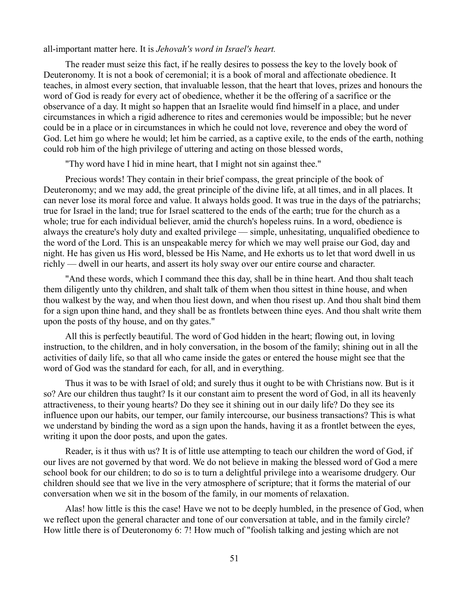all-important matter here. It is *Jehovah's word in Israel's heart.*

The reader must seize this fact, if he really desires to possess the key to the lovely book of Deuteronomy. It is not a book of ceremonial; it is a book of moral and affectionate obedience. It teaches, in almost every section, that invaluable lesson, that the heart that loves, prizes and honours the word of God is ready for every act of obedience, whether it be the offering of a sacrifice or the observance of a day. It might so happen that an Israelite would find himself in a place, and under circumstances in which a rigid adherence to rites and ceremonies would be impossible; but he never could be in a place or in circumstances in which he could not love, reverence and obey the word of God. Let him go where he would; let him be carried, as a captive exile, to the ends of the earth, nothing could rob him of the high privilege of uttering and acting on those blessed words,

"Thy word have I hid in mine heart, that I might not sin against thee."

Precious words! They contain in their brief compass, the great principle of the book of Deuteronomy; and we may add, the great principle of the divine life, at all times, and in all places. It can never lose its moral force and value. It always holds good. It was true in the days of the patriarchs; true for Israel in the land; true for Israel scattered to the ends of the earth; true for the church as a whole; true for each individual believer, amid the church's hopeless ruins. In a word, obedience is always the creature's holy duty and exalted privilege — simple, unhesitating, unqualified obedience to the word of the Lord. This is an unspeakable mercy for which we may well praise our God, day and night. He has given us His word, blessed be His Name, and He exhorts us to let that word dwell in us richly — dwell in our hearts, and assert its holy sway over our entire course and character.

"And these words, which I command thee this day, shall be in thine heart. And thou shalt teach them diligently unto thy children, and shalt talk of them when thou sittest in thine house, and when thou walkest by the way, and when thou liest down, and when thou risest up. And thou shalt bind them for a sign upon thine hand, and they shall be as frontlets between thine eyes. And thou shalt write them upon the posts of thy house, and on thy gates."

All this is perfectly beautiful. The word of God hidden in the heart; flowing out, in loving instruction, to the children, and in holy conversation, in the bosom of the family; shining out in all the activities of daily life, so that all who came inside the gates or entered the house might see that the word of God was the standard for each, for all, and in everything.

Thus it was to be with Israel of old; and surely thus it ought to be with Christians now. But is it so? Are our children thus taught? Is it our constant aim to present the word of God, in all its heavenly attractiveness, to their young hearts? Do they see it shining out in our daily life? Do they see its influence upon our habits, our temper, our family intercourse, our business transactions? This is what we understand by binding the word as a sign upon the hands, having it as a frontlet between the eyes, writing it upon the door posts, and upon the gates.

Reader, is it thus with us? It is of little use attempting to teach our children the word of God, if our lives are not governed by that word. We do not believe in making the blessed word of God a mere school book for our children; to do so is to turn a delightful privilege into a wearisome drudgery. Our children should see that we live in the very atmosphere of scripture; that it forms the material of our conversation when we sit in the bosom of the family, in our moments of relaxation.

Alas! how little is this the case! Have we not to be deeply humbled, in the presence of God, when we reflect upon the general character and tone of our conversation at table, and in the family circle? How little there is of Deuteronomy 6: 7! How much of "foolish talking and jesting which are not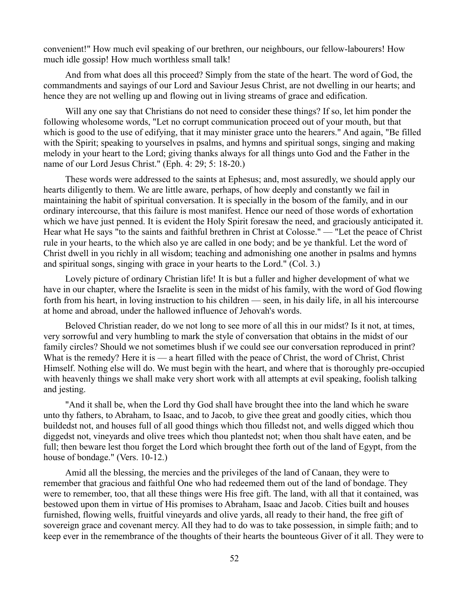convenient!" How much evil speaking of our brethren, our neighbours, our fellow-labourers! How much idle gossip! How much worthless small talk!

And from what does all this proceed? Simply from the state of the heart. The word of God, the commandments and sayings of our Lord and Saviour Jesus Christ, are not dwelling in our hearts; and hence they are not welling up and flowing out in living streams of grace and edification.

Will any one say that Christians do not need to consider these things? If so, let him ponder the following wholesome words, "Let no corrupt communication proceed out of your mouth, but that which is good to the use of edifying, that it may minister grace unto the hearers." And again, "Be filled with the Spirit; speaking to yourselves in psalms, and hymns and spiritual songs, singing and making melody in your heart to the Lord; giving thanks always for all things unto God and the Father in the name of our Lord Jesus Christ." (Eph. 4: 29; 5: 18-20.)

These words were addressed to the saints at Ephesus; and, most assuredly, we should apply our hearts diligently to them. We are little aware, perhaps, of how deeply and constantly we fail in maintaining the habit of spiritual conversation. It is specially in the bosom of the family, and in our ordinary intercourse, that this failure is most manifest. Hence our need of those words of exhortation which we have just penned. It is evident the Holy Spirit foresaw the need, and graciously anticipated it. Hear what He says "to the saints and faithful brethren in Christ at Colosse." — "Let the peace of Christ rule in your hearts, to the which also ye are called in one body; and be ye thankful. Let the word of Christ dwell in you richly in all wisdom; teaching and admonishing one another in psalms and hymns and spiritual songs, singing with grace in your hearts to the Lord." (Col. 3.)

Lovely picture of ordinary Christian life! It is but a fuller and higher development of what we have in our chapter, where the Israelite is seen in the midst of his family, with the word of God flowing forth from his heart, in loving instruction to his children — seen, in his daily life, in all his intercourse at home and abroad, under the hallowed influence of Jehovah's words.

Beloved Christian reader, do we not long to see more of all this in our midst? Is it not, at times, very sorrowful and very humbling to mark the style of conversation that obtains in the midst of our family circles? Should we not sometimes blush if we could see our conversation reproduced in print? What is the remedy? Here it is — a heart filled with the peace of Christ, the word of Christ, Christ Himself. Nothing else will do. We must begin with the heart, and where that is thoroughly pre-occupied with heavenly things we shall make very short work with all attempts at evil speaking, foolish talking and jesting.

"And it shall be, when the Lord thy God shall have brought thee into the land which he sware unto thy fathers, to Abraham, to Isaac, and to Jacob, to give thee great and goodly cities, which thou buildedst not, and houses full of all good things which thou filledst not, and wells digged which thou diggedst not, vineyards and olive trees which thou plantedst not; when thou shalt have eaten, and be full; then beware lest thou forget the Lord which brought thee forth out of the land of Egypt, from the house of bondage." (Vers. 10-12.)

Amid all the blessing, the mercies and the privileges of the land of Canaan, they were to remember that gracious and faithful One who had redeemed them out of the land of bondage. They were to remember, too, that all these things were His free gift. The land, with all that it contained, was bestowed upon them in virtue of His promises to Abraham, Isaac and Jacob. Cities built and houses furnished, flowing wells, fruitful vineyards and olive yards, all ready to their hand, the free gift of sovereign grace and covenant mercy. All they had to do was to take possession, in simple faith; and to keep ever in the remembrance of the thoughts of their hearts the bounteous Giver of it all. They were to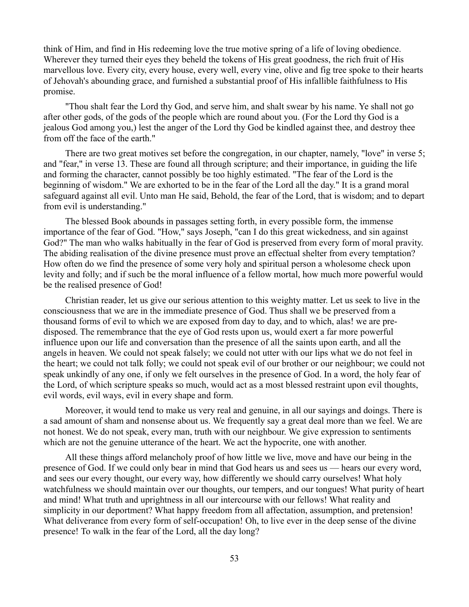think of Him, and find in His redeeming love the true motive spring of a life of loving obedience. Wherever they turned their eyes they beheld the tokens of His great goodness, the rich fruit of His marvellous love. Every city, every house, every well, every vine, olive and fig tree spoke to their hearts of Jehovah's abounding grace, and furnished a substantial proof of His infallible faithfulness to His promise.

"Thou shalt fear the Lord thy God, and serve him, and shalt swear by his name. Ye shall not go after other gods, of the gods of the people which are round about you. (For the Lord thy God is a jealous God among you,) lest the anger of the Lord thy God be kindled against thee, and destroy thee from off the face of the earth."

There are two great motives set before the congregation, in our chapter, namely, "love" in verse 5; and "fear," in verse 13. These are found all through scripture; and their importance, in guiding the life and forming the character, cannot possibly be too highly estimated. "The fear of the Lord is the beginning of wisdom." We are exhorted to be in the fear of the Lord all the day." It is a grand moral safeguard against all evil. Unto man He said, Behold, the fear of the Lord, that is wisdom; and to depart from evil is understanding."

The blessed Book abounds in passages setting forth, in every possible form, the immense importance of the fear of God. "How," says Joseph, "can I do this great wickedness, and sin against God?" The man who walks habitually in the fear of God is preserved from every form of moral pravity. The abiding realisation of the divine presence must prove an effectual shelter from every temptation? How often do we find the presence of some very holy and spiritual person a wholesome check upon levity and folly; and if such be the moral influence of a fellow mortal, how much more powerful would be the realised presence of God!

Christian reader, let us give our serious attention to this weighty matter. Let us seek to live in the consciousness that we are in the immediate presence of God. Thus shall we be preserved from a thousand forms of evil to which we are exposed from day to day, and to which, alas! we are predisposed. The remembrance that the eye of God rests upon us, would exert a far more powerful influence upon our life and conversation than the presence of all the saints upon earth, and all the angels in heaven. We could not speak falsely; we could not utter with our lips what we do not feel in the heart; we could not talk folly; we could not speak evil of our brother or our neighbour; we could not speak unkindly of any one, if only we felt ourselves in the presence of God. In a word, the holy fear of the Lord, of which scripture speaks so much, would act as a most blessed restraint upon evil thoughts, evil words, evil ways, evil in every shape and form.

Moreover, it would tend to make us very real and genuine, in all our sayings and doings. There is a sad amount of sham and nonsense about us. We frequently say a great deal more than we feel. We are not honest. We do not speak, every man, truth with our neighbour. We give expression to sentiments which are not the genuine utterance of the heart. We act the hypocrite, one with another.

All these things afford melancholy proof of how little we live, move and have our being in the presence of God. If we could only bear in mind that God hears us and sees us — hears our every word, and sees our every thought, our every way, how differently we should carry ourselves! What holy watchfulness we should maintain over our thoughts, our tempers, and our tongues! What purity of heart and mind! What truth and uprightness in all our intercourse with our fellows! What reality and simplicity in our deportment? What happy freedom from all affectation, assumption, and pretension! What deliverance from every form of self-occupation! Oh, to live ever in the deep sense of the divine presence! To walk in the fear of the Lord, all the day long?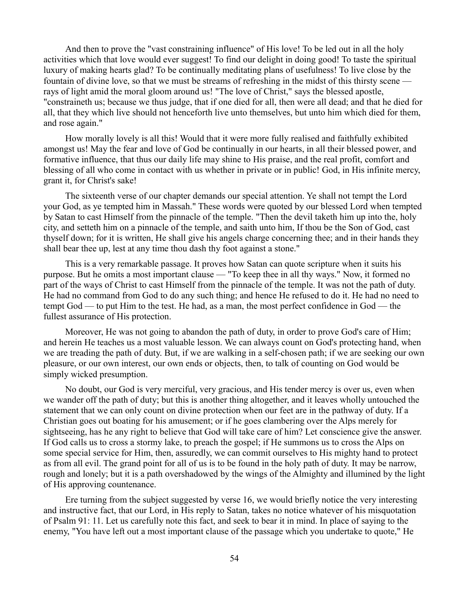And then to prove the "vast constraining influence" of His love! To be led out in all the holy activities which that love would ever suggest! To find our delight in doing good! To taste the spiritual luxury of making hearts glad? To be continually meditating plans of usefulness! To live close by the fountain of divine love, so that we must be streams of refreshing in the midst of this thirsty scene rays of light amid the moral gloom around us! "The love of Christ," says the blessed apostle, "constraineth us; because we thus judge, that if one died for all, then were all dead; and that he died for all, that they which live should not henceforth live unto themselves, but unto him which died for them, and rose again."

How morally lovely is all this! Would that it were more fully realised and faithfully exhibited amongst us! May the fear and love of God be continually in our hearts, in all their blessed power, and formative influence, that thus our daily life may shine to His praise, and the real profit, comfort and blessing of all who come in contact with us whether in private or in public! God, in His infinite mercy, grant it, for Christ's sake!

The sixteenth verse of our chapter demands our special attention. Ye shall not tempt the Lord your God, as ye tempted him in Massah." These words were quoted by our blessed Lord when tempted by Satan to cast Himself from the pinnacle of the temple. "Then the devil taketh him up into the, holy city, and setteth him on a pinnacle of the temple, and saith unto him, If thou be the Son of God, cast thyself down; for it is written, He shall give his angels charge concerning thee; and in their hands they shall bear thee up, lest at any time thou dash thy foot against a stone."

This is a very remarkable passage. It proves how Satan can quote scripture when it suits his purpose. But he omits a most important clause — "To keep thee in all thy ways." Now, it formed no part of the ways of Christ to cast Himself from the pinnacle of the temple. It was not the path of duty. He had no command from God to do any such thing; and hence He refused to do it. He had no need to tempt God — to put Him to the test. He had, as a man, the most perfect confidence in God — the fullest assurance of His protection.

Moreover, He was not going to abandon the path of duty, in order to prove God's care of Him; and herein He teaches us a most valuable lesson. We can always count on God's protecting hand, when we are treading the path of duty. But, if we are walking in a self-chosen path; if we are seeking our own pleasure, or our own interest, our own ends or objects, then, to talk of counting on God would be simply wicked presumption.

No doubt, our God is very merciful, very gracious, and His tender mercy is over us, even when we wander off the path of duty; but this is another thing altogether, and it leaves wholly untouched the statement that we can only count on divine protection when our feet are in the pathway of duty. If a Christian goes out boating for his amusement; or if he goes clambering over the Alps merely for sightseeing, has he any right to believe that God will take care of him? Let conscience give the answer. If God calls us to cross a stormy lake, to preach the gospel; if He summons us to cross the Alps on some special service for Him, then, assuredly, we can commit ourselves to His mighty hand to protect as from all evil. The grand point for all of us is to be found in the holy path of duty. It may be narrow, rough and lonely; but it is a path overshadowed by the wings of the Almighty and illumined by the light of His approving countenance.

Ere turning from the subject suggested by verse 16, we would briefly notice the very interesting and instructive fact, that our Lord, in His reply to Satan, takes no notice whatever of his misquotation of Psalm 91: 11. Let us carefully note this fact, and seek to bear it in mind. In place of saying to the enemy, "You have left out a most important clause of the passage which you undertake to quote," He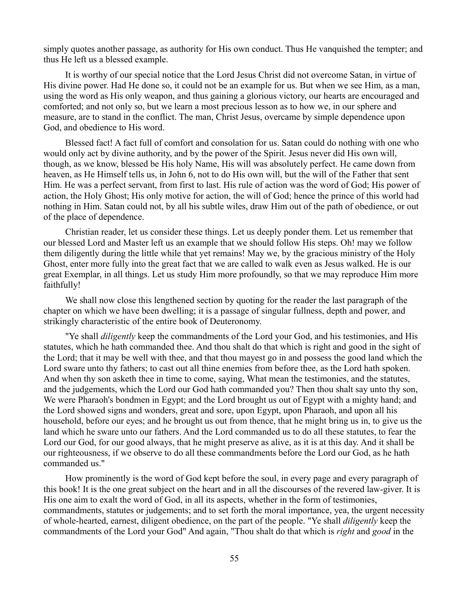simply quotes another passage, as authority for His own conduct. Thus He vanquished the tempter; and thus He left us a blessed example.

It is worthy of our special notice that the Lord Jesus Christ did not overcome Satan, in virtue of His divine power. Had He done so, it could not be an example for us. But when we see Him, as a man, using the word as His only weapon, and thus gaining a glorious victory, our hearts are encouraged and comforted; and not only so, but we learn a most precious lesson as to how we, in our sphere and measure, are to stand in the conflict. The man, Christ Jesus, overcame by simple dependence upon God, and obedience to His word.

Blessed fact! A fact full of comfort and consolation for us. Satan could do nothing with one who would only act by divine authority, and by the power of the Spirit. Jesus never did His own will, though, as we know, blessed be His holy Name, His will was absolutely perfect. He came down from heaven, as He Himself tells us, in John 6, not to do His own will, but the will of the Father that sent Him. He was a perfect servant, from first to last. His rule of action was the word of God; His power of action, the Holy Ghost; His only motive for action, the will of God; hence the prince of this world had nothing in Him. Satan could not, by all his subtle wiles, draw Him out of the path of obedience, or out of the place of dependence.

Christian reader, let us consider these things. Let us deeply ponder them. Let us remember that our blessed Lord and Master left us an example that we should follow His steps. Oh! may we follow them diligently during the little while that yet remains! May we, by the gracious ministry of the Holy Ghost, enter more fully into the great fact that we are called to walk even as Jesus walked. He is our great Exemplar, in all things. Let us study Him more profoundly, so that we may reproduce Him more faithfully!

We shall now close this lengthened section by quoting for the reader the last paragraph of the chapter on which we have been dwelling; it is a passage of singular fullness, depth and power, and strikingly characteristic of the entire book of Deuteronomy.

"Ye shall *diligently* keep the commandments of the Lord your God, and his testimonies, and His statutes, which he hath commanded thee. And thou shalt do that which is right and good in the sight of the Lord; that it may be well with thee, and that thou mayest go in and possess the good land which the Lord sware unto thy fathers; to cast out all thine enemies from before thee, as the Lord hath spoken. And when thy son asketh thee in time to come, saying, What mean the testimonies, and the statutes, and the judgements, which the Lord our God hath commanded you? Then thou shalt say unto thy son, We were Pharaoh's bondmen in Egypt; and the Lord brought us out of Egypt with a mighty hand; and the Lord showed signs and wonders, great and sore, upon Egypt, upon Pharaoh, and upon all his household, before our eyes; and he brought us out from thence, that he might bring us in, to give us the land which he sware unto our fathers. And the Lord commanded us to do all these statutes, to fear the Lord our God, for our good always, that he might preserve as alive, as it is at this day. And it shall be our righteousness, if we observe to do all these commandments before the Lord our God, as he hath commanded us."

How prominently is the word of God kept before the soul, in every page and every paragraph of this book! It is the one great subject on the heart and in all the discourses of the revered law-giver. It is His one aim to exalt the word of God, in all its aspects, whether in the form of testimonies, commandments, statutes or judgements; and to set forth the moral importance, yea, the urgent necessity of whole-hearted, earnest, diligent obedience, on the part of the people. "Ye shall *diligently* keep the commandments of the Lord your God" And again, "Thou shalt do that which is *right* and *good* in the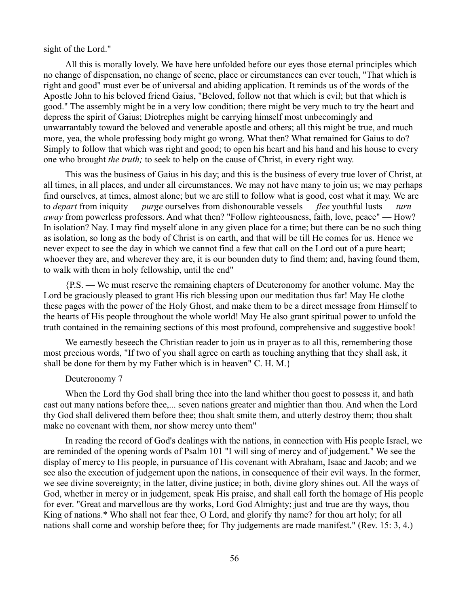sight of the Lord."

All this is morally lovely. We have here unfolded before our eyes those eternal principles which no change of dispensation, no change of scene, place or circumstances can ever touch, "That which is right and good" must ever be of universal and abiding application. It reminds us of the words of the Apostle John to his beloved friend Gaius, "Beloved, follow not that which is evil; but that which is good." The assembly might be in a very low condition; there might be very much to try the heart and depress the spirit of Gaius; Diotrephes might be carrying himself most unbecomingly and unwarrantably toward the beloved and venerable apostle and others; all this might be true, and much more, yea, the whole professing body might go wrong. What then? What remained for Gaius to do? Simply to follow that which was right and good; to open his heart and his hand and his house to every one who brought *the truth;* to seek to help on the cause of Christ, in every right way.

This was the business of Gaius in his day; and this is the business of every true lover of Christ, at all times, in all places, and under all circumstances. We may not have many to join us; we may perhaps find ourselves, at times, almost alone; but we are still to follow what is good, cost what it may. We are to *depart* from iniquity — *purge* ourselves from dishonourable vessels — *flee* youthful lusts — *turn away* from powerless professors. And what then? "Follow righteousness, faith, love, peace" — How? In isolation? Nay. I may find myself alone in any given place for a time; but there can be no such thing as isolation, so long as the body of Christ is on earth, and that will be till He comes for us. Hence we never expect to see the day in which we cannot find a few that call on the Lord out of a pure heart; whoever they are, and wherever they are, it is our bounden duty to find them; and, having found them, to walk with them in holy fellowship, until the end"

{P.S. — We must reserve the remaining chapters of Deuteronomy for another volume. May the Lord be graciously pleased to grant His rich blessing upon our meditation thus far! May He clothe these pages with the power of the Holy Ghost, and make them to be a direct message from Himself to the hearts of His people throughout the whole world! May He also grant spiritual power to unfold the truth contained in the remaining sections of this most profound, comprehensive and suggestive book!

We earnestly beseech the Christian reader to join us in prayer as to all this, remembering those most precious words, "If two of you shall agree on earth as touching anything that they shall ask, it shall be done for them by my Father which is in heaven" C. H. M.}

## Deuteronomy 7

When the Lord thy God shall bring thee into the land whither thou goest to possess it, and hath cast out many nations before thee,... seven nations greater and mightier than thou. And when the Lord thy God shall delivered them before thee; thou shalt smite them, and utterly destroy them; thou shalt make no covenant with them, nor show mercy unto them"

In reading the record of God's dealings with the nations, in connection with His people Israel, we are reminded of the opening words of Psalm 101 "I will sing of mercy and of judgement." We see the display of mercy to His people, in pursuance of His covenant with Abraham, Isaac and Jacob; and we see also the execution of judgement upon the nations, in consequence of their evil ways. In the former, we see divine sovereignty; in the latter, divine justice; in both, divine glory shines out. All the ways of God, whether in mercy or in judgement, speak His praise, and shall call forth the homage of His people for ever. "Great and marvellous are thy works, Lord God Almighty; just and true are thy ways, thou King of nations.\* Who shall not fear thee, O Lord, and glorify thy name? for thou art holy; for all nations shall come and worship before thee; for Thy judgements are made manifest." (Rev. 15: 3, 4.)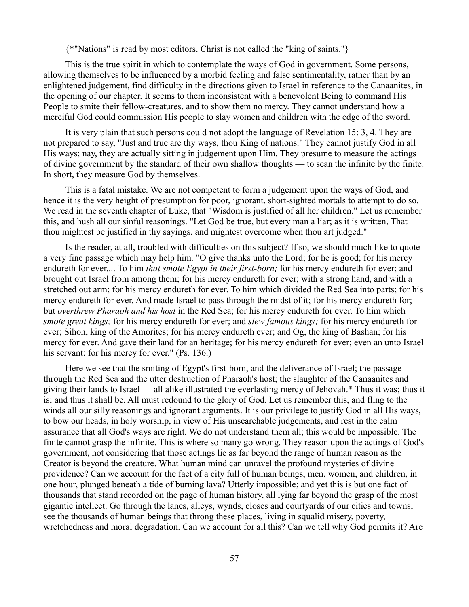{\*"Nations" is read by most editors. Christ is not called the "king of saints."}

This is the true spirit in which to contemplate the ways of God in government. Some persons, allowing themselves to be influenced by a morbid feeling and false sentimentality, rather than by an enlightened judgement, find difficulty in the directions given to Israel in reference to the Canaanites, in the opening of our chapter. It seems to them inconsistent with a benevolent Being to command His People to smite their fellow-creatures, and to show them no mercy. They cannot understand how a merciful God could commission His people to slay women and children with the edge of the sword.

It is very plain that such persons could not adopt the language of Revelation 15: 3, 4. They are not prepared to say, "Just and true are thy ways, thou King of nations." They cannot justify God in all His ways; nay, they are actually sitting in judgement upon Him. They presume to measure the actings of divine government by the standard of their own shallow thoughts — to scan the infinite by the finite. In short, they measure God by themselves.

This is a fatal mistake. We are not competent to form a judgement upon the ways of God, and hence it is the very height of presumption for poor, ignorant, short-sighted mortals to attempt to do so. We read in the seventh chapter of Luke, that "Wisdom is justified of all her children." Let us remember this, and hush all our sinful reasonings. "Let God be true, but every man a liar; as it is written, That thou mightest be justified in thy sayings, and mightest overcome when thou art judged."

Is the reader, at all, troubled with difficulties on this subject? If so, we should much like to quote a very fine passage which may help him. "O give thanks unto the Lord; for he is good; for his mercy endureth for ever.... To him *that smote Egypt in their first-born;* for his mercy endureth for ever; and brought out Israel from among them; for his mercy endureth for ever; with a strong hand, and with a stretched out arm; for his mercy endureth for ever. To him which divided the Red Sea into parts; for his mercy endureth for ever. And made Israel to pass through the midst of it; for his mercy endureth for; but *overthrew Pharaoh and his host* in the Red Sea; for his mercy endureth for ever. To him which *smote great kings;* for his mercy endureth for ever; and *slew famous kings;* for his mercy endureth for ever; Sihon, king of the Amorites; for his mercy endureth ever; and Og, the king of Bashan; for his mercy for ever. And gave their land for an heritage; for his mercy endureth for ever; even an unto Israel his servant; for his mercy for ever." (Ps. 136.)

Here we see that the smiting of Egypt's first-born, and the deliverance of Israel; the passage through the Red Sea and the utter destruction of Pharaoh's host; the slaughter of the Canaanites and giving their lands to Israel — all alike illustrated the everlasting mercy of Jehovah.\* Thus it was; thus it is; and thus it shall be. All must redound to the glory of God. Let us remember this, and fling to the winds all our silly reasonings and ignorant arguments. It is our privilege to justify God in all His ways, to bow our heads, in holy worship, in view of His unsearchable judgements, and rest in the calm assurance that all God's ways are right. We do not understand them all; this would be impossible. The finite cannot grasp the infinite. This is where so many go wrong. They reason upon the actings of God's government, not considering that those actings lie as far beyond the range of human reason as the Creator is beyond the creature. What human mind can unravel the profound mysteries of divine providence? Can we account for the fact of a city full of human beings, men, women, and children, in one hour, plunged beneath a tide of burning lava? Utterly impossible; and yet this is but one fact of thousands that stand recorded on the page of human history, all lying far beyond the grasp of the most gigantic intellect. Go through the lanes, alleys, wynds, closes and courtyards of our cities and towns; see the thousands of human beings that throng these places, living in squalid misery, poverty, wretchedness and moral degradation. Can we account for all this? Can we tell why God permits it? Are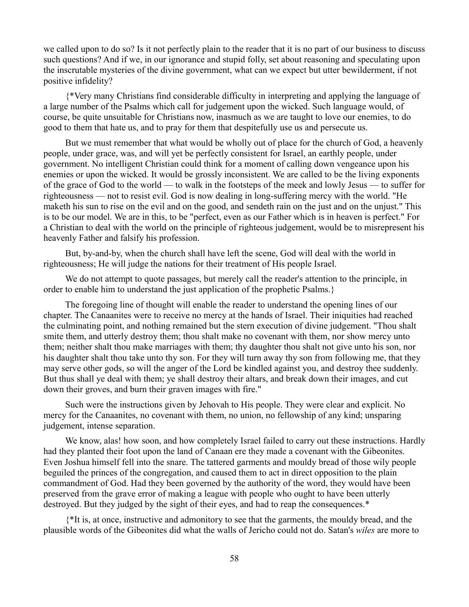we called upon to do so? Is it not perfectly plain to the reader that it is no part of our business to discuss such questions? And if we, in our ignorance and stupid folly, set about reasoning and speculating upon the inscrutable mysteries of the divine government, what can we expect but utter bewilderment, if not positive infidelity?

{\*Very many Christians find considerable difficulty in interpreting and applying the language of a large number of the Psalms which call for judgement upon the wicked. Such language would, of course, be quite unsuitable for Christians now, inasmuch as we are taught to love our enemies, to do good to them that hate us, and to pray for them that despitefully use us and persecute us.

But we must remember that what would be wholly out of place for the church of God, a heavenly people, under grace, was, and will yet be perfectly consistent for Israel, an earthly people, under government. No intelligent Christian could think for a moment of calling down vengeance upon his enemies or upon the wicked. It would be grossly inconsistent. We are called to be the living exponents of the grace of God to the world — to walk in the footsteps of the meek and lowly Jesus — to suffer for righteousness — not to resist evil. God is now dealing in long-suffering mercy with the world. "He maketh his sun to rise on the evil and on the good, and sendeth rain on the just and on the unjust." This is to be our model. We are in this, to be "perfect, even as our Father which is in heaven is perfect." For a Christian to deal with the world on the principle of righteous judgement, would be to misrepresent his heavenly Father and falsify his profession.

But, by-and-by, when the church shall have left the scene, God will deal with the world in righteousness; He will judge the nations for their treatment of His people Israel.

We do not attempt to quote passages, but merely call the reader's attention to the principle, in order to enable him to understand the just application of the prophetic Psalms.}

The foregoing line of thought will enable the reader to understand the opening lines of our chapter. The Canaanites were to receive no mercy at the hands of Israel. Their iniquities had reached the culminating point, and nothing remained but the stern execution of divine judgement. "Thou shalt smite them, and utterly destroy them; thou shalt make no covenant with them, nor show mercy unto them; neither shalt thou make marriages with them; thy daughter thou shalt not give unto his son, nor his daughter shalt thou take unto thy son. For they will turn away thy son from following me, that they may serve other gods, so will the anger of the Lord be kindled against you, and destroy thee suddenly. But thus shall ye deal with them; ye shall destroy their altars, and break down their images, and cut down their groves, and burn their graven images with fire."

Such were the instructions given by Jehovah to His people. They were clear and explicit. No mercy for the Canaanites, no covenant with them, no union, no fellowship of any kind; unsparing judgement, intense separation.

We know, alas! how soon, and how completely Israel failed to carry out these instructions. Hardly had they planted their foot upon the land of Canaan ere they made a covenant with the Gibeonites. Even Joshua himself fell into the snare. The tattered garments and mouldy bread of those wily people beguiled the princes of the congregation, and caused them to act in direct opposition to the plain commandment of God. Had they been governed by the authority of the word, they would have been preserved from the grave error of making a league with people who ought to have been utterly destroyed. But they judged by the sight of their eyes, and had to reap the consequences.\*

{\*It is, at once, instructive and admonitory to see that the garments, the mouldy bread, and the plausible words of the Gibeonites did what the walls of Jericho could not do. Satan's *wiles* are more to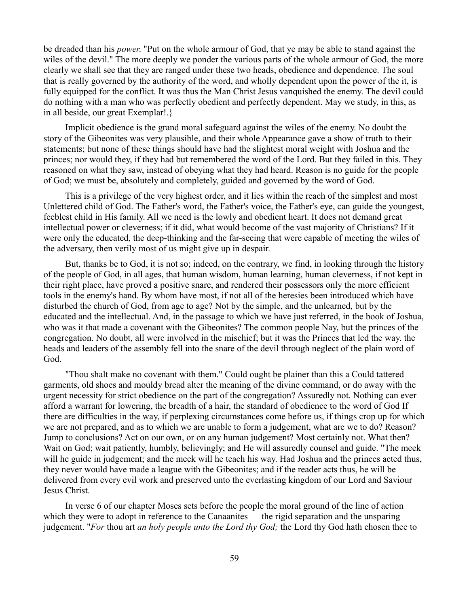be dreaded than his *power*. "Put on the whole armour of God, that ye may be able to stand against the wiles of the devil." The more deeply we ponder the various parts of the whole armour of God, the more clearly we shall see that they are ranged under these two heads, obedience and dependence. The soul that is really governed by the authority of the word, and wholly dependent upon the power of the it, is fully equipped for the conflict. It was thus the Man Christ Jesus vanquished the enemy. The devil could do nothing with a man who was perfectly obedient and perfectly dependent. May we study, in this, as in all beside, our great Exemplar!.}

Implicit obedience is the grand moral safeguard against the wiles of the enemy. No doubt the story of the Gibeonites was very plausible, and their whole Appearance gave a show of truth to their statements; but none of these things should have had the slightest moral weight with Joshua and the princes; nor would they, if they had but remembered the word of the Lord. But they failed in this. They reasoned on what they saw, instead of obeying what they had heard. Reason is no guide for the people of God; we must be, absolutely and completely, guided and governed by the word of God.

This is a privilege of the very highest order, and it lies within the reach of the simplest and most Unlettered child of God. The Father's word, the Father's voice, the Father's eye, can guide the youngest, feeblest child in His family. All we need is the lowly and obedient heart. It does not demand great intellectual power or cleverness; if it did, what would become of the vast majority of Christians? If it were only the educated, the deep-thinking and the far-seeing that were capable of meeting the wiles of the adversary, then verily most of us might give up in despair.

But, thanks be to God, it is not so; indeed, on the contrary, we find, in looking through the history of the people of God, in all ages, that human wisdom, human learning, human cleverness, if not kept in their right place, have proved a positive snare, and rendered their possessors only the more efficient tools in the enemy's hand. By whom have most, if not all of the heresies been introduced which have disturbed the church of God, from age to age? Not by the simple, and the unlearned, but by the educated and the intellectual. And, in the passage to which we have just referred, in the book of Joshua, who was it that made a covenant with the Gibeonites? The common people Nay, but the princes of the congregation. No doubt, all were involved in the mischief; but it was the Princes that led the way. the heads and leaders of the assembly fell into the snare of the devil through neglect of the plain word of God.

"Thou shalt make no covenant with them." Could ought be plainer than this a Could tattered garments, old shoes and mouldy bread alter the meaning of the divine command, or do away with the urgent necessity for strict obedience on the part of the congregation? Assuredly not. Nothing can ever afford a warrant for lowering, the breadth of a hair, the standard of obedience to the word of God If there are difficulties in the way, if perplexing circumstances come before us, if things crop up for which we are not prepared, and as to which we are unable to form a judgement, what are we to do? Reason? Jump to conclusions? Act on our own, or on any human judgement? Most certainly not. What then? Wait on God; wait patiently, humbly, believingly; and He will assuredly counsel and guide. "The meek will he guide in judgement; and the meek will he teach his way. Had Joshua and the princes acted thus, they never would have made a league with the Gibeonites; and if the reader acts thus, he will be delivered from every evil work and preserved unto the everlasting kingdom of our Lord and Saviour Jesus Christ.

In verse 6 of our chapter Moses sets before the people the moral ground of the line of action which they were to adopt in reference to the Canaanites — the rigid separation and the unsparing judgement. "*For* thou art *an holy people unto the Lord thy God;* the Lord thy God hath chosen thee to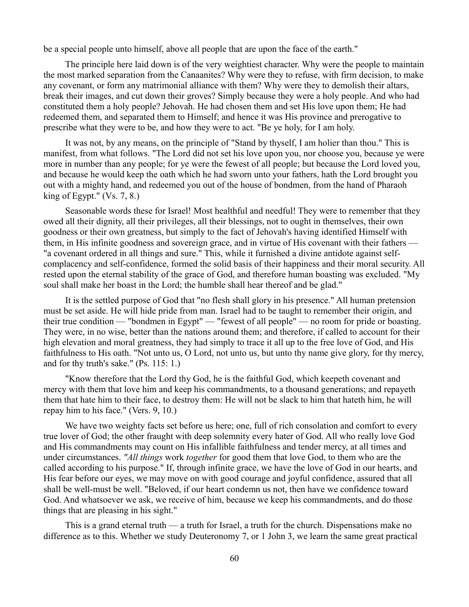be a special people unto himself, above all people that are upon the face of the earth."

The principle here laid down is of the very weightiest character. Why were the people to maintain the most marked separation from the Canaanites? Why were they to refuse, with firm decision, to make any covenant, or form any matrimonial alliance with them? Why were they to demolish their altars, break their images, and cut down their groves? Simply because they were a holy people. And who had constituted them a holy people? Jehovah. He had chosen them and set His love upon them; He had redeemed them, and separated them to Himself; and hence it was His province and prerogative to prescribe what they were to be, and how they were to act. "Be ye holy, for I am holy.

It was not, by any means, on the principle of "Stand by thyself, I am holier than thou." This is manifest, from what follows. "The Lord did not set his love upon you, nor choose you, because ye were more in number than any people; for ye were the fewest of all people; but because the Lord loved you, and because he would keep the oath which he had sworn unto your fathers, hath the Lord brought you out with a mighty hand, and redeemed you out of the house of bondmen, from the hand of Pharaoh king of Egypt."  $(Vs. 7, 8.)$ 

Seasonable words these for Israel! Most healthful and needful! They were to remember that they owed all their dignity, all their privileges, all their blessings, not to ought in themselves, their own goodness or their own greatness, but simply to the fact of Jehovah's having identified Himself with them, in His infinite goodness and sovereign grace, and in virtue of His covenant with their fathers — "a covenant ordered in all things and sure." This, while it furnished a divine antidote against selfcomplacency and self-confidence, formed the solid basis of their happiness and their moral security. All rested upon the eternal stability of the grace of God, and therefore human boasting was excluded. "My soul shall make her boast in the Lord; the humble shall hear thereof and be glad."

It is the settled purpose of God that "no flesh shall glory in his presence." All human pretension must be set aside. He will hide pride from man. Israel had to be taught to remember their origin, and their true condition — "bondmen in Egypt" — "fewest of all people" — no room for pride or boasting. They were, in no wise, better than the nations around them; and therefore, if called to account for their high elevation and moral greatness, they had simply to trace it all up to the free love of God, and His faithfulness to His oath. "Not unto us, O Lord, not unto us, but unto thy name give glory, for thy mercy, and for thy truth's sake." (Ps. 115: 1.)

"Know therefore that the Lord thy God, he is the faithful God, which keepeth covenant and mercy with them that love him and keep his commandments, to a thousand generations; and repayeth them that hate him to their face, to destroy them: He will not be slack to him that hateth him, he will repay him to his face." (Vers. 9, 10.)

We have two weighty facts set before us here; one, full of rich consolation and comfort to every true lover of God; the other fraught with deep solemnity every hater of God. All who really love God and His commandments may count on His infallible faithfulness and tender mercy, at all times and under circumstances. *"All things* work *together* for good them that love God, to them who are the called according to his purpose." If, through infinite grace, we have the love of God in our hearts, and His fear before our eyes, we may move on with good courage and joyful confidence, assured that all shall be well-must be well. "Beloved, if our heart condemn us not, then have we confidence toward God. And whatsoever we ask, we receive of him, because we keep his commandments, and do those things that are pleasing in his sight."

This is a grand eternal truth — a truth for Israel, a truth for the church. Dispensations make no difference as to this. Whether we study Deuteronomy 7, or 1 John 3, we learn the same great practical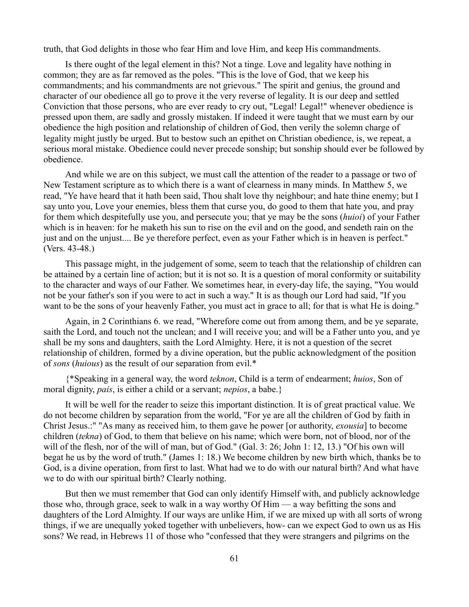truth, that God delights in those who fear Him and love Him, and keep His commandments.

Is there ought of the legal element in this? Not a tinge. Love and legality have nothing in common; they are as far removed as the poles. "This is the love of God, that we keep his commandments; and his commandments are not grievous." The spirit and genius, the ground and character of our obedience all go to prove it the very reverse of legality. It is our deep and settled Conviction that those persons, who are ever ready to cry out, "Legal! Legal!" whenever obedience is pressed upon them, are sadly and grossly mistaken. If indeed it were taught that we must earn by our obedience the high position and relationship of children of God, then verily the solemn charge of legality might justly be urged. But to bestow such an epithet on Christian obedience, is, we repeat, a serious moral mistake. Obedience could never precede sonship; but sonship should ever be followed by obedience.

And while we are on this subject, we must call the attention of the reader to a passage or two of New Testament scripture as to which there is a want of clearness in many minds. In Matthew 5, we read, "Ye have heard that it hath been said, Thou shalt love thy neighbour; and hate thine enemy; but I say unto you, Love your enemies, bless them that curse you, do good to them that hate you, and pray for them which despitefully use you, and persecute you; that ye may be the sons (*huioi*) of your Father which is in heaven: for he maketh his sun to rise on the evil and on the good, and sendeth rain on the just and on the unjust.... Be ye therefore perfect, even as your Father which is in heaven is perfect." (Vers. 43-48.)

This passage might, in the judgement of some, seem to teach that the relationship of children can be attained by a certain line of action; but it is not so. It is a question of moral conformity or suitability to the character and ways of our Father. We sometimes hear, in every-day life, the saying, "You would not be your father's son if you were to act in such a way." It is as though our Lord had said, "If you want to be the sons of your heavenly Father, you must act in grace to all; for that is what He is doing."

Again, in 2 Corinthians 6. we read, "Wherefore come out from among them, and be ye separate, saith the Lord, and touch not the unclean; and I will receive you; and will be a Father unto you, and ye shall be my sons and daughters, saith the Lord Almighty. Here, it is not a question of the secret relationship of children, formed by a divine operation, but the public acknowledgment of the position of *sons* (*huious*) as the result of our separation from evil.\*

{\*Speaking in a general way, the word *teknon*, Child is a term of endearment; *huios*, Son of moral dignity, *pais*, is either a child or a servant; *nepios*, a babe.}

It will be well for the reader to seize this important distinction. It is of great practical value. We do not become children by separation from the world, "For ye are all the children of God by faith in Christ Jesus.:" "As many as received him, to them gave he power [or authority, *exousia*] to become children (*tekna*) of God, to them that believe on his name; which were born, not of blood, nor of the will of the flesh, nor of the will of man, but of God." (Gal. 3: 26; John 1: 12, 13.) "Of his own will begat he us by the word of truth." (James 1: 18.) We become children by new birth which, thanks be to God, is a divine operation, from first to last. What had we to do with our natural birth? And what have we to do with our spiritual birth? Clearly nothing.

But then we must remember that God can only identify Himself with, and publicly acknowledge those who, through grace, seek to walk in a way worthy Of Him — a way befitting the sons and daughters of the Lord Almighty. If our ways are unlike Him, if we are mixed up with all sorts of wrong things, if we are unequally yoked together with unbelievers, how- can we expect God to own us as His sons? We read, in Hebrews 11 of those who "confessed that they were strangers and pilgrims on the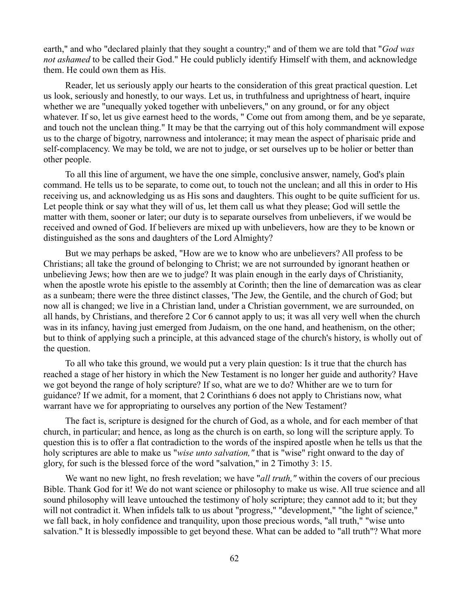earth," and who "declared plainly that they sought a country;" and of them we are told that "*God was not ashamed* to be called their God." He could publicly identify Himself with them, and acknowledge them. He could own them as His.

Reader, let us seriously apply our hearts to the consideration of this great practical question. Let us look, seriously and honestly, to our ways. Let us, in truthfulness and uprightness of heart, inquire whether we are "unequally yoked together with unbelievers," on any ground, or for any object whatever. If so, let us give earnest heed to the words, " Come out from among them, and be ye separate, and touch not the unclean thing." It may be that the carrying out of this holy commandment will expose us to the charge of bigotry, narrowness and intolerance; it may mean the aspect of pharisaic pride and self-complacency. We may be told, we are not to judge, or set ourselves up to be holier or better than other people.

To all this line of argument, we have the one simple, conclusive answer, namely, God's plain command. He tells us to be separate, to come out, to touch not the unclean; and all this in order to His receiving us, and acknowledging us as His sons and daughters. This ought to be quite sufficient for us. Let people think or say what they will of us, let them call us what they please; God will settle the matter with them, sooner or later; our duty is to separate ourselves from unbelievers, if we would be received and owned of God. If believers are mixed up with unbelievers, how are they to be known or distinguished as the sons and daughters of the Lord Almighty?

But we may perhaps be asked, "How are we to know who are unbelievers? All profess to be Christians; all take the ground of belonging to Christ; we are not surrounded by ignorant heathen or unbelieving Jews; how then are we to judge? It was plain enough in the early days of Christianity, when the apostle wrote his epistle to the assembly at Corinth; then the line of demarcation was as clear as a sunbeam; there were the three distinct classes, 'The Jew, the Gentile, and the church of God; but now all is changed; we live in a Christian land, under a Christian government, we are surrounded, on all hands, by Christians, and therefore 2 Cor 6 cannot apply to us; it was all very well when the church was in its infancy, having just emerged from Judaism, on the one hand, and heathenism, on the other; but to think of applying such a principle, at this advanced stage of the church's history, is wholly out of the question.

To all who take this ground, we would put a very plain question: Is it true that the church has reached a stage of her history in which the New Testament is no longer her guide and authority? Have we got beyond the range of holy scripture? If so, what are we to do? Whither are we to turn for guidance? If we admit, for a moment, that 2 Corinthians 6 does not apply to Christians now, what warrant have we for appropriating to ourselves any portion of the New Testament?

The fact is, scripture is designed for the church of God, as a whole, and for each member of that church, in particular; and hence, as long as the church is on earth, so long will the scripture apply. To question this is to offer a flat contradiction to the words of the inspired apostle when he tells us that the holy scriptures are able to make us "*wise unto salvation,"* that is "wise" right onward to the day of glory, for such is the blessed force of the word "salvation," in 2 Timothy 3: 15.

We want no new light, no fresh revelation; we have "*all truth,"* within the covers of our precious Bible. Thank God for it! We do not want science or philosophy to make us wise. All true science and all sound philosophy will leave untouched the testimony of holy scripture; they cannot add to it; but they will not contradict it. When infidels talk to us about "progress," "development," "the light of science," we fall back, in holy confidence and tranquility, upon those precious words, "all truth," "wise unto salvation." It is blessedly impossible to get beyond these. What can be added to "all truth"? What more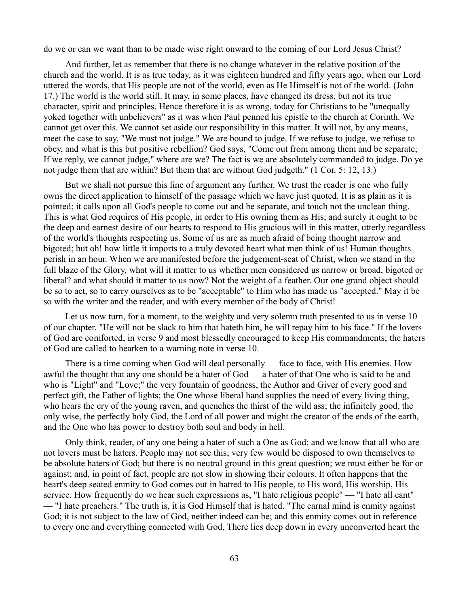do we or can we want than to be made wise right onward to the coming of our Lord Jesus Christ?

And further, let as remember that there is no change whatever in the relative position of the church and the world. It is as true today, as it was eighteen hundred and fifty years ago, when our Lord uttered the words, that His people are not of the world, even as He Himself is not of the world. (John 17.) The world is the world still. It may, in some places, have changed its dress, but not its true character, spirit and principles. Hence therefore it is as wrong, today for Christians to be "unequally yoked together with unbelievers" as it was when Paul penned his epistle to the church at Corinth. We cannot get over this. We cannot set aside our responsibility in this matter. It will not, by any means, meet the case to say, "We must not judge." We are bound to judge. If we refuse to judge, we refuse to obey, and what is this but positive rebellion? God says, "Come out from among them and be separate; If we reply, we cannot judge," where are we? The fact is we are absolutely commanded to judge. Do ye not judge them that are within? But them that are without God judgeth." (1 Cor. 5: 12, 13.)

But we shall not pursue this line of argument any further. We trust the reader is one who fully owns the direct application to himself of the passage which we have just quoted. It is as plain as it is pointed; it calls upon all God's people to come out and be separate, and touch not the unclean thing. This is what God requires of His people, in order to His owning them as His; and surely it ought to be the deep and earnest desire of our hearts to respond to His gracious will in this matter, utterly regardless of the world's thoughts respecting us. Some of us are as much afraid of being thought narrow and bigoted; but oh! how little it imports to a truly devoted heart what men think of us! Human thoughts perish in an hour. When we are manifested before the judgement-seat of Christ, when we stand in the full blaze of the Glory, what will it matter to us whether men considered us narrow or broad, bigoted or liberal? and what should it matter to us now? Not the weight of a feather. Our one grand object should be so to act, so to carry ourselves as to be "acceptable" to Him who has made us "accepted." May it be so with the writer and the reader, and with every member of the body of Christ!

Let us now turn, for a moment, to the weighty and very solemn truth presented to us in verse 10 of our chapter. "He will not be slack to him that hateth him, he will repay him to his face." If the lovers of God are comforted, in verse 9 and most blessedly encouraged to keep His commandments; the haters of God are called to hearken to a warning note in verse 10.

There is a time coming when God will deal personally — face to face, with His enemies. How awful the thought that any one should be a hater of God — a hater of that One who is said to be and who is "Light" and "Love;" the very fountain of goodness, the Author and Giver of every good and perfect gift, the Father of lights; the One whose liberal hand supplies the need of every living thing, who hears the cry of the young raven, and quenches the thirst of the wild ass; the infinitely good, the only wise, the perfectly holy God, the Lord of all power and might the creator of the ends of the earth, and the One who has power to destroy both soul and body in hell.

Only think, reader, of any one being a hater of such a One as God; and we know that all who are not lovers must be haters. People may not see this; very few would be disposed to own themselves to be absolute haters of God; but there is no neutral ground in this great question; we must either be for or against; and, in point of fact, people are not slow in showing their colours. It often happens that the heart's deep seated enmity to God comes out in hatred to His people, to His word, His worship, His service. How frequently do we hear such expressions as, "I hate religious people" — "I hate all cant" — "I hate preachers." The truth is, it is God Himself that is hated. "The carnal mind is enmity against God; it is not subject to the law of God, neither indeed can be; and this enmity comes out in reference to every one and everything connected with God, There lies deep down in every unconverted heart the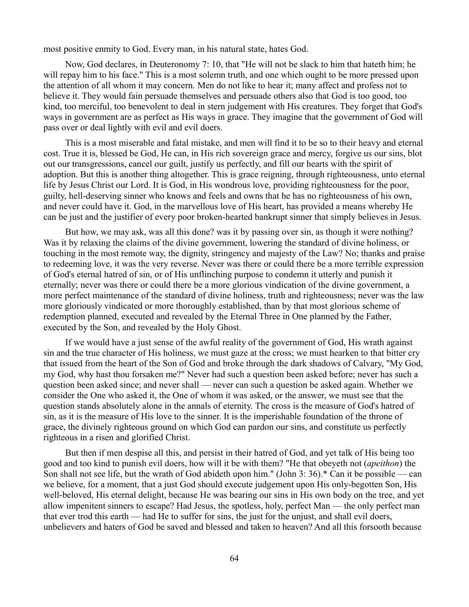most positive enmity to God. Every man, in his natural state, hates God.

Now, God declares, in Deuteronomy 7: 10, that "He will not be slack to him that hateth him; he will repay him to his face." This is a most solemn truth, and one which ought to be more pressed upon the attention of all whom it may concern. Men do not like to hear it; many affect and profess not to believe it. They would fain persuade themselves and persuade others also that God is too good, too kind, too merciful, too benevolent to deal in stern judgement with His creatures. They forget that God's ways in government are as perfect as His ways in grace. They imagine that the government of God will pass over or deal lightly with evil and evil doers.

This is a most miserable and fatal mistake, and men will find it to be so to their heavy and eternal cost. True it is, blessed be God, He can, in His rich sovereign grace and mercy, forgive us our sins, blot out our transgressions, cancel our guilt, justify us perfectly, and fill our hearts with the spirit of adoption. But this is another thing altogether. This is grace reigning, through righteousness, unto eternal life by Jesus Christ our Lord. It is God, in His wondrous love, providing righteousness for the poor, guilty, hell-deserving sinner who knows and feels and owns that he has no righteousness of his own, and never could have it. God, in the marvellous love of His heart, has provided a means whereby He can be just and the justifier of every poor broken-hearted bankrupt sinner that simply believes in Jesus.

But how, we may ask, was all this done? was it by passing over sin, as though it were nothing? Was it by relaxing the claims of the divine government, lowering the standard of divine holiness, or touching in the most remote way, the dignity, stringency and majesty of the Law? No; thanks and praise to redeeming love, it was the very reverse. Never was there or could there be a more terrible expression of God's eternal hatred of sin, or of His unflinching purpose to condemn it utterly and punish it eternally; never was there or could there be a more glorious vindication of the divine government, a more perfect maintenance of the standard of divine holiness, truth and righteousness; never was the law more gloriously vindicated or more thoroughly established, than by that most glorious scheme of redemption planned, executed and revealed by the Eternal Three in One planned by the Father, executed by the Son, and revealed by the Holy Ghost.

If we would have a just sense of the awful reality of the government of God, His wrath against sin and the true character of His holiness, we must gaze at the cross; we must hearken to that bitter cry that issued from the heart of the Son of God and broke through the dark shadows of Calvary, "My God, my God, why hast thou forsaken me?" Never had such a question been asked before; never has such a question been asked since; and never shall — never can such a question be asked again. Whether we consider the One who asked it, the One of whom it was asked, or the answer, we must see that the question stands absolutely alone in the annals of eternity. The cross is the measure of God's hatred of sin, as it is the measure of His love to the sinner. It is the imperishable foundation of the throne of grace, the divinely righteous ground on which God can pardon our sins, and constitute us perfectly righteous in a risen and glorified Christ.

But then if men despise all this, and persist in their hatred of God, and yet talk of His being too good and too kind to punish evil doers, how will it be with them? "He that obeyeth not (*apeithon*) the Son shall not see life, but the wrath of God abideth upon him." (John 3: 36).\* Can it be possible — can we believe, for a moment, that a just God should execute judgement upon His only-begotten Son, His well-beloved, His eternal delight, because He was bearing our sins in His own body on the tree, and yet allow impenitent sinners to escape? Had Jesus, the spotless, holy, perfect Man — the only perfect man that ever trod this earth — had He to suffer for sins, the just for the unjust, and shall evil doers, unbelievers and haters of God be saved and blessed and taken to heaven? And all this forsooth because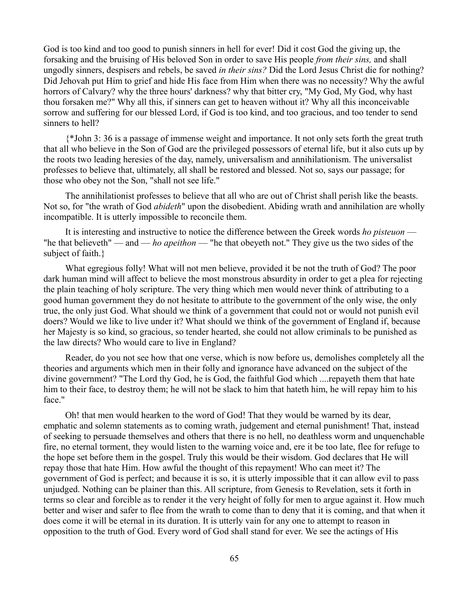God is too kind and too good to punish sinners in hell for ever! Did it cost God the giving up, the forsaking and the bruising of His beloved Son in order to save His people *from their sins,* and shall ungodly sinners, despisers and rebels, be saved *in their sins?* Did the Lord Jesus Christ die for nothing? Did Jehovah put Him to grief and hide His face from Him when there was no necessity? Why the awful horrors of Calvary? why the three hours' darkness? why that bitter cry, "My God, My God, why hast thou forsaken me?" Why all this, if sinners can get to heaven without it? Why all this inconceivable sorrow and suffering for our blessed Lord, if God is too kind, and too gracious, and too tender to send sinners to hell?

{\*John 3: 36 is a passage of immense weight and importance. It not only sets forth the great truth that all who believe in the Son of God are the privileged possessors of eternal life, but it also cuts up by the roots two leading heresies of the day, namely, universalism and annihilationism. The universalist professes to believe that, ultimately, all shall be restored and blessed. Not so, says our passage; for those who obey not the Son, "shall not see life."

The annihilationist professes to believe that all who are out of Christ shall perish like the beasts. Not so, for "the wrath of God *abideth*" upon the disobedient. Abiding wrath and annihilation are wholly incompatible. It is utterly impossible to reconcile them.

It is interesting and instructive to notice the difference between the Greek words *ho pisteuon* — "he that believeth" — and — *ho apeithon* — "he that obeyeth not." They give us the two sides of the subject of faith.}

What egregious folly! What will not men believe, provided it be not the truth of God? The poor dark human mind will affect to believe the most monstrous absurdity in order to get a plea for rejecting the plain teaching of holy scripture. The very thing which men would never think of attributing to a good human government they do not hesitate to attribute to the government of the only wise, the only true, the only just God. What should we think of a government that could not or would not punish evil doers? Would we like to live under it? What should we think of the government of England if, because her Majesty is so kind, so gracious, so tender hearted, she could not allow criminals to be punished as the law directs? Who would care to live in England?

Reader, do you not see how that one verse, which is now before us, demolishes completely all the theories and arguments which men in their folly and ignorance have advanced on the subject of the divine government? "The Lord thy God, he is God, the faithful God which ....repayeth them that hate him to their face, to destroy them; he will not be slack to him that hateth him, he will repay him to his face."

Oh! that men would hearken to the word of God! That they would be warned by its dear, emphatic and solemn statements as to coming wrath, judgement and eternal punishment! That, instead of seeking to persuade themselves and others that there is no hell, no deathless worm and unquenchable fire, no eternal torment, they would listen to the warning voice and, ere it be too late, flee for refuge to the hope set before them in the gospel. Truly this would be their wisdom. God declares that He will repay those that hate Him. How awful the thought of this repayment! Who can meet it? The government of God is perfect; and because it is so, it is utterly impossible that it can allow evil to pass unjudged. Nothing can be plainer than this. All scripture, from Genesis to Revelation, sets it forth in terms so clear and forcible as to render it the very height of folly for men to argue against it. How much better and wiser and safer to flee from the wrath to come than to deny that it is coming, and that when it does come it will be eternal in its duration. It is utterly vain for any one to attempt to reason in opposition to the truth of God. Every word of God shall stand for ever. We see the actings of His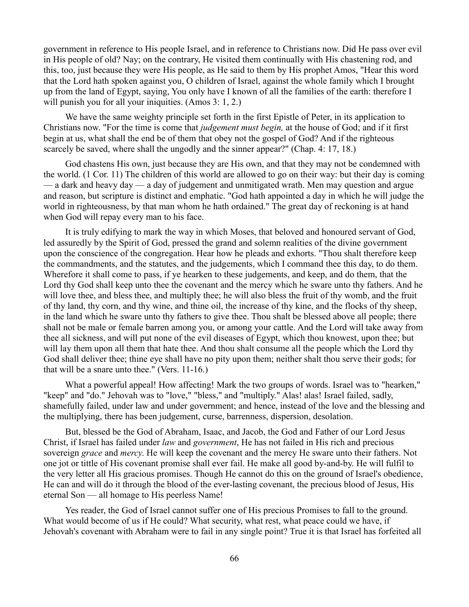government in reference to His people Israel, and in reference to Christians now. Did He pass over evil in His people of old? Nay; on the contrary, He visited them continually with His chastening rod, and this, too, just because they were His people, as He said to them by His prophet Amos, "Hear this word that the Lord hath spoken against you, O children of Israel, against the whole family which I brought up from the land of Egypt, saying, You only have I known of all the families of the earth: therefore I will punish you for all your iniquities. (Amos 3: 1, 2.)

We have the same weighty principle set forth in the first Epistle of Peter, in its application to Christians now. "For the time is come that *judgement must begin,* at the house of God; and if it first begin at us, what shall the end be of them that obey not the gospel of God? And if the righteous scarcely be saved, where shall the ungodly and the sinner appear?" (Chap. 4: 17, 18.)

God chastens His own, just because they are His own, and that they may not be condemned with the world. (1 Cor. 11) The children of this world are allowed to go on their way: but their day is coming — a dark and heavy day — a day of judgement and unmitigated wrath. Men may question and argue and reason, but scripture is distinct and emphatic. "God hath appointed a day in which he will judge the world in righteousness, by that man whom he hath ordained." The great day of reckoning is at hand when God will repay every man to his face.

It is truly edifying to mark the way in which Moses, that beloved and honoured servant of God, led assuredly by the Spirit of God, pressed the grand and solemn realities of the divine government upon the conscience of the congregation. Hear how he pleads and exhorts. "Thou shalt therefore keep the commandments, and the statutes, and the judgements, which I command thee this day, to do them. Wherefore it shall come to pass, if ye hearken to these judgements, and keep, and do them, that the Lord thy God shall keep unto thee the covenant and the mercy which he sware unto thy fathers. And he will love thee, and bless thee, and multiply thee; he will also bless the fruit of thy womb, and the fruit of thy land, thy corn, and thy wine, and thine oil, the increase of thy kine, and the flocks of thy sheep, in the land which he sware unto thy fathers to give thee. Thou shalt be blessed above all people; there shall not be male or female barren among you, or among your cattle. And the Lord will take away from thee all sickness, and will put none of the evil diseases of Egypt, which thou knowest, upon thee; but will lay them upon all them that hate thee. And thou shalt consume all the people which the Lord thy God shall deliver thee; thine eye shall have no pity upon them; neither shalt thou serve their gods; for that will be a snare unto thee." (Vers. 11-16.)

What a powerful appeal! How affecting! Mark the two groups of words. Israel was to "hearken," "keep" and "do." Jehovah was to "love," "bless," and "multiply." Alas! alas! Israel failed, sadly, shamefully failed, under law and under government; and hence, instead of the love and the blessing and the multiplying, there has been judgement, curse, barrenness, dispersion, desolation.

But, blessed be the God of Abraham, Isaac, and Jacob, the God and Father of our Lord Jesus Christ, if Israel has failed under *law* and *government*, He has not failed in His rich and precious sovereign *grace* and *mercy*. He will keep the covenant and the mercy He sware unto their fathers. Not one jot or tittle of His covenant promise shall ever fail. He make all good by-and-by. He will fulfil to the very letter all His gracious promises. Though He cannot do this on the ground of Israel's obedience, He can and will do it through the blood of the ever-lasting covenant, the precious blood of Jesus, His eternal Son — all homage to His peerless Name!

Yes reader, the God of Israel cannot suffer one of His precious Promises to fall to the ground. What would become of us if He could? What security, what rest, what peace could we have, if Jehovah's covenant with Abraham were to fail in any single point? True it is that Israel has forfeited all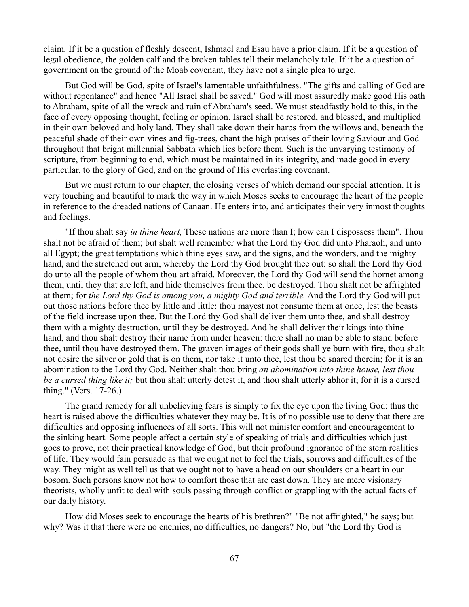claim. If it be a question of fleshly descent, Ishmael and Esau have a prior claim. If it be a question of legal obedience, the golden calf and the broken tables tell their melancholy tale. If it be a question of government on the ground of the Moab covenant, they have not a single plea to urge.

But God will be God, spite of Israel's lamentable unfaithfulness. "The gifts and calling of God are without repentance" and hence "All Israel shall be saved." God will most assuredly make good His oath to Abraham, spite of all the wreck and ruin of Abraham's seed. We must steadfastly hold to this, in the face of every opposing thought, feeling or opinion. Israel shall be restored, and blessed, and multiplied in their own beloved and holy land. They shall take down their harps from the willows and, beneath the peaceful shade of their own vines and fig-trees, chant the high praises of their loving Saviour and God throughout that bright millennial Sabbath which lies before them. Such is the unvarying testimony of scripture, from beginning to end, which must be maintained in its integrity, and made good in every particular, to the glory of God, and on the ground of His everlasting covenant.

But we must return to our chapter, the closing verses of which demand our special attention. It is very touching and beautiful to mark the way in which Moses seeks to encourage the heart of the people in reference to the dreaded nations of Canaan. He enters into, and anticipates their very inmost thoughts and feelings.

"If thou shalt say *in thine heart,* These nations are more than I; how can I dispossess them". Thou shalt not be afraid of them; but shalt well remember what the Lord thy God did unto Pharaoh, and unto all Egypt; the great temptations which thine eyes saw, and the signs, and the wonders, and the mighty hand, and the stretched out arm, whereby the Lord thy God brought thee out: so shall the Lord thy God do unto all the people of whom thou art afraid. Moreover, the Lord thy God will send the hornet among them, until they that are left, and hide themselves from thee, be destroyed. Thou shalt not be affrighted at them; for *the Lord thy God is among you, a mighty God and terrible.* And the Lord thy God will put out those nations before thee by little and little: thou mayest not consume them at once, lest the beasts of the field increase upon thee. But the Lord thy God shall deliver them unto thee, and shall destroy them with a mighty destruction, until they be destroyed. And he shall deliver their kings into thine hand, and thou shalt destroy their name from under heaven: there shall no man be able to stand before thee, until thou have destroyed them. The graven images of their gods shall ye burn with fire, thou shalt not desire the silver or gold that is on them, nor take it unto thee, lest thou be snared therein; for it is an abomination to the Lord thy God. Neither shalt thou bring *an abomination into thine house, lest thou be a cursed thing like it;* but thou shalt utterly detest it, and thou shalt utterly abhor it; for it is a cursed thing." (Vers. 17-26.)

The grand remedy for all unbelieving fears is simply to fix the eye upon the living God: thus the heart is raised above the difficulties whatever they may be. It is of no possible use to deny that there are difficulties and opposing influences of all sorts. This will not minister comfort and encouragement to the sinking heart. Some people affect a certain style of speaking of trials and difficulties which just goes to prove, not their practical knowledge of God, but their profound ignorance of the stern realities of life. They would fain persuade as that we ought not to feel the trials, sorrows and difficulties of the way. They might as well tell us that we ought not to have a head on our shoulders or a heart in our bosom. Such persons know not how to comfort those that are cast down. They are mere visionary theorists, wholly unfit to deal with souls passing through conflict or grappling with the actual facts of our daily history.

How did Moses seek to encourage the hearts of his brethren?" "Be not affrighted," he says; but why? Was it that there were no enemies, no difficulties, no dangers? No, but "the Lord thy God is